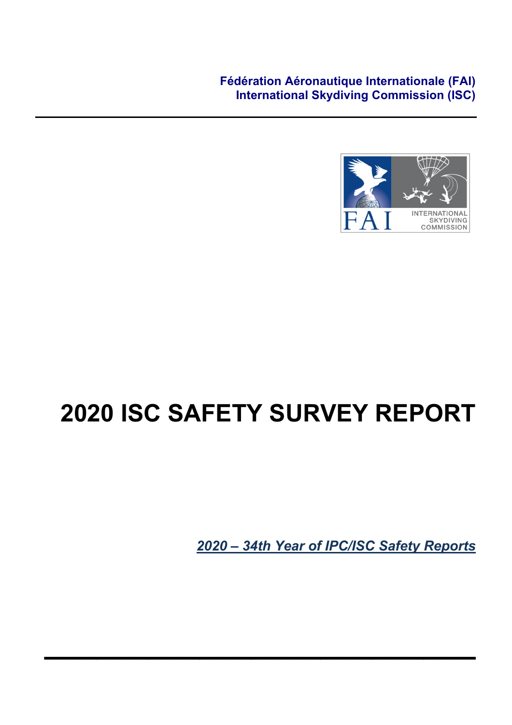**Fédération Aéronautique Internationale (FAI) International Skydiving Commission (ISC)**



# **2020 ISC SAFETY SURVEY REPORT**

**\_\_\_\_\_\_\_\_\_\_\_\_\_\_\_\_\_\_\_\_\_\_\_\_\_**

*2020 – 34th Year of IPC/ISC Safety Reports*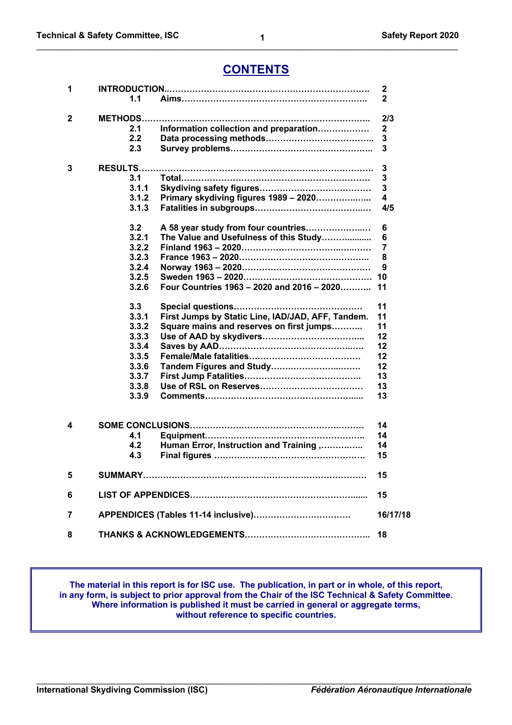# **CONTENTS**

**\_\_\_\_\_\_\_\_\_\_\_\_\_\_\_\_\_\_\_\_\_\_\_\_\_\_\_\_\_\_\_\_\_\_\_\_\_\_\_\_\_\_\_\_\_\_\_\_\_\_\_\_\_\_\_\_\_\_\_\_\_\_\_\_\_\_\_\_\_\_\_\_\_\_\_\_\_\_\_\_\_\_\_\_\_\_\_\_\_\_\_\_\_\_\_\_\_\_**

| 1 |                                                            | 2            |
|---|------------------------------------------------------------|--------------|
|   | 1.1                                                        | $\mathbf{2}$ |
| 2 | <b>METHODS</b>                                             | 2/3          |
|   | Information collection and preparation<br>2.1              | 2            |
|   | 2.2                                                        | 3            |
|   | 2.3                                                        | 3            |
| 3 |                                                            | 3            |
|   | 3.1                                                        | 3            |
|   | 3.1.1                                                      | 3            |
|   | Primary skydiving figures 1989 - 2020<br>3.1.2             | 4            |
|   | 3.1.3                                                      | 4/5          |
|   | 3.2<br>A 58 year study from four countries                 | 6            |
|   | 3.2.1<br>The Value and Usefulness of this Study            | 6            |
|   | 3.2.2                                                      | 7            |
|   | 3.2.3                                                      | 8            |
|   | 3.2.4                                                      | 9            |
|   | 3.2.5                                                      | 10           |
|   | Four Countries 1963 - 2020 and 2016 - 2020<br>3.2.6        | 11           |
|   | 3.3<br>Special questions                                   | 11           |
|   | 3.3.1<br>First Jumps by Static Line, IAD/JAD, AFF, Tandem. | 11           |
|   | 3.3.2<br>Square mains and reserves on first jumps          | 11           |
|   | 3.3.3                                                      | 12           |
|   | 3.3.4                                                      | 12           |
|   | 3.3.5                                                      | 12           |
|   | 3.3.6<br>Tandem Figures and Study                          | 12           |
|   | 3.3.7                                                      | 13           |
|   | 3.3.8                                                      | 13           |
|   | 3.3.9                                                      | 13           |
|   |                                                            |              |
| 4 |                                                            | 14           |
|   | 4.1                                                        | 14           |
|   | Human Error, Instruction and Training ,<br>4.2             | 14           |
|   | 4.3                                                        | 15           |
| 5 |                                                            | 15           |
| 6 |                                                            | 15           |
| 7 |                                                            | 16/17/18     |
| 8 |                                                            | 18           |
|   |                                                            |              |

**The material in this report is for ISC use. The publication, in part or in whole, of this report, in any form, is subject to prior approval from the Chair of the ISC Technical & Safety Committee. Where information is published it must be carried in general or aggregate terms, without reference to specific countries.**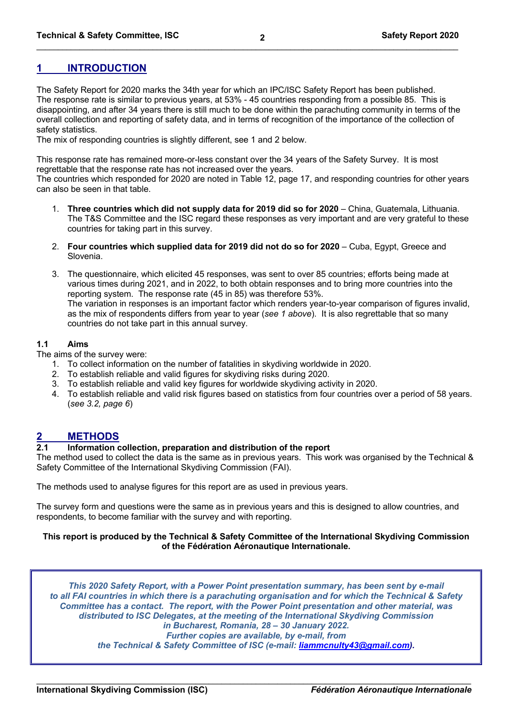# **1 INTRODUCTION**

The Safety Report for 2020 marks the 34th year for which an IPC/ISC Safety Report has been published. The response rate is similar to previous years, at 53% - 45 countries responding from a possible 85. This is disappointing, and after 34 years there is still much to be done within the parachuting community in terms of the overall collection and reporting of safety data, and in terms of recognition of the importance of the collection of safety statistics.

The mix of responding countries is slightly different, see 1 and 2 below.

This response rate has remained more-or-less constant over the 34 years of the Safety Survey. It is most regrettable that the response rate has not increased over the years.

The countries which responded for 2020 are noted in Table 12, page 17, and responding countries for other years can also be seen in that table.

- 1. **Three countries which did not supply data for 2019 did so for 2020** China, Guatemala, Lithuania. The T&S Committee and the ISC regard these responses as very important and are very grateful to these countries for taking part in this survey.
- 2. **Four countries which supplied data for 2019 did not do so for 2020** Cuba, Egypt, Greece and Slovenia.
- 3. The questionnaire, which elicited 45 responses, was sent to over 85 countries; efforts being made at various times during 2021, and in 2022, to both obtain responses and to bring more countries into the reporting system. The response rate (45 in 85) was therefore 53%. The variation in responses is an important factor which renders year-to-year comparison of figures invalid, as the mix of respondents differs from year to year (*see 1 above*). It is also regrettable that so many countries do not take part in this annual survey.

# **1.1 Aims**

The aims of the survey were:

- 1. To collect information on the number of fatalities in skydiving worldwide in 2020.
- 2. To establish reliable and valid figures for skydiving risks during 2020.
- 3. To establish reliable and valid key figures for worldwide skydiving activity in 2020.
- 4. To establish reliable and valid risk figures based on statistics from four countries over a period of 58 years. (*see 3.2, page 6*)

#### **2 METHODS**

#### **2.1 Information collection, preparation and distribution of the report**

The method used to collect the data is the same as in previous years. This work was organised by the Technical & Safety Committee of the International Skydiving Commission (FAI).

The methods used to analyse figures for this report are as used in previous years.

The survey form and questions were the same as in previous years and this is designed to allow countries, and respondents, to become familiar with the survey and with reporting.

#### **This report is produced by the Technical & Safety Committee of the International Skydiving Commission of the Fédération Aéronautique Internationale.**

*This 2020 Safety Report, with a Power Point presentation summary, has been sent by e-mail to all FAI countries in which there is a parachuting organisation and for which the Technical & Safety Committee has a contact. The report, with the Power Point presentation and other material, was distributed to ISC Delegates, at the meeting of the International Skydiving Commission in Bucharest, Romania, 28 – 30 January 2022. Further copies are available, by e-mail, from the Technical & Safety Committee of ISC (e-mail: liammcnulty43@gmail.com).*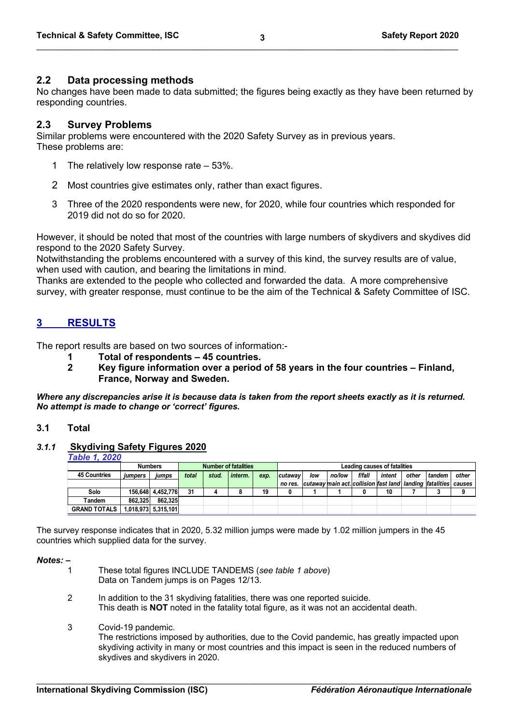# **2.2 Data processing methods**

No changes have been made to data submitted; the figures being exactly as they have been returned by responding countries.

# **2.3 Survey Problems**

Similar problems were encountered with the 2020 Safety Survey as in previous years. These problems are:

- 1 The relatively low response rate 53%.
- 2 Most countries give estimates only, rather than exact figures.
- 3 Three of the 2020 respondents were new, for 2020, while four countries which responded for 2019 did not do so for 2020.

However, it should be noted that most of the countries with large numbers of skydivers and skydives did respond to the 2020 Safety Survey.

Notwithstanding the problems encountered with a survey of this kind, the survey results are of value, when used with caution, and bearing the limitations in mind.

Thanks are extended to the people who collected and forwarded the data. A more comprehensive survey, with greater response, must continue to be the aim of the Technical & Safety Committee of ISC.

# **3 RESULTS**

The report results are based on two sources of information:-

- **1 Total of respondents – 45 countries.**
- **2 Key figure information over a period of 58 years in the four countries – Finland, France, Norway and Sweden.**

*Where any discrepancies arise it is because data is taken from the report sheets exactly as it is returned. No attempt is made to change or 'correct' figures.*

#### **3.1 Total**

#### *3.1.1* **Skydiving Safety Figures 2020**

*Table 1, 2020*

|                     | <b>Number of fatalities</b><br><b>Numbers</b> |                     |       |       |         |      |                 | Leading causes of fatalities |        |        |        |       |                                                             |        |  |
|---------------------|-----------------------------------------------|---------------------|-------|-------|---------|------|-----------------|------------------------------|--------|--------|--------|-------|-------------------------------------------------------------|--------|--|
| <b>45 Countries</b> | <i><b>iumpers</b></i>                         | iumps               | total | stud. | interm. | exp. | <b>Icutawav</b> | low                          | no/low | f/fall | intent | other | tandem                                                      | other  |  |
|                     |                                               |                     |       |       |         |      | no res.         |                              |        |        |        |       | cutaway main act. collision fast land  landing   fatalities | causes |  |
| Solo                |                                               | 156.648 4.452.776   | 31    |       |         | 19   |                 |                              |        |        | 10     |       |                                                             |        |  |
| Tandem              | 862.325                                       | 862.325             |       |       |         |      |                 |                              |        |        |        |       |                                                             |        |  |
| <b>GRAND TOTALS</b> |                                               | 1,018,973 5,315,101 |       |       |         |      |                 |                              |        |        |        |       |                                                             |        |  |

The survey response indicates that in 2020, 5.32 million jumps were made by 1.02 million jumpers in the 45 countries which supplied data for the survey.

*Notes:* **–**

- 1 These total figures INCLUDE TANDEMS (*see table 1 above*) Data on Tandem jumps is on Pages 12/13.
- 2 In addition to the 31 skydiving fatalities, there was one reported suicide. This death is **NOT** noted in the fatality total figure, as it was not an accidental death.
- 3 Covid-19 pandemic.

The restrictions imposed by authorities, due to the Covid pandemic, has greatly impacted upon skydiving activity in many or most countries and this impact is seen in the reduced numbers of skydives and skydivers in 2020.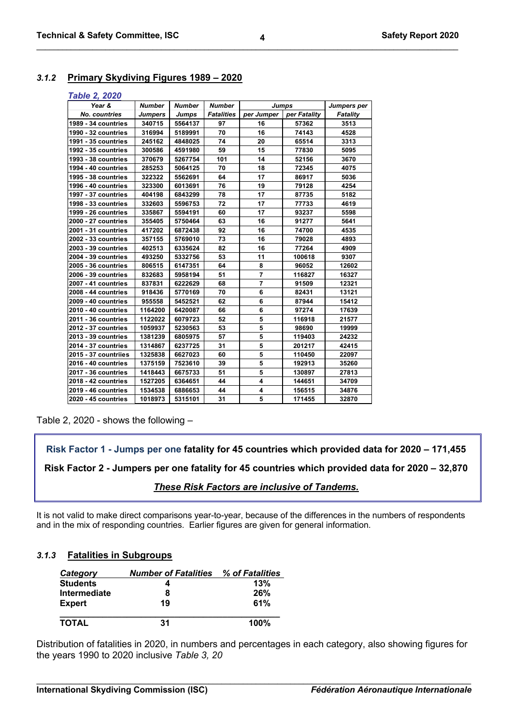# *3.1.2* **Primary Skydiving Figures 1989 – 2020**

#### *Table 2, 2020*

| Year &               | <b>Number</b>  | <b>Number</b> | <b>Number</b>     | <b>Jumps</b>   |              | Jumpers per     |
|----------------------|----------------|---------------|-------------------|----------------|--------------|-----------------|
| <b>No. countries</b> | <b>Jumpers</b> | <b>Jumps</b>  | <b>Fatalities</b> | per Jumper     | per Fatality | <b>Fatality</b> |
| 1989 - 34 countries  | 340715         | 5564137       | 97                | 16             | 57362        | 3513            |
| 1990 - 32 countries  | 316994         | 5189991       | 70                | 16             | 74143        | 4528            |
| 1991 - 35 countries  | 245162         | 4848025       | 74                | 20             | 65514        | 3313            |
| 1992 - 35 countries  | 300586         | 4591980       | 59                | 15             | 77830        | 5095            |
| 1993 - 38 countries  | 370679         | 5267754       | 101               | 14             | 52156        | 3670            |
| 1994 - 40 countries  | 285253         | 5064125       | 70                | 18             | 72345        | 4075            |
| 1995 - 38 countries  | 322322         | 5562691       | 64                | 17             | 86917        | 5036            |
| 1996 - 40 countries  | 323300         | 6013691       | 76                | 19             | 79128        | 4254            |
| 1997 - 37 countries  | 404198         | 6843299       | 78                | 17             | 87735        | 5182            |
| 1998 - 33 countries  | 332603         | 5596753       | 72                | 17             | 77733        | 4619            |
| 1999 - 26 countries  | 335867         | 5594191       | 60                | 17             | 93237        | 5598            |
| 2000 - 27 countries  | 355405         | 5750464       | 63                | 16             | 91277        | 5641            |
| 2001 - 31 countries  | 417202         | 6872438       | 92                | 16             | 74700        | 4535            |
| 2002 - 33 countries  | 357155         | 5769010       | 73                | 16             | 79028        | 4893            |
| 2003 - 39 countries  | 402513         | 6335624       | 82                | 16             | 77264        | 4909            |
| 2004 - 39 countries  | 493250         | 5332756       | 53                | 11             | 100618       | 9307            |
| 2005 - 36 countries  | 806515         | 6147351       | 64                | 8              | 96052        | 12602           |
| 2006 - 39 countries  | 832683         | 5958194       | 51                | $\overline{7}$ | 116827       | 16327           |
| 2007 - 41 countries  | 837831         | 6222629       | 68                | $\overline{7}$ | 91509        | 12321           |
| 2008 - 44 countries  | 918436         | 5770169       | 70                | 6              | 82431        | 13121           |
| 2009 - 40 countries  | 955558         | 5452521       | 62                | 6              | 87944        | 15412           |
| 2010 - 40 countries  | 1164200        | 6420087       | 66                | 6              | 97274        | 17639           |
| 2011 - 36 countries  | 1122022        | 6079723       | 52                | 5              | 116918       | 21577           |
| 2012 - 37 countries  | 1059937        | 5230563       | 53                | 5              | 98690        | 19999           |
| 2013 - 39 countries  | 1381239        | 6805975       | 57                | 5              | 119403       | 24232           |
| 2014 - 37 countries  | 1314867        | 6237725       | 31                | 5              | 201217       | 42415           |
| 2015 - 37 countriles | 1325838        | 6627023       | 60                | 5              | 110450       | 22097           |
| 2016 - 40 countries  | 1375159        | 7523610       | 39                | 5              | 192913       | 35260           |
| 2017 - 36 countries  | 1418443        | 6675733       | 51                | 5              | 130897       | 27813           |
| 2018 - 42 countries  | 1527205        | 6364651       | 44                | 4              | 144651       | 34709           |
| 2019 - 46 countries  | 1534538        | 6886653       | 44                | 4              | 156515       | 34876           |
| 2020 - 45 countries  | 1018973        | 5315101       | 31                | 5              | 171455       | 32870           |

Table 2, 2020 - shows the following –

**Risk Factor 1 - Jumps per one fatality for 45 countries which provided data for 2020 – 171,455**

**Risk Factor 2 - Jumpers per one fatality for 45 countries which provided data for 2020 – 32,870**

*These Risk Factors are inclusive of Tandems.*

It is not valid to make direct comparisons year-to-year, because of the differences in the numbers of respondents and in the mix of responding countries. Earlier figures are given for general information.

# *3.1.3* **Fatalities in Subgroups**

| <b>Category</b> | <b>Number of Fatalities</b> | % of Fatalities |
|-----------------|-----------------------------|-----------------|
| <b>Students</b> |                             | 13%             |
| Intermediate    | 8                           | 26%             |
| <b>Expert</b>   | 19                          | 61%             |
| <b>TOTAL</b>    | 31                          | $100\%$         |

Distribution of fatalities in 2020, in numbers and percentages in each category, also showing figures for the years 1990 to 2020 inclusive *Table 3, 20*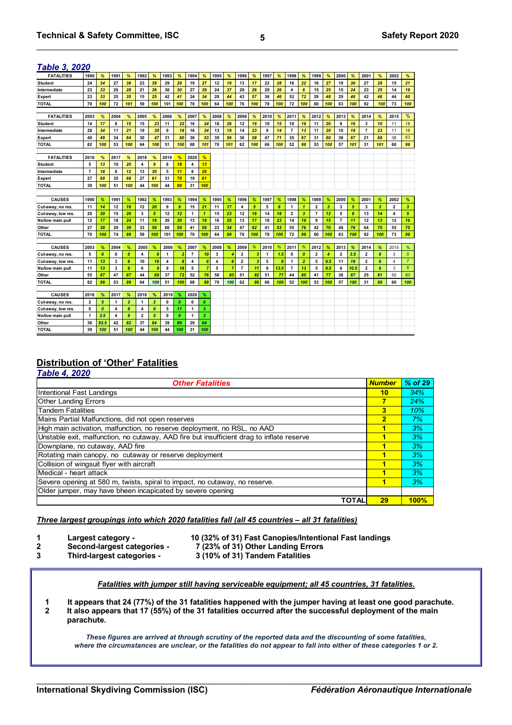| <b>FATALITIES</b>  | 1990                    | %                | 1991        | %                | 1992                    | %                | 1993        | %                | 1994                    | %                | 1995 | %              | 1996           | %   | 1997         | %    | 1998           | %                | 1999           | %   | 2000                    | %    | 2001                    | %   | 2002                    | ℅              |
|--------------------|-------------------------|------------------|-------------|------------------|-------------------------|------------------|-------------|------------------|-------------------------|------------------|------|----------------|----------------|-----|--------------|------|----------------|------------------|----------------|-----|-------------------------|------|-------------------------|-----|-------------------------|----------------|
| <b>Student</b>     | 24                      | 34               | 27          | 38               | 23                      | 39               | 29          | 29               | 19                      | 27               | 12   | 19             | 13             | 17  | 22           | 28   | 16             | 22               | 16             | 27  | 19                      | 30   | 27                      | 29  | 15                      | 21             |
| Intermediate       | 23                      | 33               | 20          | 28               | 21                      | 36               | 30          | 30               | 27                      | 39               | 24   | 37             | 20             | 26  | 20           | 26   | 4              | $6\phantom{1}6$  | 15             | 25  | 15                      | 24   | 23                      | 25  | 14                      | 19             |
| Expert             | 23                      | 33               | 25          | 35               | 15                      | 25               | 42          | 41               | 24                      | 34               | 28   | 44             | 43             | 57  | 36           | 46   | 52             | 72               | 29             | 48  | 29                      | 46   | 42                      | 46  | 44                      | 60             |
| <b>TOTAL</b>       | 70                      | 100              | 72          | 101              | 59                      | 100              | 101         | 100              | 70                      | 100              | 64   | 100            | 76             | 100 | 78           | 100  | 72             | 100              | 60             | 100 | 63                      | 100  | 92                      | 100 | 73                      | 100            |
|                    |                         |                  |             |                  |                         |                  |             |                  |                         |                  |      |                |                |     |              |      |                |                  |                |     |                         |      |                         |     |                         |                |
| <b>FATALITIES</b>  | 2003                    | %                | 2004        | %                | 2005                    | %                | 2006        | %                | 2007                    | %                | 2008 | %              | 2009           | %   | 2010         | %    | 2011           | %                | 2012           | %   | 2013                    | %    | 2014                    | %   | 2015                    | $\%$           |
| <b>Student</b>     | 14                      | 17               | 8           | 15               | 15                      | 23               | 11          | 22               | 16                      | 24               | 18   | 26             | 12             | 19  | 10           | 15   | 10             | 19               | 11             | 20  | 9                       | 16   | 3                       | 10  | 11                      | 18             |
| Intermediate       | 28                      | 34               | 11          | 21               | 19                      | 30               | 9           | 18               | 16                      | 24               | 13   | 19             | 14             | 23  | 9            | 14   | $\overline{7}$ | 13               | 11             | 20  | 10                      | 18   | $\overline{7}$          | 23  | 11                      | 18             |
| Expert             | 40                      | 49               | 34          | 64               | 30                      | 47               | 31          | 60               | 36                      | 53               | 39   | 56             | 36             | 58  | 47           | 71   | 35             | 67               | 31             | 60  | 38                      | 67   | 21                      | 68  | 38                      | 63             |
| <b>TOTAL</b>       | 82                      | 100              | 53          | 100              | 64                      | 100              | 51          | 100              | 68                      | 101              | 70   | 101            | 62             | 100 | 66           | 100  | 52             | 99               | 53             | 100 | 57                      | 101  | 31                      | 101 | 60                      | 99             |
|                    |                         |                  |             |                  |                         |                  |             |                  |                         |                  |      |                |                |     |              |      |                |                  |                |     |                         |      |                         |     |                         |                |
| <b>FATALITIES</b>  | 2016                    | %                | 2017        | %                | 2018                    | %                | 2019        | %                | 2020                    | %                |      |                |                |     |              |      |                |                  |                |     |                         |      |                         |     |                         |                |
| <b>Student</b>     | 5                       | 13               | 10          | 20               | 4                       | $\boldsymbol{g}$ | 8           | 18               | 4                       | 13               |      |                |                |     |              |      |                |                  |                |     |                         |      |                         |     |                         |                |
| Intermediate       | $\overline{7}$          | 18               | 6           | 12               | 13                      | 30               | 5           | 11               | 8                       | 26               |      |                |                |     |              |      |                |                  |                |     |                         |      |                         |     |                         |                |
| Expert             | 27                      | 69               | 35          | 68               | 27                      | 61               | 31          | 70               | 19                      | 61               |      |                |                |     |              |      |                |                  |                |     |                         |      |                         |     |                         |                |
| <b>TOTAL</b>       | 39                      | 100              | 51          | 100              | 44                      | 100              | 44          | 99               | 31                      | 100              |      |                |                |     |              |      |                |                  |                |     |                         |      |                         |     |                         |                |
|                    |                         |                  |             |                  |                         |                  |             |                  |                         |                  |      |                |                |     |              |      |                |                  |                |     |                         |      |                         |     |                         |                |
| <b>CAUSES</b>      | 1990                    | %                | 1991        | %                | 1992                    | %                | 1993        | %                | 1994                    | %                | 1995 | %              | 1996           | %   | 1997         | %    | 1998           | %                | 1999           | %   | 2000                    | %    | 2001                    | %   | 2002                    | %              |
| Cut-away, no res.  | 11                      | 14               | 12          | 16               | 12                      | 20               | 9           | 9                | 15                      | 21               | 11   | 17             | 4              | 5   | 5            | 6    | 1              | $\mathbf{1}$     | $\overline{2}$ | 3   | 3                       | 5    | 3                       | 3   | $\overline{2}$          | 3              |
| Cut-away, low res. | 20                      | 30               | 15          | 20               | 3                       | 5                | 12          | 12               | $\mathbf{1}$            | $\mathbf{1}$     | 15   | 23             | 12             | 16  | 14           | 18   | $\overline{2}$ | $\overline{3}$   | $\overline{7}$ | 12  | 5                       | 8    | 13                      | 14  | $\overline{\mathbf{4}}$ | 5              |
| No/low main pull   | 12                      | 17               | 18          | 24               | 11                      | 19               | 20          | 20               | 13                      | 19               | 16   | 25             | 13             | 17  | 18           | 23   | 14             | 19               | 9              | 15  | $\overline{7}$          | 11   | 12                      | 13  | 12                      | 16             |
| Other              | 27                      | 39               | 29          | 39               | 33                      | 56               | 60          | 59               | 41                      | 59               | 22   | 34             | 47             | 62  | 41           | 53   | 55             | 76               | 42             | 70  | 48                      | 76   | 64                      | 70  | 55                      | 75             |
| <b>TOTAL</b>       | 70                      | 100              | 74          | 99               | 59                      | 100              | 101         | 100              | 70                      | 100              | 64   | 99             | 76             | 100 | 78           | 100  | 72             | 99               | 60             | 100 | 63                      | 100  | 92                      | 100 | 73                      | 99             |
|                    |                         |                  |             |                  |                         |                  |             |                  |                         |                  |      |                |                |     |              |      |                |                  |                |     |                         |      |                         |     |                         |                |
| <b>CAUSES</b>      | 2003                    | %                | 2004        | %                | 2005                    | %                | 2006        | %                | 2007                    | %                | 2008 | %              | 2009           | %   | 2010         | %    | 2011           | %                | 2012           | %   | 2013                    | %    | 2014                    | %   | 2015                    | %              |
| Cut-away, no res.  | 5                       | 6                | $\mathbf 0$ | $\boldsymbol{0}$ | 4                       | 6                | 1           | 2                | $\overline{7}$          | 10               | 3    | 4              | 2              | 3   | $\mathbf{1}$ | 1.5  | 0              | $\boldsymbol{0}$ | $\overline{2}$ | 4   | $\overline{\mathbf{2}}$ | 3.5  | $\overline{\mathbf{2}}$ | 6   | 3                       | 5              |
| Cut-away, low res. | 11                      | 13               | 3           | 6                | 10                      | 16               | 4           | 8                | $\overline{\mathbf{4}}$ | 6                | 4    | 6              | 2              | 3   | 5            | 8    | 1              | $\overline{a}$   | 5              | 9.5 | 11                      | 19   | $\overline{\mathbf{2}}$ | 6   | $\overline{4}$          | $\overline{7}$ |
| No/low main pull   | 11                      | 13               | 3           | $\boldsymbol{6}$ | 6                       | ø                | 9           | 18               | 5                       | $\overline{7}$   | 5    | $\overline{7}$ | $\overline{7}$ | 11  | 9            | 13.5 | $\overline{7}$ | 13               | 5              | 9.5 | 6                       | 10.5 | $\overline{\mathbf{2}}$ | 6   | 3                       | 5              |
| Other              | 55                      | 67               | 47          | 87               | 44                      | 69               | 37          | 72               | 52                      | 76               | 58   | 83             | 51             | 82  | 51           | 77   | 44             | 85               | 41             | 77  | 38                      | 67   | 25                      | 81  | 50                      | 83             |
| <b>TOTAL</b>       | 82                      | 99               | 53          | 99               | 64                      | 100              | 51          | 100              | 68                      | 99               | 70   | 100            | 62             | 99  | 66           | 100  | 52             | 100              | 53             | 100 | 57                      | 100  | 31                      | 99  | 60                      | 100            |
|                    |                         |                  |             |                  |                         |                  |             |                  |                         |                  |      |                |                |     |              |      |                |                  |                |     |                         |      |                         |     |                         |                |
| <b>CAUSES</b>      | 2016                    | %                | 2017        | %                | 2018                    | %                | 2019        | %                | 2020                    | %                |      |                |                |     |              |      |                |                  |                |     |                         |      |                         |     |                         |                |
| Cut-away, no res.  | $\overline{\mathbf{2}}$ | 5                | 1           | $\overline{2}$   | 1                       | $\overline{2}$   | $\mathbf 0$ | $\boldsymbol{o}$ | $\mathbf{0}$            | $\boldsymbol{o}$ |      |                |                |     |              |      |                |                  |                |     |                         |      |                         |     |                         |                |
| Cut-away, low res. | 0                       | $\boldsymbol{0}$ | 4           | 8                | 4                       | 9                | 5           | 11               | $\mathbf{1}$            | 3                |      |                |                |     |              |      |                |                  |                |     |                         |      |                         |     |                         |                |
| No/low main pull   | 1                       | 2.5              | 4           | 8                | $\overline{\mathbf{2}}$ | 5                | $\mathbf 0$ | $\boldsymbol{o}$ | $\mathbf{1}$            | 3                |      |                |                |     |              |      |                |                  |                |     |                         |      |                         |     |                         |                |
| Other              | 36                      | 92.5             | 42          | 82               | 37                      | 84               | 39          | 89               | 29                      | 94               |      |                |                |     |              |      |                |                  |                |     |                         |      |                         |     |                         |                |
| <b>TOTAL</b>       | 39                      | 100              | 51          | 100              | 44                      | 100              | 44          | 100              | 31                      | 100              |      |                |                |     |              |      |                |                  |                |     |                         |      |                         |     |                         |                |

#### **Distribution of 'Other' Fatalities** *Table 4, 2020*

| <b>Other Fatalities</b>                                                                   | <b>Number</b>           | % of 29 |
|-------------------------------------------------------------------------------------------|-------------------------|---------|
| Intentional Fast Landings                                                                 | 10                      | 34%     |
| <b>Other Landing Errors</b>                                                               | 7                       | 24%     |
| <b>Tandem Fatalities</b>                                                                  | 3                       | 10%     |
| Mains Partial Malfunctions, did not open reserves                                         | $\overline{\mathbf{2}}$ | 7%      |
| High main activation, malfunction, no reserve deployment, no RSL, no AAD                  | 1                       | 3%      |
| Unstable exit, malfunction, no cutaway, AAD fire but insufficient drag to inflate reserve |                         | 3%      |
| Downplane, no cutaway, AAD fire                                                           | 1                       | 3%      |
| Rotating main canopy, no cutaway or reserve deployment                                    |                         | 3%      |
| Collision of wingsuit flyer with aircraft                                                 |                         | 3%      |
| Medical - heart attack                                                                    |                         | 3%      |
| Severe opening at 580 m, twists, spiral to impact, no cutaway, no reserve.                |                         | 3%      |
| Older jumper, may have bheen incapicated by severe opening                                |                         |         |
| TOTAL                                                                                     | 29                      | 100%    |

#### *Three largest groupings into which 2020 fatalities fall (all 45 countries – all 31 fatalities)*

- 
- 
- 
- **3 Third-largest categories 3 (10% of 31) Tandem Fatalities**
- **1 Largest category 10 (32% of 31) Fast Canopies/Intentional Fast landings**
	- **2 Second-largest categories - 7 (23% of 31) Other Landing Errors**
	-

#### *Fatalities with jumper still having serviceable equipment; all 45 countries, 31 fatalities.*

 **1 It appears that 24 (77%) of the 31 fatalities happened with the jumper having at least one good parachute***.*   **2 It also appears that 17 (55%) of the 31 fatalities occurred after the successful deployment of the main** 

**parachute.**

*These figures are arrived at through scrutiny of the reported data and the discounting of some fatalities, where the circumstances are unclear, or the fatalities do not appear to fall into either of these categories 1 or 2.*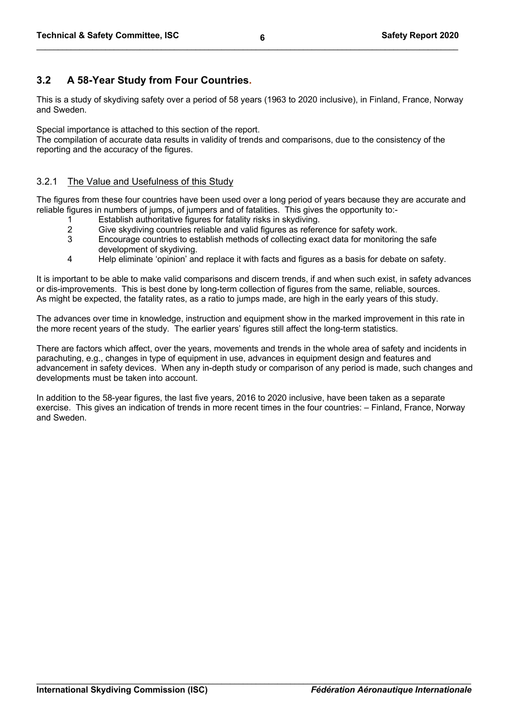# **3.2 A 58-Year Study from Four Countries.**

This is a study of skydiving safety over a period of 58 years (1963 to 2020 inclusive), in Finland, France, Norway and Sweden.

Special importance is attached to this section of the report.

The compilation of accurate data results in validity of trends and comparisons, due to the consistency of the reporting and the accuracy of the figures.

# 3.2.1 The Value and Usefulness of this Study

The figures from these four countries have been used over a long period of years because they are accurate and reliable figures in numbers of jumps, of jumpers and of fatalities. This gives the opportunity to:-

- 1 Establish authoritative figures for fatality risks in skydiving.
- 2 Give skydiving countries reliable and valid figures as reference for safety work.
- 3 Encourage countries to establish methods of collecting exact data for monitoring the safe development of skydiving.
- 4 Help eliminate 'opinion' and replace it with facts and figures as a basis for debate on safety.

It is important to be able to make valid comparisons and discern trends, if and when such exist, in safety advances or dis-improvements. This is best done by long-term collection of figures from the same, reliable, sources. As might be expected, the fatality rates, as a ratio to jumps made, are high in the early years of this study.

The advances over time in knowledge, instruction and equipment show in the marked improvement in this rate in the more recent years of the study. The earlier years' figures still affect the long-term statistics.

There are factors which affect, over the years, movements and trends in the whole area of safety and incidents in parachuting, e.g., changes in type of equipment in use, advances in equipment design and features and advancement in safety devices. When any in-depth study or comparison of any period is made, such changes and developments must be taken into account.

In addition to the 58-year figures, the last five years, 2016 to 2020 inclusive, have been taken as a separate exercise. This gives an indication of trends in more recent times in the four countries: – Finland, France, Norway and Sweden.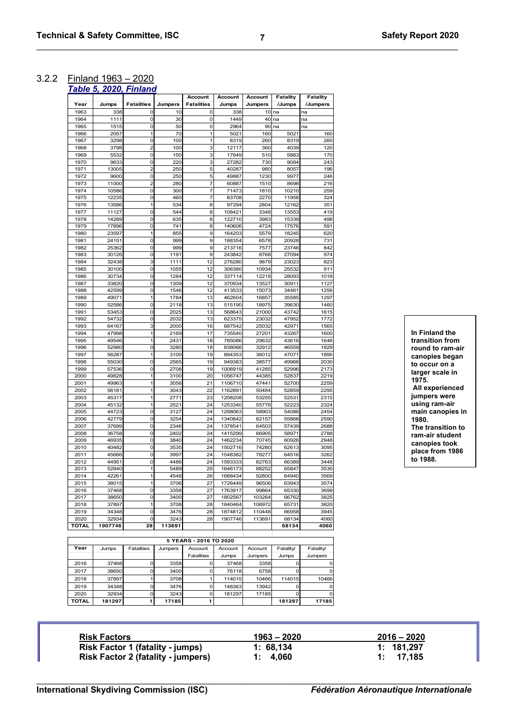# 3.2.2 Finland 1963 – 2020

| ---- |  | ----                   |
|------|--|------------------------|
|      |  | Table 5, 2020, Finland |

|               |                  |                   |                | Account                | Account            | Account        | Fatality       | <b>Fatality</b> |
|---------------|------------------|-------------------|----------------|------------------------|--------------------|----------------|----------------|-----------------|
| Year          | Jumps            | <b>Fatalities</b> | <b>Jumpers</b> | <b>Fatalities</b>      | Jumps              | Jumpers        | /Jumps         | /Jumpers        |
| 1963          | 338              | $\mathbf 0$       | 10             | 0                      | 338                | 10             | na             | na              |
| 1964          | 1111             | 0                 | 30             | 0                      | 1449               | 40             | na             | na              |
| 1965          | 1515             | $\mathbf 0$       | 50             | $\mathbf 0$            | 2964               | 90             | na             | na              |
| 1966<br>1967  | 2057             | 1<br>$\mathbf 0$  | 70<br>100      | 1<br>1                 | 5021               | 160<br>260     | 5021<br>8319   | 160<br>260      |
| 1968          | 3298<br>3798     | $\overline{2}$    | 100            | 3                      | 8319<br>12117      | 360            | 4039           | 120             |
| 1969          | 5532             | 0                 | 150            | 3                      | 17649              | 510            | 5883           | 170             |
| 1970          | 9633             | $\mathbf 0$       | 220            | 3                      | 27282              | 730            | 9094           | 243             |
| 1971          | 13005            | $\overline{2}$    | 250            | 5                      | 40287              | 980            | 8057           | 196             |
| 1972          | 9600             | 0                 | 250            | 5                      | 49887              | 1230           | 9977           | 246             |
| 1973          | 11000            | $\overline{2}$    | 280            | 7                      | 60887              | 1510           | 8698           | 216             |
| 1974          | 10586            | $\mathbf 0$       | 300            | 7                      | 71473              | 1810           | 10210          | 259             |
| 1975          | 12235            | 0                 | 460            | 7                      | 83708              | 2270           | 11958          | 324             |
| 1976          | 13586            | 1                 | 534            | 8                      | 97294              | 2804           | 12162          | 351             |
| 1977          | 11127            | 0                 | 544            | 8                      | 108421             | 3348           | 13553          | 419             |
| 1978          | 14289            | $\mathbf 0$       | 635            | 8                      | 122710             | 3983           | 15339          | 498             |
| 1979          | 17896            | $\mathbf 0$       | 741            | 8                      | 140606             | 4724           | 17576          | 591             |
| 1980          | 23597            | 1                 | 855            | 9                      | 164203             | 5579           | 18245          | 620             |
| 1981          | 24151            | $\mathbf 0$       | 999            | 9                      | 188354             | 6578           | 20928          | 731             |
| 1982          | 25362            | $\mathbf 0$       | 999            | 9                      | 213716             | 7577           | 23746          | 842             |
| 1983          | 30126            | 0                 | 1191           | 9                      | 243842             | 8768           | 27094          | 974             |
| 1984          | 32438            | 3                 | 1111           | 12                     | 276280             | 9879           | 23023          | 823             |
| 1985<br>1986  | 30100<br>30734   | 0<br>$\mathbf 0$  | 1055<br>1284   | 12<br>12               | 306380<br>337114   | 10934<br>12218 | 25532<br>28093 | 911<br>1018     |
| 1987          | 33820            | $\mathbf 0$       | 1309           | 12                     | 370934             | 13527          | 30911          | 1127            |
| 1988          | 42599            | 0                 | 1546           | 12                     | 413533             | 15073          | 34461          | 1256            |
| 1989          | 49071            | 1                 | 1784           | 13                     | 462604             | 16857          | 35585          | 1297            |
| 1990          | 52586            | 0                 | 2118           | 13                     | 515190             | 18975          | 39630          | 1460            |
| 1991          | 53453            | $\mathbf 0$       | 2025           | 13                     | 568643             | 21000          | 43742          | 1615            |
| 1992          | 54732            | 0                 | 2032           | 13                     | 623375             | 23032          | 47952          | 1772            |
| 1993          | 64167            | 3                 | 2000           | 16                     | 687542             | 25032          | 42971          | 1565            |
| 1994          | 47998            | 1                 | 2169           | 17                     | 735540             | 27201          | 43267          | 1600            |
| 1995          | 49546            | 1                 | 2431           | 18                     | 785086             | 29632          | 43616          | 1646            |
| 1996          | 52980            | $\mathbf 0$       | 3280           | 18                     | 838066             | 32912          | 46559          | 1829            |
| 1997          | 56287            | $\mathbf{1}$      | 3100           | 19                     | 894353             | 36012          | 47071          | 1895            |
| 1998          | 55030            | 0                 | 2565           | 19                     | 949383             | 38577          | 49968          | 2030            |
| 1999          | 57536            | $\mathbf 0$       | 2708           | 19                     | 1006919            | 41285          | 52996          | 2173            |
| 2000          | 49828            | 1                 | 3100           | 20                     | 1056747            | 44385          | 52837          | 2219            |
| 2001          | 49963            | 1                 | 3056           | 21                     | 1106710            | 47441          | 52700          | 2259            |
| 2002          | 56181            | 1<br>1            | 3043           | 22                     | 1162891            | 50484          | 52859          | 2295            |
| 2003<br>2004  | 45317<br>45132   | 1                 | 2771<br>2521   | 23<br>24               | 1208208<br>1253340 | 53255<br>55776 | 52531<br>52223 | 2315<br>2324    |
| 2005          | 44723            | $\mathbf 0$       | 3127           | 24                     | 1298063            | 58903          | 54086          | 2454            |
| 2006          | 42779            | 0                 | 3254           | 24                     | 1340842            | 62157          | 55868          | 2590            |
| 2007          | 37699            | 0                 | 2346           | 24                     | 1378541            | 64503          | 57439          | 2688            |
| 2008          | 36758            | $\mathbf 0$       | 2402           | 24                     | 1415299            | 66905          | 58971          | 2788            |
| 2009          | 46935            | 0                 | 3840           | 24                     | 1462234            | 70745          | 60926          | 2948            |
| 2010          | 40482            | 0                 | 3535           | 24                     | 1502716            | 74280          | 62613          | 3095            |
| 2011          | 45666            | 0                 | 3997           | 24                     | 1548382            | 78277          | 64516          | 3262            |
| 2012          | 44951            | 0                 | 4486           | 24                     | 1593333            | 82763          | 66389          | 3448            |
| 2013          | 52840            | 1                 | 5489           | 25                     | 1646173            | 88252          | 65847          | 3530            |
| 2014          | 42261            | 1                 | 4548           | 26                     | 1688434            | 92800          | 64940          | 3569            |
| 2015          | 38015            | 1                 | 3706           | 27                     | 1726449            | 96506          | 63943          | 3574            |
| 2016          | 37468            | $\mathbf 0$       | 3358           | 27                     | 1763917            | 99864          | 65330          | 3699            |
| 2017          | 38650            | $\mathbf 0$       | 3400           | 27                     | 1802567            | 103264         | 66762          | 3825            |
| 2018          | 37897            | 1                 | 3708           | 28                     | 1840464            | 106972         | 65731          | 3820            |
| 2019          | 34348            | 0                 | 3476           | 28                     | 1874812            | 110448         | 66958          | 3945            |
| 2020<br>TOTAL | 32934<br>1907746 | 0<br>28           | 3243<br>113691 | 28                     | 1907746            | 113691         | 68134<br>68134 | 4060<br>4060    |
|               |                  |                   |                |                        |                    |                |                |                 |
|               |                  |                   |                | 5 YEARS - 2016 TO 2020 |                    |                |                |                 |
| Year          | Jumps            | <b>Fatalities</b> | Jumpers        | Account                | Account            | Account        | Fatality/      | Fatality/       |
|               |                  |                   |                | <b>Fatalities</b>      | Jumps              | Jumpers        | Jumps          | Jumpers         |
|               |                  | 0                 | 3358           | 0                      | 37468              |                | 0              |                 |
| 2016<br>2017  | 37468<br>38650   | $\mathbf 0$       | 3400           | 0                      | 76118              | 3358<br>6758   | 0              | 0<br>0          |
|               |                  | 1                 |                | 1                      |                    |                |                | 10466           |
| 2018          | 37897<br>34348   | 0                 | 3708           |                        | 114015<br>148363   | 10466<br>13942 | 114015         |                 |
| 2019<br>2020  | 32934            |                   | 3476<br>3243   | 0                      |                    | 17185          | 0<br>0         | 0               |
| TOTAL         | 181297           | 0<br>1            | 17185          | 0<br>1                 | 181297             |                | 181297         | 0<br>17185      |
|               |                  |                   |                |                        |                    |                |                |                 |

**In Finland the transition from round to ram-air canopies began to occur on a larger scale in 1975. All experienced jumpers were using ram-air main canopies in 1980. The transition to ram-air student canopies took place from 1986 to 1988.**

| <b>Risk Factors</b>                       | $1963 - 2020$ | $2016 - 2020$ |
|-------------------------------------------|---------------|---------------|
| <b>Risk Factor 1 (fatality - jumps)</b>   | 1: 68.134     | 1: 181,297    |
| <b>Risk Factor 2 (fatality - jumpers)</b> | 1: 4.060      | 1: 17.185     |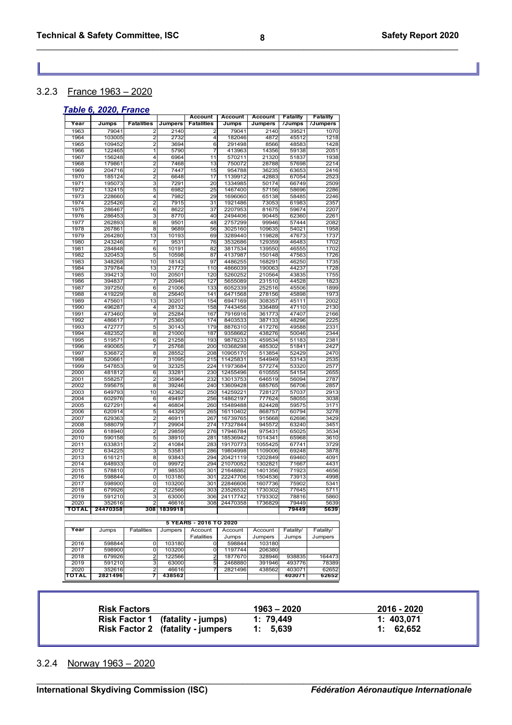# 3.2.3 France 1963 – 2020

# *Table 6, 2020, France*

|              |                    |                         |                  | Account                | <b>Account</b>       | Account            | <b>Fatality</b> | <b>Fatality</b> |
|--------------|--------------------|-------------------------|------------------|------------------------|----------------------|--------------------|-----------------|-----------------|
| Year         | Jumps              | <b>Fatalities</b>       | Jumpers          | <b>Fatalities</b>      | Jumps                | Jumpers            | /Jumps          | /Jumpers        |
| 1963         | 79041              | 2                       | 2140             | 2                      | 79041                | 2140               | 39521           | 1070            |
| 1964         | 103005             | 2                       | 2732             | 4                      | 182046               | 4872               | 45512           | 1218            |
| 1965         | 109452             | $\overline{2}$          | 3694             | 6                      | 291498               | 8566               | 48583           | 1428            |
| 1966         | 122465             | 1                       | 5790             | 7                      | 413963               | 14356              | 59138           | 2051            |
| 1967         | 156248             | 4                       | 6964             | 11                     | 570211               | 21320              | 51837           | 1938            |
| 1968         | 179861             | $\overline{2}$          | 7468             | 13                     | 750072               | 28788              | 57698           | 2214            |
| 1969         | 204716             | $\overline{c}$          | 7447             | 15                     | 954788               | 36235              | 63653           | 2416            |
| 1970         | 185124             | 2                       | 6648             | 17                     | 1139912              | 42883              | 67054           | 2523            |
| 1971         | 195073             | 3                       | 7291             | 20                     | 1334985              | 50174              | 66749           | 2509            |
| 1972         | 132415             | 5                       | 6982             | 25                     | 1467400              | 57156              | 58696           | 2286            |
| 1973         | 228660             | 4                       | 7982             | 29                     | 1696060              | 65138              | 58485           | 2246            |
| 1974         | 225426             | $\overline{2}$          | 7915             | 31                     | 1921486              | 73053              | 61983           | 2357            |
| 1975         | 286467<br>286453   | 6<br>3                  | 8622<br>8770     | 37                     | 2207953              | 81675<br>90445     | 59674<br>62360  | 2207            |
| 1976<br>1977 | 262893             | $\overline{\mathbf{8}}$ | 9501             | 40<br>48               | 2494406<br>2757299   | 99946              | 57444           | 2261<br>2082    |
| 1978         | 267861             | $\overline{\mathbf{8}}$ | 9689             | 56                     | 3025160              | 109635             | 54021           | 1958            |
| 1979         | 264280             | 13                      | 10193            | 69                     | 3289440              | 119828             | 47673           | 1737            |
| 1980         | 243246             | 7                       | 9531             | 76                     | 3532686              | 129359             | 46483           | 1702            |
| 1981         | 284848             | 6                       | 10191            | 82                     | 3817534              | 139550             | 46555           | 1702            |
| 1982         | 320453             | 5                       | 10598            | 87                     | 4137987              | 150148             | 47563           | 1726            |
| 1983         | 348268             | 10                      | 18143            | 97                     | 4486255              | 168291             | 46250           | 1735            |
| 1984         | 379784             | 13                      | 21772            | 110                    | 4866039              | 190063             | 44237           | 1728            |
| 1985         | 394213             | 10                      | 20501            | 120                    | 5260252              | 210564             | 43835           | 1755            |
| 1986         | 394837             | 7                       | 20946            | 127                    | 5655089              | 231510             | 44528           | 1823            |
| 1987         | 397250             | $\overline{6}$          | 21006            | 133                    | 6052339              | 252516             | 45506           | 1899            |
| 1988         | 419229             | 8                       | 25640            | 141                    | 6471568              | 278156             | 45898           | 1973            |
| 1989         | 475601             | 13                      | 30201            | 154                    | 6947169              | 308357             | 45111           | 2002            |
| 1990         | 496287             | 4                       | 28132            | 158                    | 7443456              | 336489             | 47110           | 2130            |
| 1991         | 473460             | 9                       | 25284            | 167                    | 7916916              | 361773             | 47407           | 2166            |
| 1992         | 486617             | 7                       | 25360            | 174                    | 8403533              | 387133             | 48296           | 2225            |
| 1993         | 472777             | 5                       | 30143            | 179                    | 8876310              | 417276             | 49588           | 2331            |
| 1994         | 482352             | 8                       | 21000            | 187                    | 9358662              | 438276             | 50046           | 2344            |
| 1995         | 519571             | 6                       | 21258            | 193                    | 9878233              | 459534             | 51183           | 2381            |
| 1996         | 490065             | 7                       | 25768            | 200                    | 10368298             | 485302             | 51841           | 2427            |
| 1997         | 536872             | 8                       | 28552            | 208                    | 10905170             | 513854             | 52429           | 2470            |
| 1998         | 520661             | 7                       | 31095            | 215                    | 11425831             | 544949             | 53143           | 2535            |
| 1999         | 547853             | 9                       | 32325            | 224                    | 11973684             | 577274             | 53320           | 2577            |
| 2000         | 481812             | 6                       | 33281            | 230                    | 12455496             | 610555             | 54154           | 2655            |
| 2001         | 558257             | $\overline{2}$          | 35964            | 232                    | 13013753             | 646519             | 56094           | 2787            |
| 2002         | 595675             | 8                       | 39246            | 240                    | 13609428             | 685765             | 56706           | 2857            |
| 2003         | 649793             | 10                      | 42362            | 250                    | 14259221             | 728127             | 57037           | 2913            |
| 2004         | 602976             | 6                       | 49497            | 256                    | 14862197             | 777624             | 58055           | 3038            |
| 2005         | 627291             | 4                       | 46804            | 260                    | 15489488             | 824428             | 59575           | 3171            |
| 2006         | 620914             | 5                       | 44329            | 265                    | 16110402             | 868757             | 60794           | 3278            |
| 2007         | 629363             | $\overline{c}$          | 46911            | 267                    | 16739765             | 915668             | 62696           | 3429            |
| 2008         | 588079             | 7                       | 29904            | 274                    | 17327844             | 945572             | 63240           | 3451            |
| 2009         | 618940             | $\overline{c}$          | 29859            | 276                    | 17946784             | 975431             | 65025           | 3534            |
| 2010         | 590158             | 5                       | 38910            | 281                    | 18536942             | 1014341            | 65968           | 3610            |
| 2011         | 633831             | 2                       | 41084            | 283                    | 19170773             | 1055425            | 67741           | 3729            |
| 2012         | 634225             | 3                       | 53581            | 286                    | 19804998             | 1109006            | 69248           | 3878            |
| 2013         | 616121             | 8                       | 93843            | 294                    | 20421119             | 1202849            | 69460           | 4091            |
| 2014         | 648933             | $\overline{0}$          | 99972            | 294                    | 21070052             | 1302821            | 71667<br>71923  | 4431            |
| 2015         | 578810             | 7                       | 98535            | 301                    | 21648862             | 1401356            | 73913           | 4656            |
| 2016<br>2017 | 598844<br>598900   | $\overline{0}$          | 103180<br>103200 | 301<br>301             | 22247706<br>22846606 | 1504536<br>1607736 | 75902           | 4998<br>5341    |
|              | 679926             | 0<br>2                  |                  | 303                    |                      | 1730302            | 77645           | 5711            |
| 2018<br>2019 | 591210             | 3                       | 122566<br>63000  | 306                    | 23526532<br>24117742 | 1793302            | 78816           | 5860            |
| 2020         |                    | 2                       |                  | 308                    | 24470358             | 1736829            | 79449           |                 |
| ΤΟΤΑL        | 352616<br>24470358 | 308                     | 46616<br>1839918 |                        |                      |                    | 79449           | 5639<br>5639    |
|              |                    |                         |                  |                        |                      |                    |                 |                 |
|              |                    |                         |                  | 5 YEARS - 2016 TO 2020 |                      |                    |                 |                 |
| Year         | Jumps              | <b>Fatalities</b>       | Jumpers          | Account                | Account              | Account            | Fatality/       | Fatality/       |
|              |                    |                         |                  | <b>Fatalities</b>      | Jumps                | Jumpers            | Jumps           | Jumpers         |
| 2016         | 598844             | 0                       | 103180           | 0                      | 598844               | 103180             |                 |                 |
| 2017         | 598900             | 0                       | 103200           | 0                      | 1197744              | 206380             |                 |                 |
| 2018         | 679926             | 2                       | 122566           | $\overline{2}$         | 1877670              | 328946             | 938835          | 164473          |
| 2019         | 591210             | 3                       | 63000            | 5                      | 2468880              | 391946             | 493776          | 78389           |
| 2020         | 352616             | 2                       | 46616            | 7                      | 2821496              | 438562             | 403071          | 62652           |
| ΤΟΤΑL        | 2821496            | 7                       | 438562           |                        |                      |                    | 403071          | 62652           |
|              |                    |                         |                  |                        |                      |                    |                 |                 |

| <b>Risk Factors</b>                      | $1963 - 2020$ | 2016 - 2020 |
|------------------------------------------|---------------|-------------|
| Risk Factor 1 (fatality - jumps)         | 1: 79.449     | 1: 403.071  |
| <b>Risk Factor 2</b> (fatality - jumpers | 1: 5.639      | 1: 62.652   |

# 3.2.4 Norway 1963 – 2020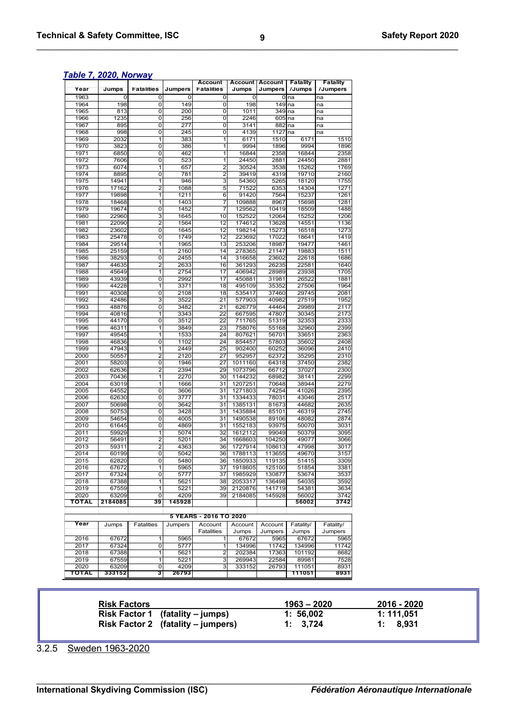|              |                |                         |                | <b>Account</b>         |                    | <b>Account Account</b> | <b>Fatality</b> | <b>Fatality</b> |
|--------------|----------------|-------------------------|----------------|------------------------|--------------------|------------------------|-----------------|-----------------|
| Year         | Jumps          | <b>Fatalities</b>       | <b>Jumpers</b> | <b>Fatalities</b>      | Jumps              | <b>Jumpers</b>         | /Jumps          | /Jumpers        |
| 1963         | 0              | 0                       | 0              | 0                      | 0                  | 0                      | na              | na              |
| 1964         | 198            | $\overline{0}$          | 149            | $\overline{0}$         | 198                | 149                    | na              | na              |
| 1965         | 813            | 0                       | 200            | 0                      | 1011               | 349 na                 |                 | na              |
| 1966         | 1235<br>895    | 0                       | 256<br>277     | 0<br>0                 | 2246<br>3141       | 605                    | na              | na              |
| 1967<br>1968 | 998            | 0<br>0                  | 245            | 0                      | 4139               | 882 na<br>1127         | na              | na<br>na        |
| 1969         | 2032           | 1                       | 383            | 1                      | 6171               | 1510                   | 6171            | 1510            |
| 1970         | 3823           | $\overline{0}$          | 386            | $\overline{1}$         | 9994               | 1896                   | 9994            | 1896            |
| 1971         | 6850           | $\overline{0}$          | 462            | 1                      | 16844              | 2358                   | 16844           | 2358            |
| 1972         | 7606           | 0                       | 523            | 1                      | 24450              | 2881                   | 24450           | 2881            |
| 1973         | 6074           | 1                       | 657            | $\overline{2}$         | 30524              | 3538                   | 15262           | 1769            |
| 1974         | 8895           | 0                       | 781            | 2                      | 39419              | 4319                   | 19710           | 2160            |
| 1975         | 14941          | 1                       | 946            | 3                      | 54360              | 5265                   | 18120           | 1755            |
| 1976         | 17162          | $\overline{2}$          | 1088           | 5                      | 71522              | 6353                   | 14304           | 1271            |
| 1977         | 19898          | 1                       | 1211           | 6                      | 91420              | 7564                   | 15237           | 1261            |
| 1978         | 18468          | 1                       | 1403           | 7                      | 109888             | 8967                   | 15698           | 1281            |
| 1979         | 19674          | 0                       | 1452           | 7                      | 129562             | 10419                  | 18509           | 1488            |
| 1980         | 22960          | 3                       | 1645           | 10                     | 152522             | 12064                  | 15252           | 1206            |
| 1981         | 22090          | $\overline{2}$          | 1564           | $\overline{12}$        | 174612             | 13628                  | 14551           | 1136            |
| 1982         | 23602          | 0                       | 1645           | 12                     | 198214             | 15273                  | 16518           | 1273            |
| 1983         | 25478          | 0                       | 1749           | 12                     | 223692             | 17022                  | 18641           | 1419            |
| 1984         | 29514          | 1                       | 1965           | 13                     | 253206             | 18987                  | 19477           | 1461            |
| 1985<br>1986 | 25159<br>38293 | 1<br>0                  | 2160<br>2455   | 14<br>14               | 278365<br>316658   | 21147<br>23602         | 19883<br>22618  | 1511<br>1686    |
| 1987         | 44635          | $\overline{2}$          | 2633           | 16                     | 361293             | 26235                  | 22581           | 1640            |
| 1988         | 45649          | 1                       | 2754           | 17                     | 406942             | 28989                  | 23938           | 1705            |
| 1989         | 43939          | 0                       | 2992           | $\overline{17}$        | 450881             | 31981                  | 26522           | 1881            |
| 1990         | 44228          | $\overline{1}$          | 3371           | 18                     | 495109             | 35352                  | 27506           | 1964            |
| 1991         | 40308          | 0                       | 2108           | 18                     | 535417             | 37460                  | 29745           | 2081            |
| 1992         | 42486          | 3                       | 3522           | $\overline{21}$        | 577903             | 40982                  | 27519           | 1952            |
| 1993         | 48876          | 0                       | 3482           | 21                     | 626779             | 44464                  | 29989           | 2117            |
| 1994         | 40816          | 1                       | 3343           | 22                     | 667595             | 47807                  | 30345           | 2173            |
| 1995         | 44170          | $\overline{0}$          | 3512           | 22                     | 711765             | 51319                  | 32353           | 2333            |
| 1996         | 46311          | 1                       | 3849           | 23                     | 758076             | 55168                  | 32960           | 2399            |
| 1997         | 49545          | 1                       | 1533           | 24                     | 807621             | 56701                  | 33651           | 2363            |
| 1998         | 46836          | $\overline{0}$          | 1102           | 24                     | 854457             | 57803                  | 35602           | 2408            |
| 1999         | 47943          | 1                       | 2449           | 25                     | 902400             | 60252                  | 36096           | 2410            |
| 2000         | 50557          | $\overline{2}$          | 2120           | 27                     | 952957             | 62372                  | 35295           | 2310            |
| 2001         | 58203          | 0                       | 1946           | 27                     | 1011160            | 64318                  | 37450           | 2382            |
| 2002         | 62636          | $\overline{\mathbf{c}}$ | 2394           | 29                     | 1073796            | 66712                  | 37027           | 2300            |
| 2003         | 70436          | $\overline{1}$          | 2270           | 30                     | 1144232            | 68982                  | 38141           | 2299            |
| 2004<br>2005 | 63019          | 1                       | 1666           | 31                     | 1207251            | 70648                  | 38944<br>41026  | 2279            |
| 2006         | 64552<br>62630 | 0<br>0                  | 3606<br>3777   | 31<br>31               | 1271803<br>1334433 | 74254<br>78031         | 43046           | 2395<br>2517    |
| 2007         | 50698          | 0                       | 3642           | 31                     | 1385131            | 81673                  | 44682           | 2635            |
| 2008         | 50753          | 0                       | 3428           | 31                     | 1435884            | 85101                  | 46319           | 2745            |
| 2009         | 54654          | $\overline{0}$          | 4005           | 31                     | 1490538            | 89106                  | 48082           | 2874            |
| 2010         | 61645          | 0                       | 4869           | 31                     | 1552183            | 93975                  | 50070           | 3031            |
| 2011         | 59929          | $\overline{\mathbf{1}}$ | 5074           | 32                     | 1612112            | 99049                  | 50379           | 3095            |
| 2012         | 56491          | $\overline{2}$          | 5201           | 34                     | 1668603            | 104250                 | 49077           | 3066            |
| 2013         | 59311          | 2                       | 4363           | 36                     | 1727914            | 108613                 | 47998           | 3017            |
| 2014         | 60199          | $\overline{0}$          | 5042           | 36                     | 1788113            | 113655                 | 49670           | 3157            |
| 2015         | 62820          | 0                       | 5480           | 36                     | 1850933            | 119135                 | 51415           | 3309            |
| 2016         | 67672          |                         | 5965           | 37                     | 1918605            | 125100                 | 51854           | 3381            |
| 2017         | 67324          | $\overline{0}$          | 5777           | 37                     | 1985929            | 130877                 | 53674           | 3537            |
| 2018         | 67388          | 1                       | 5621           | 38                     | 2053317            | 136498                 | 54035           | 3592            |
| 2019         | 67559          | 1                       | 5221           | 39                     | 2120876            | 141719                 | 54381           | 3634            |
| 2020         | 63209          | 0                       | 4209           | 39                     | 2184085            | 145928                 | 56002           | 3742            |
| ΤΟΤΑL        | 2184085        | 39                      | 145928         |                        |                    |                        | 56002           | 3742            |
|              |                |                         |                | 5 YEARS - 2016 TO 2020 |                    |                        |                 |                 |
| Year         |                |                         |                |                        |                    |                        |                 |                 |
|              | Jumps          | Fatalities              | Jumpers        | Account                | Account            | Account                | Fatality/       | Fatality/       |
|              |                |                         |                | <b>Fatalities</b>      | Jumps<br>67672     | Jumpers                | Jumps<br>67672  | Jumpers<br>5965 |
| 2016<br>2017 | 67672<br>67324 | 1<br>0                  | 5965<br>5777   | 1<br>1                 | 134996             | 5965<br>11742          | 134996          | 11742           |
| 2018         | 67388          | 1                       | 5621           | $\overline{2}$         | 202384             | 17363                  | 101192          | 8682            |
| 2019         | 67559          | 1                       | 5221           | 3                      | 269943             | 22584                  | 89981           | 7528            |
| 2020         | 63209          | 0                       | 4209           | 3                      | 333152             | 26793                  | 111051          | 8931            |
| ΤΟΤΑL        | 333152         | 3                       | 26793          |                        |                    |                        | 111051          | 8931            |
|              |                |                         |                |                        |                    |                        |                 |                 |

| <b>Risk Factors</b>                | 1963 – 2020 | 2016 - 2020 |
|------------------------------------|-------------|-------------|
| Risk Factor 1 (fatality – jumps)   | 1: 56.002   | 1: 111.051  |
| Risk Factor 2 (fatality – jumpers) | 1: 3,724    | 1: 8.931    |

3.2.5 Sweden 1963-2020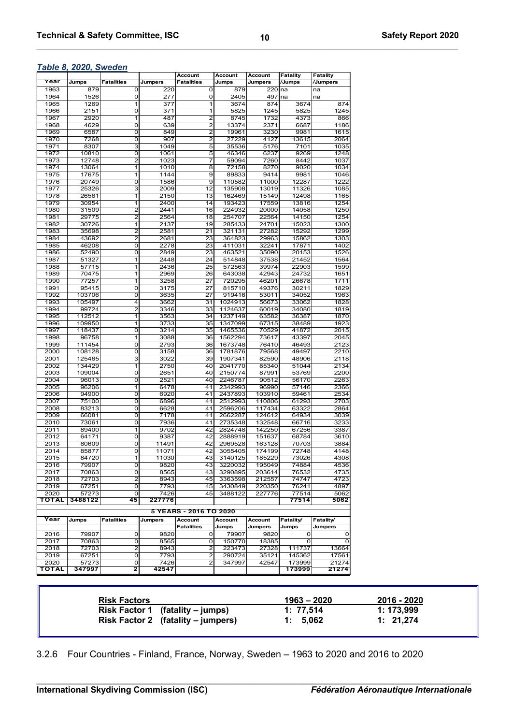|              |                 |                                  |                | Account                          | Account            | Account          | Fatality       | Fatality       |
|--------------|-----------------|----------------------------------|----------------|----------------------------------|--------------------|------------------|----------------|----------------|
| Year         | Jumps           | <b>Fatalities</b>                | <b>Jumpers</b> | <b>Fatalities</b>                | Jumps              | Jumpers          | /Jumps         | Jumpers        |
| 1963         | 879             | 0                                | 220            | 0                                | 879                | 220              | na             | na             |
| 1964         | 1526            | $\mathbf 0$                      | 277            | $\mathbf 0$                      | 2405               | 497              | na             | na             |
| 1965         | 1269            | $\mathbf 1$                      | 377            | $\overline{1}$                   | 3674               | 874              | 3674           | 874            |
| 1966         | 2151            | $\mathbf 0$                      | 371            | 1                                | 5825               | 1245<br>1732     | 5825           | 1245           |
| 1967<br>1968 | 2920<br>4629    | 1<br>$\mathbf 0$                 | 487            | $\overline{2}$                   | 8745               | 2371             | 4373           | 866            |
| 1969         | 6587            | $\mathbf 0$                      | 639<br>849     | $\overline{2}$<br>$\overline{2}$ | 13374<br>19961     | 3230             | 6687<br>9981   | 1186<br>1615   |
| 1970         | 7268            | $\mathbf 0$                      | 907            | $\overline{2}$                   | 27229              | 4127             | 13615          | 2064           |
| 1971         | 8307            | 3                                | 1049           | 5                                | 35536              | 5176             | 7101           | 1035           |
| 1972         | 10810           | $\mathbf 0$                      | 1061           | 5                                | 46346              | 6237             | 9269           | 1248           |
| 1973         | 12748           | $\overline{2}$                   | 1023           | $\overline{\mathbf{z}}$          | 59094              | 7260             | 8442           | 1037           |
| 1974         | 13064           | $\overline{1}$                   | 1010           | $\overline{8}$                   | 72158              | 8270             | 9020           | 1034           |
| 1975         | 17675           | 1                                | 1144           | 9                                | 89833              | 9414             | 9981           | 1046           |
| 1976         | 20749           | $\overline{0}$                   | 1586           | $\overline{9}$                   | 110582             | 11000            | 12287          | 1222           |
| 1977         | 25326           | $\overline{\mathbf{3}}$          | 2009           | 12                               | 135908             | 13019            | 11326          | 1085           |
| 1978         | 26561           | $\overline{1}$                   | 2150           | 13                               | 162469             | 15149            | 12498          | 1165           |
| 1979         | 30954           | $\overline{1}$                   | 2400           | 14                               | 193423             | 17559            | 13816          | 1254           |
| 1980         | 31509           | $\overline{2}$                   | 2441           | 16                               | 224932             | 20000            | 14058          | 1250           |
| 1981         | 29775           | $\overline{2}$                   | 2564           | 18                               | 254707             | 22564            | 14150          | 1254           |
| 1982         | 30726           | 1                                | 2137           | 19                               | 285433             | 24701            | 15023          | 1300           |
| 1983         | 35698           | $\overline{2}$                   | 2581           | 21                               | 321131             | 27282            | 15292          | 1299           |
| 1984         | 43692           | $\overline{2}$                   | 2681           | 23                               | 364823             | 29963            | 15862          | 1303           |
| 1985         | 46208           | $\overline{0}$                   | 2278           | 23                               | 411031             | 32241            | 17871          | 1402           |
| 1986         | 52490           | $\mathbf 0$                      | 2849           | 23                               | 463521             | 35090            | 20153          | 1526           |
| 1987         | 51327           | 1                                | 2448           | 24                               | 514848             | 37538            | 21452          | 1564           |
| 1988         | 57715           | 1                                | 2436           | 25                               | 572563             | 39974            | 22903          | 1599           |
| 1989         | 70475           | 1                                | 2969           | 26                               | 643038             | 42943            | 24732          | 1651           |
| 1990         | 77257           | 1                                | 3258           | 27                               | 720295             | 46201            | 26678          | 1711           |
| 1991         | 95415           | $\mathbf 0$                      | 3175           | 27                               | 815710             | 49376            | 30211          | 1829           |
| 1992<br>1993 | 103706          | $\overline{0}$<br>$\overline{4}$ | 3635           | 27<br>31                         | 919416             | 53011            | 34052          | 1963<br>1828   |
| 1994         | 105497<br>99724 | $\overline{2}$                   | 3662<br>3346   | 33                               | 1024913<br>1124637 | 56673<br>60019   | 33062<br>34080 | 1819           |
| 1995         | 112512          | $\overline{1}$                   | 3563           | 34                               | 1237149            | 63582            | 36387          | 1870           |
| 1996         | 109950          | $\overline{1}$                   | 3733           | 35                               | 1347099            | 67315            | 38489          | 1923           |
| 1997         | 118437          | $\mathbf 0$                      | 3214           | 35                               | 1465536            | 70529            | 41872          | 2015           |
| 1998         | 96758           | 1                                | 3088           | 36                               | 1562294            | 73617            | 43397          | 2045           |
| 1999         | 111454          | 0                                | 2793           | 36                               | 1673748            | 76410            | 46493          | 2123           |
| 2000         | 108128          | 0                                | 3158           | 36                               | 1781876            | 79568            | 49497          | 2210           |
| 2001         | 125465          | 3                                | 3022           | 39                               | 1907341            | 82590            | 48906          | 2118           |
| 2002         | 134429          | 1                                | 2750           | 40                               | 2041770            | 85340            | 51044          | 2134           |
| 2003         | 109004          | $\mathbf 0$                      | 2651           | 40                               | 2150774            | 87991            | 53769          | 2200           |
| 2004         | 96013           | 0                                | 2521           | 40                               | 2246787            | 90512            | 56170          | 2263           |
| 2005         | 96206           | $\mathbf 1$                      | 6478           | 41                               | 2342993            | 96990            | 57146          | 2366           |
| 2006         | 94900           | 0                                | 6920           | 41                               | 2437893            | 103910           | 59461          | 2534           |
| 2007         | 75100           | $\mathbf 0$                      | 6896           | 41                               | 2512993            | 110806           | 61293          | 2703           |
| 2008         | 83213           | 0                                | 6628           | 41                               | 2596206            | 117434           | 63322          | 2864           |
| 2009         | 66081           | $\overline{0}$                   | 7178           | 41                               | 2662287            | 124612           | 64934          | 3039           |
| 2010         | 73061           | 0                                | 7936           | 41                               | 2735348            | 132548           | 66716          | 3233           |
| 2011         | 89400           | $\overline{1}$                   | 9702           | 42                               | 2824748            | 142250           | 67256          | 3387           |
| 2012         | 64171           | $\overline{0}$                   | 9387           | 42                               | 2888919            | 151637           | 68784          | 3610           |
| 2013         | 80609           | 0                                | 11491          | 42                               | 2969528            | 163128           | 70703          | 3884           |
| 2014         | 85877           | 0                                | 11071          | 42                               | 3055405            | 174199           | 72748          | 4148           |
| 2015         | 84720           |                                  | 11030          | 43                               | 3140125            | 185229           | 73026          | 4308<br>4536   |
| 2016         | 79907           | 0                                | 9820           | 43                               | 3220032            | 195049           | 74884          |                |
| 2017         | 70863<br>72703  | 0<br>$\overline{2}$              | 8565           | 43<br>45                         | 3290895<br>3363598 | 203614<br>212557 | 76532          | 4735<br>4723   |
| 2018<br>2019 | 67251           | 0                                | 8943<br>7793   | 45                               | 3430849            | 220350           | 74747<br>76241 | 4897           |
| 2020         | 57273           | $\mathbf 0$                      | 7426           | 45                               | 3488122            | 227776           | 77514          | 5062           |
| τοται        | 3488122         | 45                               | 227776         |                                  |                    |                  | 77514          | 5062           |
|              |                 |                                  |                |                                  |                    |                  |                |                |
|              |                 |                                  |                | 5 YEARS - 2016 TO 2020           |                    |                  |                |                |
| Year         | Jumps           | <b>Fatalities</b>                | Jumpers        | Account                          | Account            | Account          | Fatality/      | Fatality/      |
|              |                 |                                  |                | <b>Fatalities</b>                | Jumps              | Jumpers          | Jumps          | <b>Jumpers</b> |
| 2016         | 79907           | 0                                | 9820           | 0                                | 79907              | 9820             | 0              | 0              |
| 2017         | 70863           | 0                                | 8565           | 0                                | 150770             | 18385            | 0              | 0              |
| 2018         | 72703           | $\overline{2}$                   | 8943           | $\overline{2}$                   | 223473             | 27328            | 111737         | 13664          |
| 2019         | 67251           | $\overline{0}$                   | 7793           | $\overline{2}$                   | 290724             | 35121            | 145362         | 17561          |
| 2020         | 57273           | 0                                | 7426           | 2                                | 347997             | 42547            | 173999         | 21274          |
| TOTAL        | 347997          | 2                                | 42547          |                                  |                    |                  | 173999         | 21274          |

| <b>Risk Factors</b>                | $1963 - 2020$ | 2016 - 2020 |
|------------------------------------|---------------|-------------|
| Risk Factor 1 (fatality – jumps)   | 1: 77.514     | 1: 173.999  |
| Risk Factor 2 (fatality – jumpers) | 1: 5.062      | 1: 21.274   |

3.2.6 Four Countries - Finland, France, Norway, Sweden – 1963 to 2020 and 2016 to 2020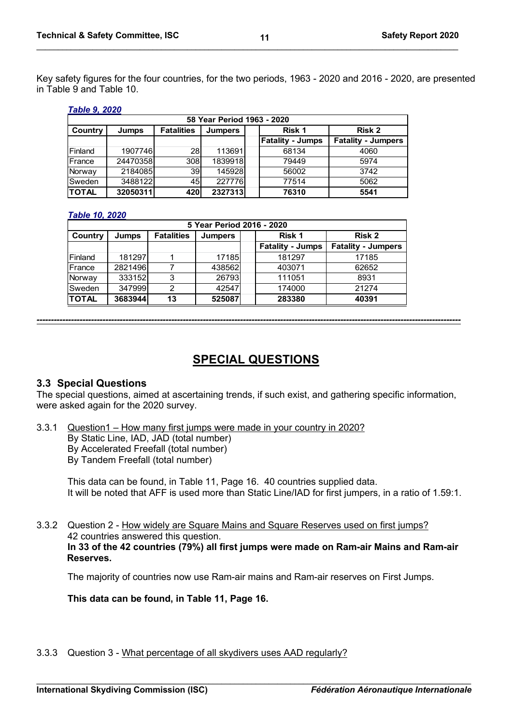Key safety figures for the four countries, for the two periods, 1963 - 2020 and 2016 - 2020, are presented in Table 9 and Table 10.

**\_\_\_\_\_\_\_\_\_\_\_\_\_\_\_\_\_\_\_\_\_\_\_\_\_\_\_\_\_\_\_\_\_\_\_\_\_\_\_\_\_\_\_\_\_\_\_\_\_\_\_\_\_\_\_\_\_\_\_\_\_\_\_\_\_\_\_\_\_\_\_\_\_\_\_\_\_\_\_\_\_\_\_\_\_\_\_\_\_\_\_\_\_\_\_\_\_\_**

#### *Table 9, 2020*

| 58 Year Period 1963 - 2020                                                  |          |                 |         |  |                         |                           |  |  |  |  |  |
|-----------------------------------------------------------------------------|----------|-----------------|---------|--|-------------------------|---------------------------|--|--|--|--|--|
| <b>Fatalities</b><br>Risk 1<br>Risk 2<br>Country<br>Jumps<br><b>Jumpers</b> |          |                 |         |  |                         |                           |  |  |  |  |  |
|                                                                             |          |                 |         |  | <b>Fatality - Jumps</b> | <b>Fatality - Jumpers</b> |  |  |  |  |  |
| Finland                                                                     | 1907746  | 28I             | 113691  |  | 68134                   | 4060                      |  |  |  |  |  |
| France                                                                      | 24470358 | 308             | 1839918 |  | 79449                   | 5974                      |  |  |  |  |  |
| Norway                                                                      | 2184085  | 39 <sub>l</sub> | 145928  |  | 56002                   | 3742                      |  |  |  |  |  |
| Sweden                                                                      | 3488122  | 45 <sup>1</sup> | 227776  |  | 77514                   | 5062                      |  |  |  |  |  |
| <b>TOTAL</b>                                                                | 32050311 | 420             | 2327313 |  | 76310                   | 5541                      |  |  |  |  |  |

# *Table 10, 2020*

|              | 5 Year Period 2016 - 2020 |                   |                |  |                         |                           |  |  |  |  |
|--------------|---------------------------|-------------------|----------------|--|-------------------------|---------------------------|--|--|--|--|
| Country      | <b>Jumps</b>              | <b>Fatalities</b> | <b>Jumpers</b> |  | Risk 1                  | <b>Risk 2</b>             |  |  |  |  |
|              |                           |                   |                |  | <b>Fatality - Jumps</b> | <b>Fatality - Jumpers</b> |  |  |  |  |
| Finland      | 181297                    |                   | 17185          |  | 181297                  | 17185                     |  |  |  |  |
| France       | 2821496                   |                   | 438562         |  | 403071                  | 62652                     |  |  |  |  |
| Norway       | 333152                    | 3                 | 26793          |  | 111051                  | 8931                      |  |  |  |  |
| Sweden       | 347999                    | 2                 | 42547          |  | 174000                  | 21274                     |  |  |  |  |
| <b>TOTAL</b> | 3683944                   | 13                | 525087         |  | 283380                  | 40391                     |  |  |  |  |

# **SPECIAL QUESTIONS**

*----------------------------------------------------------------------------------------------------------------------------------------------------*

# **3.3 Special Questions**

The special questions, aimed at ascertaining trends, if such exist, and gathering specific information, were asked again for the 2020 survey.

3.3.1 Question1 – How many first jumps were made in your country in 2020? By Static Line, IAD, JAD (total number) By Accelerated Freefall (total number) By Tandem Freefall (total number)

This data can be found, in Table 11, Page 16. 40 countries supplied data. It will be noted that AFF is used more than Static Line/IAD for first jumpers, in a ratio of 1.59:1.

3.3.2 Question 2 - How widely are Square Mains and Square Reserves used on first jumps? 42 countries answered this question. **In 33 of the 42 countries (79%) all first jumps were made on Ram-air Mains and Ram-air Reserves.**

The majority of countries now use Ram-air mains and Ram-air reserves on First Jumps.

**This data can be found, in Table 11, Page 16.**

3.3.3 Question 3 - What percentage of all skydivers uses AAD regularly?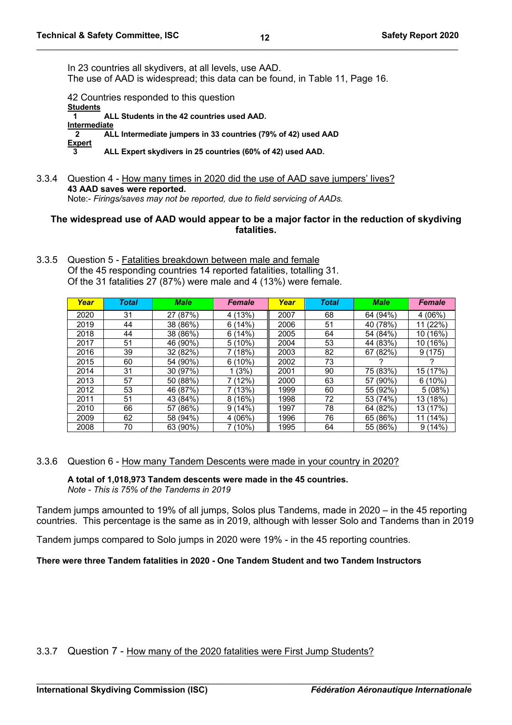In 23 countries all skydivers, at all levels, use AAD. The use of AAD is widespread; this data can be found, in Table 11, Page 16.

42 Countries responded to this question **Students 1 ALL Students in the 42 countries used AAD. Intermediate 2 ALL Intermediate jumpers in 33 countries (79% of 42) used AAD Expert 3 ALL Expert skydivers in 25 countries (60% of 42) used AAD.**

3.3.4 Question 4 - How many times in 2020 did the use of AAD save jumpers' lives? **43 AAD saves were reported.** Note:- *Firings/saves may not be reported, due to field servicing of AADs.*

### **The widespread use of AAD would appear to be a major factor in the reduction of skydiving fatalities.**

3.3.5 Question 5 - Fatalities breakdown between male and female Of the 45 responding countries 14 reported fatalities, totalling 31. Of the 31 fatalities 27 (87%) were male and 4 (13%) were female.

| Year | <b>Total</b> | <b>Male</b> | <b>Female</b> | Year | Total | <b>Male</b> | <b>Female</b>            |
|------|--------------|-------------|---------------|------|-------|-------------|--------------------------|
| 2020 | 31           | 27 (87%)    | (13%)<br>4    | 2007 | 68    | 64 (94%)    | 4(06%)                   |
| 2019 | 44           | 38 (86%)    | (14%)<br>6    | 2006 | 51    | 40 (78%)    | (22%)                    |
| 2018 | 44           | 38 (86%)    | (14%)<br>6    | 2005 | 64    | 54 (84%)    | (16%)<br>10 <sub>1</sub> |
| 2017 | 51           | 46 (90%)    | $5(10\%)$     | 2004 | 53    | 44 (83%)    | 10 (16%)                 |
| 2016 | 39           | 32 (82%)    | (18%)         | 2003 | 82    | 67 (82%)    | 9(175)                   |
| 2015 | 60           | 54 (90%)    | $6(10\%)$     | 2002 | 73    |             |                          |
| 2014 | 31           | 30 (97%)    | (3%)          | 2001 | 90    | 75 (83%)    | 15 (17%)                 |
| 2013 | 57           | 50 (88%)    | (12%)         | 2000 | 63    | 57 (90%)    | $6(10\%)$                |
| 2012 | 53           | 46 (87%)    | (13%)         | 1999 | 60    | 55 (92%)    | 5(08%)                   |
| 2011 | 51           | 43 (84%)    | (16%)<br>8    | 1998 | 72    | 53 (74%)    | (18%)<br>13              |
| 2010 | 66           | 57 (86%)    | 9(14%)        | 1997 | 78    | 64 (82%)    | 13 (17%)                 |
| 2009 | 62           | 58 (94%)    | 4(06%)        | 1996 | 76    | 65 (86%)    | (14%)<br>11              |
| 2008 | 70           | 63 (90%)    | 7 (10%)       | 1995 | 64    | 55 (86%)    | 9(14%)                   |

3.3.6 Question 6 - How many Tandem Descents were made in your country in 2020?

**A total of 1,018,973 Tandem descents were made in the 45 countries.** *Note - This is 75% of the Tandems in 2019*

Tandem jumps amounted to 19% of all jumps, Solos plus Tandems, made in 2020 – in the 45 reporting countries. This percentage is the same as in 2019, although with lesser Solo and Tandems than in 2019

Tandem jumps compared to Solo jumps in 2020 were 19% - in the 45 reporting countries.

**There were three Tandem fatalities in 2020 - One Tandem Student and two Tandem Instructors**

3.3.7 Question 7 - How many of the 2020 fatalities were First Jump Students?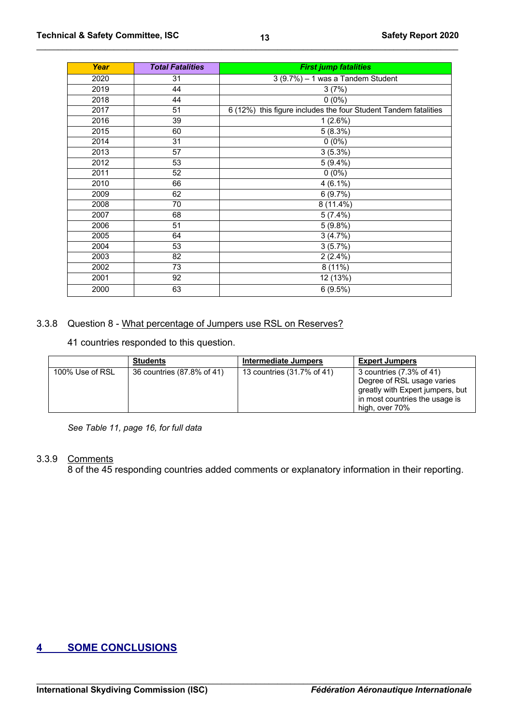| Year | <b>Total Fatalities</b> | <b>First jump fatalities</b>                                    |  |  |  |
|------|-------------------------|-----------------------------------------------------------------|--|--|--|
| 2020 | 31                      | $3(9.7%) - 1$ was a Tandem Student                              |  |  |  |
| 2019 | 44                      | 3(7%)                                                           |  |  |  |
| 2018 | 44                      | $0(0\%)$                                                        |  |  |  |
| 2017 | 51                      | 6 (12%) this figure includes the four Student Tandem fatalities |  |  |  |
| 2016 | 39                      | 1(2.6%)                                                         |  |  |  |
| 2015 | 60                      | 5(8.3%)                                                         |  |  |  |
| 2014 | 31                      | $0(0\%)$                                                        |  |  |  |
| 2013 | 57                      | 3(5.3%)                                                         |  |  |  |
| 2012 | 53                      | $5(9.4\%)$                                                      |  |  |  |
| 2011 | 52                      | $0(0\%)$                                                        |  |  |  |
| 2010 | 66                      | $4(6.1\%)$                                                      |  |  |  |
| 2009 | 62                      | 6(9.7%)                                                         |  |  |  |
| 2008 | 70                      | $8(11.4\%)$                                                     |  |  |  |
| 2007 | 68                      | $5(7.4\%)$                                                      |  |  |  |
| 2006 | 51                      | 5(9.8%)                                                         |  |  |  |
| 2005 | 64                      | 3(4.7%)                                                         |  |  |  |
| 2004 | 53                      | 3(5.7%)                                                         |  |  |  |
| 2003 | 82                      | $2(2.4\%)$                                                      |  |  |  |
| 2002 | 73                      | $8(11\%)$                                                       |  |  |  |
| 2001 | 92                      | 12 (13%)                                                        |  |  |  |
| 2000 | 63                      | 6(9.5%)                                                         |  |  |  |

# 3.3.8 Question 8 - What percentage of Jumpers use RSL on Reserves?

countries responded to this question.

|                 | <b>Students</b>            | Intermediate Jumpers       | <b>Expert Jumpers</b>            |
|-----------------|----------------------------|----------------------------|----------------------------------|
| 100% Use of RSL | 36 countries (87.8% of 41) | 13 countries (31.7% of 41) | 3 countries (7.3% of 41)         |
|                 |                            |                            | Degree of RSL usage varies       |
|                 |                            |                            | greatly with Expert jumpers, but |
|                 |                            |                            | in most countries the usage is   |
|                 |                            |                            | high, over 70%                   |

*See Table 11, page 16, for full data*

# 3.3.9 Comments

8 of the 45 responding countries added comments or explanatory information in their reporting.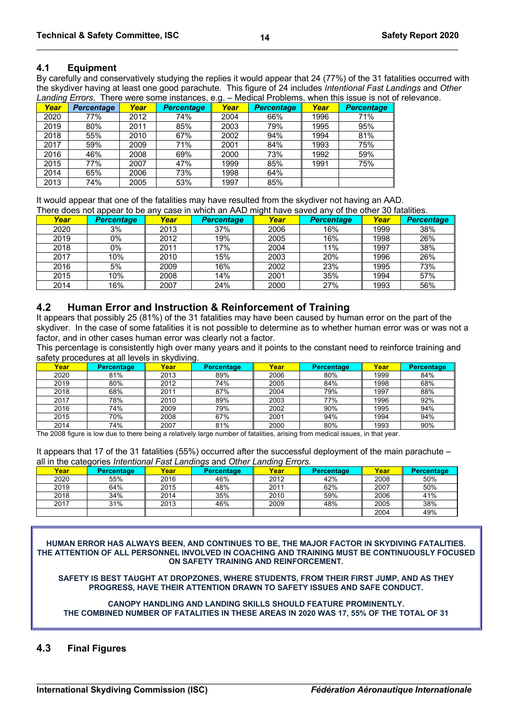#### **4.1 Equipment**

By carefully and conservatively studying the replies it would appear that 24 (77%) of the 31 fatalities occurred with the skydiver having at least one good parachute. This figure of 24 includes *Intentional Fast Landings* and *Other Landing Errors*. There were some instances, e.g. – Medical Problems, when this issue is not of relevance.

| -------- | - - - - - - -     |      |                   |      |                   |      |                   |
|----------|-------------------|------|-------------------|------|-------------------|------|-------------------|
| Year     | <b>Percentage</b> | Year | <b>Percentage</b> | Year | <b>Percentage</b> | Year | <b>Percentage</b> |
| 2020     | 77%               | 2012 | 74%               | 2004 | 66%               | 1996 | 71%               |
| 2019     | 80%               | 2011 | 85%               | 2003 | 79%               | 1995 | 95%               |
| 2018     | 55%               | 2010 | 67%               | 2002 | 94%               | 1994 | 81%               |
| 2017     | 59%               | 2009 | 71%               | 2001 | 84%               | 1993 | 75%               |
| 2016     | 46%               | 2008 | 69%               | 2000 | 73%               | 1992 | 59%               |
| 2015     | 77%               | 2007 | 47%               | 1999 | 85%               | 1991 | 75%               |
| 2014     | 65%               | 2006 | 73%               | 1998 | 64%               |      |                   |
| 2013     | 74%               | 2005 | 53%               | 1997 | 85%               |      |                   |

It would appear that one of the fatalities may have resulted from the skydiver not having an AAD. There does not appear to be any case in which an AAD might have saved any of the other 30 fatalities.

| Year | <b>Percentage</b> | Year | <b>Percentage</b> | Year | Percentage | Year | <b>Percentage</b> |
|------|-------------------|------|-------------------|------|------------|------|-------------------|
| 2020 | 3%                | 2013 | 37%               | 2006 | 16%        | 1999 | 38%               |
| 2019 | 0%                | 2012 | 19%               | 2005 | 16%        | 1998 | 26%               |
| 2018 | 0%                | 2011 | 17%               | 2004 | 11%        | 1997 | 38%               |
| 2017 | 10%               | 2010 | 15%               | 2003 | 20%        | 1996 | 26%               |
| 2016 | 5%                | 2009 | 16%               | 2002 | 23%        | 1995 | 73%               |
| 2015 | 10%               | 2008 | 14%               | 2001 | 35%        | 1994 | 57%               |
| 2014 | 16%               | 2007 | 24%               | 2000 | 27%        | 1993 | 56%               |

#### **4.2 Human Error and Instruction & Reinforcement of Training**

It appears that possibly 25 (81%) of the 31 fatalities may have been caused by human error on the part of the skydiver. In the case of some fatalities it is not possible to determine as to whether human error was or was not a factor, and in other cases human error was clearly not a factor.

This percentage is consistently high over many years and it points to the constant need to reinforce training and safety procedures at all levels in skydiving.

| Year | <b>Percentage</b> | Year | $\cdot$<br><b>Percentage</b> | Year | <b>Percentage</b> | Year | <b>Percentage</b> |
|------|-------------------|------|------------------------------|------|-------------------|------|-------------------|
| 2020 | 81%               | 2013 | 89%                          | 2006 | 80%               | 1999 | 84%               |
| 2019 | 80%               | 2012 | 74%                          | 2005 | 84%               | 1998 | 68%               |
| 2018 | 68%               | 2011 | 87%                          | 2004 | 79%               | 1997 | 88%               |
| 2017 | 78%               | 2010 | 89%                          | 2003 | 77%               | 1996 | 92%               |
| 2016 | 74%               | 2009 | 79%                          | 2002 | 90%               | 1995 | 94%               |
| 2015 | 70%               | 2008 | 67%                          | 2001 | 94%               | 1994 | 94%               |
| 2014 | 74%               | 2007 | 81%                          | 2000 | 80%               | 1993 | 90%               |

The 2008 figure is low due to there being a relatively large number of fatalities, arising from medical issues, in that year.

It appears that 17 of the 31 fatalities (55%) occurred after the successful deployment of the main parachute – all in the categories *Intentional Fast Landings* and *Other Landing Errors.*

| Year | <b>Percentage</b> | Year | <b>Percentage</b> | Year | <b>Percentage</b> | Year | <b>Percentage</b> |
|------|-------------------|------|-------------------|------|-------------------|------|-------------------|
| 2020 | 55%               | 2016 | 46%               | 2012 | 42%               | 2008 | 50%               |
| 2019 | 64%               | 2015 | 48%               | 2011 | 62%               | 2007 | 50%               |
| 2018 | 34%               | 2014 | 35%               | 2010 | 59%               | 2006 | 41%               |
| 2017 | 31%               | 2013 | 46%               | 2009 | 48%               | 2005 | 38%               |
|      |                   |      |                   |      |                   | 2004 | 49%               |

**HUMAN ERROR HAS ALWAYS BEEN, AND CONTINUES TO BE, THE MAJOR FACTOR IN SKYDIVING FATALITIES. THE ATTENTION OF ALL PERSONNEL INVOLVED IN COACHING AND TRAINING MUST BE CONTINUOUSLY FOCUSED ON SAFETY TRAINING AND REINFORCEMENT.**

**SAFETY IS BEST TAUGHT AT DROPZONES, WHERE STUDENTS, FROM THEIR FIRST JUMP, AND AS THEY PROGRESS, HAVE THEIR ATTENTION DRAWN TO SAFETY ISSUES AND SAFE CONDUCT.** 

**CANOPY HANDLING AND LANDING SKILLS SHOULD FEATURE PROMINENTLY. THE COMBINED NUMBER OF FATALITIES IN THESE AREAS IN 2020 WAS 17, 55% OF THE TOTAL OF 31**

# **4.3 Final Figures**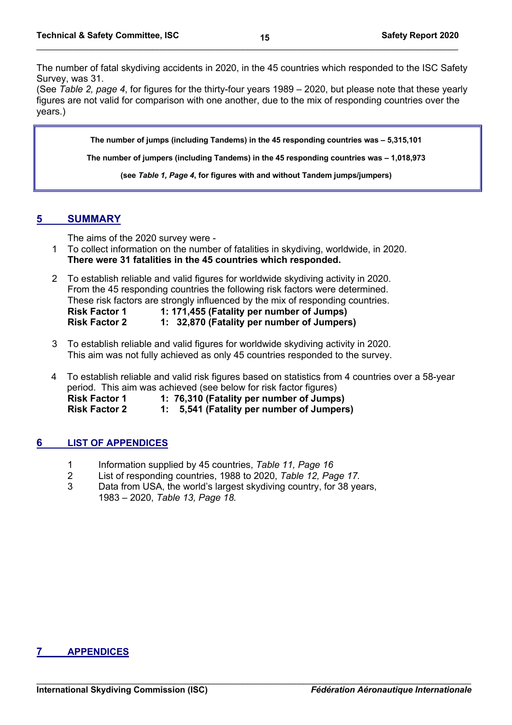The number of fatal skydiving accidents in 2020, in the 45 countries which responded to the ISC Safety Survey, was 31.

(See *Table 2, page 4*, for figures for the thirty-four years 1989 – 2020, but please note that these yearly figures are not valid for comparison with one another, due to the mix of responding countries over the years.)

**The number of jumps (including Tandems) in the 45 responding countries was – 5,315,101**

**The number of jumpers (including Tandems) in the 45 responding countries was – 1,018,973**

**(see** *Table 1, Page 4***, for figures with and without Tandem jumps/jumpers)**

# **5 SUMMARY**

The aims of the 2020 survey were -

- 1 To collect information on the number of fatalities in skydiving, worldwide, in 2020. **There were 31 fatalities in the 45 countries which responded.**
- 2 To establish reliable and valid figures for worldwide skydiving activity in 2020. From the 45 responding countries the following risk factors were determined. These risk factors are strongly influenced by the mix of responding countries. **Risk Factor 1 1: 171,455 (Fatality per number of Jumps) Risk Factor 2 1: 32,870 (Fatality per number of Jumpers)**
- 3 To establish reliable and valid figures for worldwide skydiving activity in 2020. This aim was not fully achieved as only 45 countries responded to the survey.
- 4 To establish reliable and valid risk figures based on statistics from 4 countries over a 58-year period. This aim was achieved (see below for risk factor figures) **Risk Factor 1 1: 76,310 (Fatality per number of Jumps) Risk Factor 2 1: 5,541 (Fatality per number of Jumpers)**

# **6 LIST OF APPENDICES**

- 1 Information supplied by 45 countries, *Table 11, Page 16*
- 2 List of responding countries, 1988 to 2020, *Table 12, Page 17.*
- 3 Data from USA, the world's largest skydiving country, for 38 years, 1983 – 2020, *Table 13, Page 18.*

# **7 APPENDICES**

**15**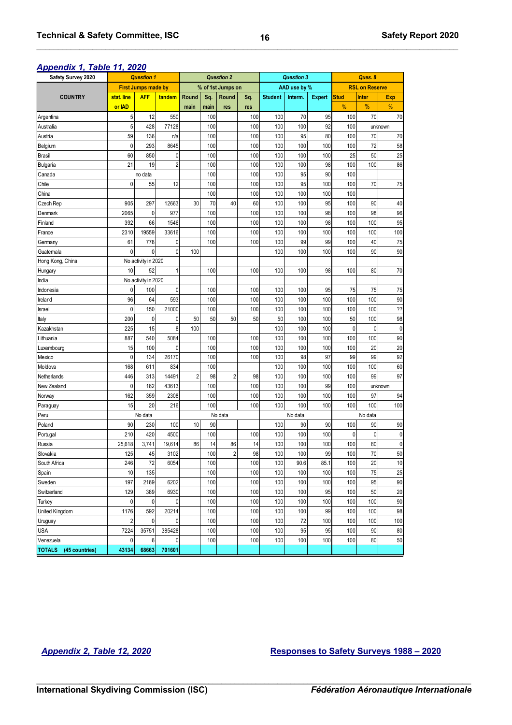# *Appendix 1, Table 11, 2020*

| Appendix I, Table II, 2020<br><b>Safety Survey 2020</b> | <b>Question 1</b> |                            |                |       | <b>Question 2</b> |                   |     | <b>Question 3</b> |              | Ques, 8       |                       |              |             |  |  |
|---------------------------------------------------------|-------------------|----------------------------|----------------|-------|-------------------|-------------------|-----|-------------------|--------------|---------------|-----------------------|--------------|-------------|--|--|
|                                                         |                   | <b>First Jumps made by</b> |                |       |                   | % of 1st Jumps on |     |                   | AAD use by % |               | <b>RSL on Reserve</b> |              |             |  |  |
| <b>COUNTRY</b>                                          | stat. line        | <b>AFF</b>                 | tandem         | Round | Sq.               | Round             | Sq. | <b>Student</b>    | Interm.      | <b>Expert</b> | <b>Stud</b>           | <b>Inter</b> | Exp         |  |  |
|                                                         | or IAD            |                            |                | main  | main              | res               | res |                   |              |               | %                     | %            | %           |  |  |
| Argentina                                               | 5                 | 12                         | 550            |       | 100               |                   | 100 | 100               | 70           | 95            | 100                   | 70           | 70          |  |  |
| Australia                                               | 5                 | 428                        | 77128          |       | 100               |                   | 100 | 100               | 100          | 92            | 100                   |              | unknown     |  |  |
| Austria                                                 | 59                | 136                        | n/a            |       | 100               |                   | 100 | 100               | 95           | 80            | 100                   | 70           | 70          |  |  |
| Belgium                                                 | $\mathbf{0}$      | 293                        | 8645           |       | 100               |                   | 100 | 100               | 100          | 100           | 100                   | 72           | 58          |  |  |
| <b>Brasil</b>                                           | 60                | 850                        | 0              |       | 100               |                   | 100 | 100               | 100          | 100           | 25                    | 50           | 25          |  |  |
| <b>Bulgaria</b>                                         | 21                | 19                         | $\overline{c}$ |       | 100               |                   | 100 | 100               | 100          | 98            | 100                   | 100          | 86          |  |  |
| Canada                                                  |                   | no data                    |                |       | 100               |                   | 100 | 100               | 95           | 90            | 100                   |              |             |  |  |
| Chile                                                   | $\mathbf{0}$      | 55                         | 12             |       | 100               |                   | 100 | 100               | 95           | 100           | 100                   | 70           | 75          |  |  |
| China                                                   |                   |                            |                |       | 100               |                   | 100 | 100               | 100          | 100           | 100                   |              |             |  |  |
| Czech Rep                                               | 905               | 297                        | 12663          | 30    | 70                | 40                | 60  | 100               | 100          | 95            | 100                   | 90           | 40          |  |  |
| Denmark                                                 | 2065              | 0                          | 977            |       | 100               |                   | 100 | 100               | 100          | 98            | 100                   | 98           | 96          |  |  |
| Finland                                                 | 392               | 66                         | 1546           |       | 100               |                   | 100 | 100               | 100          | 98            | 100                   | 100          | 95          |  |  |
| France                                                  | 2310              | 19559                      | 33616          |       | 100               |                   | 100 | 100               | 100          | 100           | 100                   | 100          | 100         |  |  |
| Germany                                                 | 61                | 778                        | 0              |       | 100               |                   | 100 | 100               | 99           | 99            | 100                   | 40           | 75          |  |  |
| Guatemala                                               | $\mathbf{0}$      | 0                          | $\mathbf 0$    | 100   |                   |                   |     | 100               | 100          | 100           | 100                   | 90           | 90          |  |  |
| Hong Kong, China                                        |                   | No activity in 2020        |                |       |                   |                   |     |                   |              |               |                       |              |             |  |  |
| Hungary                                                 | 10                | 52                         |                |       | 100               |                   | 100 | 100               | 100          | 98            | 100                   | 80           | 70          |  |  |
| India                                                   |                   | No activity in 2020        |                |       |                   |                   |     |                   |              |               |                       |              |             |  |  |
| Indonesia                                               | $\mathbf{0}$      | 100                        | 0              |       | 100               |                   | 100 | 100               | 100          | 95            | 75                    | 75           | 75          |  |  |
| Ireland                                                 | 96                | 64                         | 593            |       | 100               |                   | 100 | 100               | 100          | 100           | 100                   | 100          | 90          |  |  |
| Israel                                                  | $\pmb{0}$         | 150                        | 21000          |       | 100               |                   | 100 | 100               | 100          | 100           | 100                   | 100          | ??          |  |  |
| Italy                                                   | 200               | 0                          | 0              | 50    | 50                | 50                | 50  | 50                | 100          | 100           | 50                    | 100          | 98          |  |  |
| Kazakhstan                                              | 225               | 15                         | 8              | 100   |                   |                   |     | 100               | 100          | 100           | $\mathbf{0}$          | $\mathbf 0$  | $\mathbf 0$ |  |  |
| Lithuania                                               | 887               | 540                        | 5084           |       | 100               |                   | 100 | 100               | 100          | 100           | 100                   | 100          | 90          |  |  |
| Luxembourg                                              | 15                | 100                        | 0              |       | 100               |                   | 100 | 100               | 100          | 100           | 100                   | 20           | 20          |  |  |
| Mexico                                                  | $\mathbf{0}$      | 134                        | 26170          |       | 100               |                   | 100 | 100               | 98           | 97            | 99                    | 99           | 92          |  |  |
| Moldova                                                 | 168               | 611                        | 834            |       | 100               |                   |     | 100               | 100          | 100           | 100                   | 100          | 60          |  |  |
| Netherlands                                             | 446               | 313                        | 14491          | 2     | 98                | 2                 | 98  | 100               | 100          | 100           | 100                   | 99           | 97          |  |  |
| New Zealand                                             | $\mathbf{0}$      | 162                        | 43613          |       | 100               |                   | 100 | 100               | 100          | 99            | 100                   |              | unknown     |  |  |
| Norway                                                  | 162               | 359                        | 2308           |       | 100               |                   | 100 | 100               | 100          | 100           | 100                   | 97           | 94          |  |  |
| Paraguay                                                | 15                | 20                         | 216            |       | 100               |                   | 100 | 100               | 100          | 100           | 100                   | 100          | 100         |  |  |
| Peru                                                    |                   | No data                    |                |       |                   | No data           |     |                   | No data      |               |                       |              |             |  |  |
| Poland                                                  | 90                | 230                        | 100            | $10$  | 90                |                   |     | 100               | 90           | 90            | 100                   | 90           | 90          |  |  |
| Portugal                                                | 210               | 420                        | 4500           |       | 100               |                   | 100 | 100               | 100          | 100           | $\mathbf{0}$          | $\mathbf{0}$ | $\mathbf 0$ |  |  |
| Russia                                                  | 25,618            | 3,741                      | 19,614         | 86    | 14                | 86                | 14  | 100               | 100          | 100           | 100                   | 80           | $\pmb{0}$   |  |  |
| Slovakia                                                | 125               | 45                         | 3102           |       | 100               | $\overline{2}$    | 98  | 100               | 100          | 99            | 100                   | 70           | 50          |  |  |
| South Africa                                            | 246               | 72                         | 6054           |       | 100               |                   | 100 | 100               | 90.6         | 85.1          | 100                   | 20           | 10          |  |  |
| Spain                                                   | 10                | 135                        |                |       | 100               |                   | 100 | 100               | 100          | 100           | 100                   | 75           | 25          |  |  |
| Sweden                                                  | 197               | 2169                       | 6202           |       | 100               |                   | 100 | 100               | 100          | 100           | 100                   | 95           | 90          |  |  |
| Switzerland                                             | 129               | 389                        | 6930           |       | 100               |                   | 100 | 100               | 100          | 95            | 100                   | 50           | 20          |  |  |
| Turkey                                                  | $\pmb{0}$         | $\pmb{0}$                  | 0              |       | 100               |                   | 100 | 100               | 100          | 100           | 100                   | 100          | 90          |  |  |
| United Kingdom                                          | 1176              | 592                        | 20214          |       | 100               |                   | 100 | 100               | 100          | 99            | 100                   | 100          | 98          |  |  |
| Uruguay                                                 | $\overline{c}$    | $\pmb{0}$                  | $\mathbf 0$    |       | 100               |                   | 100 | 100               | 72           | 100           | 100                   | 100          | 100         |  |  |
| USA                                                     | 7224              | 35751                      | 385428         |       | 100               |                   | 100 | 100               | 95           | 95            | 100                   | 90           | 80          |  |  |
| Venezuela                                               | 0                 | 6                          | 0              |       | 100               |                   | 100 | 100               | 100          | 100           | 100                   | 80           | 50          |  |  |
| <b>TOTALS</b><br>(45 countries)                         | 43134             | 68663                      | 701601         |       |                   |                   |     |                   |              |               |                       |              |             |  |  |

# *Appendix 2, Table 12, 2020* **Responses to Safety Surveys 1988 – 2020**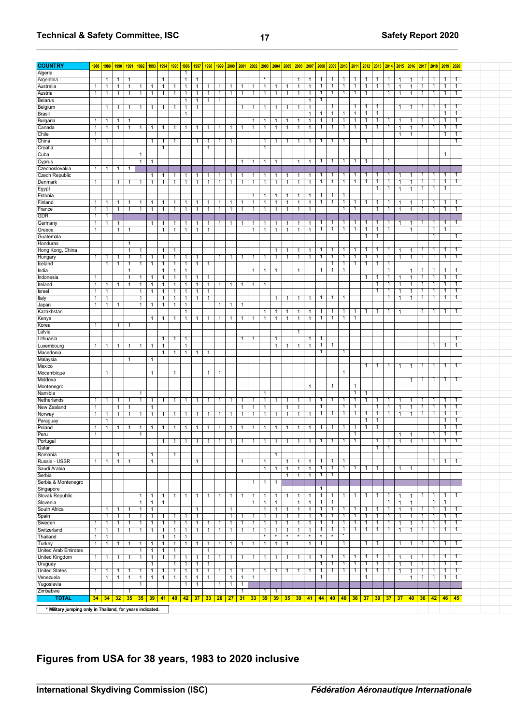# **Technical & Safety Committee, ISC 17 But a a set of the Safety Report 2020**

| Algeria<br>$\mathbf{1}$<br>Argentina<br>1<br>1<br>1<br>1<br>1<br>1<br>1<br>1<br>1<br>٠<br>1<br>1<br>1<br>1<br>1<br>1<br>1<br>1<br>Australia<br>1<br>1<br>$\mathbf{1}$<br>1<br>1<br>$\mathbf{1}$<br>1<br>$\mathbf{1}$<br>$\mathbf{1}$<br>1<br>$\mathbf{1}$<br>$\mathbf{1}$<br>1<br>$\mathbf{1}$<br>1<br>1<br>1<br>1<br>1<br>1<br>1<br>1<br>1<br>1<br>1<br>1<br>1<br>1<br>1<br>1<br>Austria<br>$\mathbf{1}$<br>$\mathbf{1}$<br>$\mathbf{1}$<br>$\mathbf{1}$<br>$\overline{1}$<br>$\mathbf{1}$<br>$\overline{1}$<br>1<br>1<br>1<br>1<br>1<br>1<br>$\mathbf{1}$<br>1<br>1<br>1<br>1<br>1<br>1<br>1<br>1<br>$\mathbf{1}$<br>1<br>1<br>1<br>1<br>1<br>1<br><b>Belarus</b><br>1<br>$\mathbf{1}$<br>1<br>$\mathbf{1}$<br>1<br>1<br>Belgium<br>1<br>1<br>1<br>1<br>1<br>1<br>1<br>1<br>1<br>1<br>1<br>1<br>1<br>1<br>1<br>1<br>1<br>-1<br>1<br>1<br>1<br>1<br><b>Brasil</b><br>1<br>1<br>1<br>1<br>1<br>1<br>1<br>Bulgaria<br>$\overline{1}$<br>1<br>1<br>1<br>1<br>1<br>1<br>1<br>1<br>-1<br>1<br>-1<br>-1<br>1<br>1<br>1<br>1<br>-1<br>1<br>1<br>Canada<br>$\overline{1}$<br>1<br>1<br>1<br>1<br>1<br>1<br>1<br>1<br>1<br>1<br>1<br>1<br>1<br>1<br>$\mathbf{1}$<br>1<br>1<br>1<br>1<br>1<br>1<br>1<br>1<br>1<br>1<br>1<br>1<br>1<br>1<br>Chile<br>1<br>1<br>1<br>China<br>1<br>1<br>1<br>1<br>1<br>1<br>1<br>-1<br>$\mathbf{1}$<br>1<br>1<br>1<br>1<br>1<br>1<br>1<br>1<br>1<br>Croatia<br>$\mathbf{1}$<br>$\mathbf{1}$<br>$\mathbf{1}$<br>Cuba<br>$\mathbf{1}$<br>1<br>Cyprus<br>$\mathbf{1}$<br>1<br>$\mathbf{1}$<br>$\mathbf{1}$<br>1<br>1<br>1<br>1<br>1<br>1<br>1<br>1<br>-1<br>Czechoslovakia<br>$\mathbf{1}$<br>$\mathbf{1}$<br>$\mathbf{1}$<br>1<br>Czech Republic<br>1<br>1<br>1<br>1<br>1<br>1<br>1<br>1<br>1<br>1<br>1<br>1<br>1<br>1<br>1<br>1<br>1<br>-1<br>1<br>1<br>1<br>1<br>1<br>Denmark<br>$\mathbf{1}$<br>$\mathbf{1}$<br>$\mathbf{1}$<br>$\mathbf{1}$<br>1<br>$\mathbf{1}$<br>$\mathbf{1}$<br>$\mathbf{1}$<br>1<br>1<br>1<br>1<br>1<br>1<br>1<br>1<br>1<br>1<br>1<br>1<br>1<br>1<br>1<br>1<br>1<br>-1<br>1<br>1<br>1<br>Egypt<br>1<br>1<br>$\mathbf{1}$<br>$\mathbf{1}$<br>1<br>Estonia<br>1<br>1<br>-1<br>1<br>1<br>$\mathbf{1}$<br>1<br>1<br>1<br>1<br>Finland<br>1<br>1<br>$\mathbf{1}$<br>1<br>$\mathbf{1}$<br>$\mathbf{1}$<br>1<br>1<br>1<br>1<br>1<br>1<br>1<br>1<br>1<br>1<br>1<br>1<br>1<br>1<br>1<br>1<br>1<br>1<br>$\mathbf{1}$<br>1<br>1<br>1<br>-1<br>$\mathbf{1}$<br>$\mathbf{1}$<br>$\overline{1}$<br>$\mathbf{1}$<br>1<br>1<br>1<br>1<br>$\mathbf{1}$<br>France<br>1<br>1<br>1<br>$\mathbf{1}$<br>1<br>1<br>$\mathbf{1}$<br>1<br>$\mathbf{1}$<br>1<br>1<br>1<br>1<br>$\mathbf{1}$<br>1<br>1<br>1<br>1<br><b>GDR</b><br>$\mathbf{1}$<br>1<br>$\mathbf{1}$<br>Germany<br>1<br>1<br>1<br>1<br>1<br>1<br>1<br>1<br>1<br>1<br>1<br>1<br>1<br>1<br>1<br>1<br>1<br>1<br>1<br>1<br>1<br>1<br>1<br>1<br>Greece<br>$\mathbf{1}$<br>1<br>$\mathbf{1}$<br>$\mathbf{1}$<br>$\mathbf{1}$<br>$\mathbf{1}$<br>$\mathbf{1}$<br>1<br>$\mathbf{1}$<br>1<br>1<br>1<br>1<br>1<br>1<br>1<br>1<br>1<br>1<br>1<br>1<br>1<br>Guatemala<br>1<br>1<br>Honduras<br>1<br>Hong Kong, China<br>1<br>1<br>1<br>1<br>1<br>1<br>1<br>1<br>1<br>1<br>$\mathbf{1}$<br>1<br>1<br>1<br>1<br>1<br>1<br>Hungary<br>1<br>1<br>1<br>$\mathbf{1}$<br>1<br>1<br>1<br>1<br>$\mathbf{1}$<br>1<br>1<br>1<br>$\mathbf{1}$<br>$\mathbf{1}$<br>1<br>1<br>1<br>1<br>1<br>1<br>1<br>1<br>1<br>1<br>1<br>1<br>1<br>1<br>1<br>1<br>Iceland<br>$\mathbf{1}$<br>$\overline{1}$<br>$\overline{1}$<br>$\mathbf{1}$<br>$\overline{1}$<br>1<br>1<br>1<br>1<br>1<br>1<br>1<br>$\mathbf{1}$<br>$\mathbf{1}$<br>1<br>India<br>1<br>1<br>1<br>1<br>1<br>1<br>1<br>1<br>1<br>1<br>1<br>1<br>1<br>-1<br>1<br>Indonesia<br>$\mathbf{1}$<br>1<br>1<br>1<br>1<br>1<br>1<br>1<br>1<br>1<br>1<br>1<br>1<br>Ireland<br>1<br>1<br>$\mathbf{1}$<br>1<br>1<br>$\mathbf{1}$<br>1<br>1<br>$\mathbf{1}$<br>$\mathbf{1}$<br>1<br>1<br>1<br>1<br>1<br>1<br>$\mathbf 1$<br>1<br>1<br>1<br>1<br>Israel<br>$\mathbf{1}$<br>$\mathbf{1}$<br>-1<br>1<br>1<br>1<br>1<br>1<br>1<br>$\mathbf{1}$<br>1<br>1<br>1<br>-1<br>Italy<br>1<br>1<br>$\mathbf{1}$<br>1<br>$\mathbf{1}$<br>1<br>1<br>1<br>1<br>1<br>1<br>1<br>1<br>1<br>1<br>1<br>1<br>-1<br>1<br>$\mathbf{1}$<br>Japan<br>$\mathbf{1}$<br>1<br>1<br>1<br>1<br>$\mathbf{1}$<br>1<br>1<br>1<br>1<br>1<br>1<br>1<br>1<br>Kazakhstan<br>1<br>$\mathbf{1}$<br>1<br>1<br>1<br>1<br>1<br>-1<br>1<br>1<br>$\mathbf{1}$<br>$\mathbf{1}$<br>Kenya<br>$\mathbf{1}$<br>$\mathbf{1}$<br>1<br>1<br>$\mathbf{1}$<br>$\mathbf{1}$<br>$\mathbf{1}$<br>1<br>1<br>$\mathbf{1}$<br>1<br>1<br>1<br>1<br>1<br>1<br>1<br>1<br>Korea<br>$\mathbf{1}$<br>1<br>1<br>Latvia<br>1<br>Lithuania<br>$\overline{1}$<br>1<br>1<br>1<br>1<br>1<br>1<br>$\mathbf{1}$<br>Luxembourg<br>$\mathbf{1}$<br>$\mathbf{1}$<br>1<br>1<br>1<br>1<br>1<br>1<br>$\mathbf{1}$<br>1<br>1<br>1<br>$\mathbf{1}$<br>1<br>Macedonia<br>1<br>1<br>1<br>1<br>$\mathbf{1}$<br>1<br>1<br>Malaysia<br>$\mathbf{1}$<br>1<br>Mexico<br>1<br>1<br>1<br>1<br>1<br>-1<br>Mocambique<br>1<br>1<br>1<br>1<br>$\mathbf{1}$<br>1<br>Moldova<br>1<br>1<br>Montenegro<br>1<br>1<br>1<br>1<br>Namibia<br>1<br>1<br>-1<br>$\overline{1}$<br>1<br>Netherlands<br>1<br>1<br>$\mathbf{1}$<br>1<br>1<br>$\mathbf{1}$<br>1<br>$\mathbf{1}$<br>$\mathbf{1}$<br>1<br>1<br>$\overline{1}$<br>1<br>1<br>1<br>1<br>1<br>1<br>1<br>1<br>1<br>1<br>1<br>1<br>$\mathbf{1}$<br>1<br>1<br>1<br>New Zealand<br>$\mathbf{1}$<br>1<br>1<br>1<br>1<br>1<br>1<br>1<br>1<br>1<br>1<br>1<br>$\mathbf{1}$<br>1<br>1<br>1<br>1<br>1<br>1<br>1<br>Norway<br>$\mathbf{1}$<br>$\mathbf{1}$<br>$\mathbf{1}$<br>1<br>1<br>$\mathbf{1}$<br>$\mathbf{1}$<br>1<br>1<br>1<br>1<br>1<br>1<br>1<br>1<br>1<br>$\mathbf{1}$<br>1<br>$\mathbf{1}$<br>1<br>1<br>1<br>1<br>1<br>-1<br>1<br>Paraguay<br>1<br>1<br>1<br>Poland<br>1<br>1<br>1<br>1<br>$\mathbf{1}$<br>$\mathbf{1}$<br>1<br>1<br>1<br>1<br>1<br>1<br>1<br>1<br>1<br>1<br>1<br>1<br>1<br>1<br>1<br>1<br>1<br>-1<br>1<br>1<br>Peru<br>$\overline{1}$<br>$\overline{1}$<br>$\overline{1}$<br>1<br>1<br>Portuga<br>$\overline{1}$<br>1<br>1<br>1<br>1<br>1<br>1<br>1<br>1<br>1<br>1<br>1<br>$\mathbf{1}$<br>1<br>1<br>1<br>1<br>1<br>1<br>1<br>1<br>1<br>-1<br>Qatar<br>1<br>1<br>Romania<br>$\mathbf{1}$<br>$\mathbf{1}$<br>$\mathbf{1}$<br>1<br>Russia - USSR<br>$\mathbf{1}$<br>$\mathbf{1}$<br>$\mathbf{1}$<br>$\mathbf{1}$<br>1<br>$\mathbf{1}$<br>1<br>1<br>1<br>$\mathbf{1}$<br>1<br>$\mathbf{1}$<br>1<br>-1<br>$\mathbf{1}$<br>Saudi Arabia<br>$\overline{1}$<br>1<br>1<br>1<br>1<br>$\mathbf{1}$<br>1<br>$\mathbf{1}$<br>$\mathbf{1}$<br>$\mathbf{1}$<br>1<br>$\mathbf{1}$<br>Serbia<br>1<br>1<br>$\mathbf{1}$<br>$\mathbf{1}$<br>1<br>Serbia & Montenegro<br>$\mathbf{1}$<br>1<br>1<br>Singapore<br>$\overline{1}$<br>Slovak Republic<br>$\mathbf{1}$<br>$\mathbf{1}$<br>$\mathbf{1}$<br>$\mathbf{1}$<br>$\mathbf{1}$<br>$\mathbf{1}$<br>$\mathbf{1}$<br>$\mathbf{1}$<br>1<br>$\mathbf{1}$<br>1<br>1<br>1<br>1<br>1<br>1<br>1<br>$\mathbf{1}$<br>$\mathbf{1}$<br>1<br>$\mathbf{1}$<br>1<br>1<br>1<br>1<br>1<br>Slovenia<br>$\mathbf{1}$<br>$\mathbf{1}$<br>1<br>1<br>1<br>$\mathbf{1}$<br>$\mathbf{1}$<br>1<br>1<br>1<br>1<br>$\mathbf{1}$<br>1<br>South Africa<br>$\overline{1}$<br>$\mathbf{1}$<br>$\mathbf{1}$<br>$\mathbf{1}$<br>$\mathbf{1}$<br>$\mathbf{1}$<br>1<br>1<br>$\mathbf{1}$<br>$\mathbf{1}$<br>$\mathbf{1}$<br>$\mathbf{1}$<br>$\mathbf{1}$<br>$\mathbf{1}$<br>$\mathbf{1}$<br>1<br>1<br>1<br>$\mathbf{1}$<br>$\mathbf{1}$<br>1<br>1<br>Spain<br>1<br>1<br>1<br>1<br>1<br>$\mathbf{1}$<br>1<br>$\mathbf{1}$<br>$\mathbf{1}$<br>$\mathbf{1}$<br>$\mathbf{1}$<br>$\mathbf{1}$<br>1<br>$\mathbf{1}$<br>$\mathbf{1}$<br>$\mathbf{1}$<br>1<br>1<br>1<br>1<br>1<br>1<br>1<br>1<br>$\mathbf{1}$<br>1<br>1<br>$\mathbf{1}$<br>$\mathbf{1}$<br>$\mathbf{1}$<br>1<br>1<br>1<br>1<br>$\mathbf{1}$<br>$\mathbf{1}$<br>Sweden<br>1<br>$\mathbf{1}$<br>1<br>$\mathbf{1}$<br>$\mathbf{1}$<br>1<br>$\mathbf{1}$<br>$\mathbf{1}$<br>$\mathbf{1}$<br>$\mathbf{1}$<br>$\mathbf{1}$<br>$\mathbf{1}$<br>1<br>$\mathbf{1}$<br>$\mathbf{1}$<br>$\mathbf{1}$<br>1<br>1<br>1<br>1<br>1<br>$\mathbf{1}$<br>$\mathbf{1}$<br>$\mathbf{1}$<br>1<br>Switzerland<br>$\mathbf{1}$<br>$\mathbf{1}$<br>$\mathbf{1}$<br>$\overline{1}$<br>$\mathbf{1}$<br>$\mathbf{1}$<br>$\overline{1}$<br>$\mathbf{1}$<br>$\mathbf{1}$<br>$\mathbf{1}$<br>$\mathbf{1}$<br>$\mathbf{1}$<br>$\overline{1}$<br>$\mathbf{1}$<br>$\overline{1}$<br>$\mathbf{1}$<br>$\overline{1}$<br>$\mathbf{1}$<br>1<br>1<br>$\mathbf{1}$<br>$\overline{1}$<br>$\overline{1}$<br>1<br>1<br>$\mathbf{1}$<br>Thailand<br>$^\star$<br>$\star$<br>×<br>$\mathbf{1}$<br>$\star$<br>*<br>1<br>1<br>1<br>1<br>*<br>*<br>Turkey | <b>COUNTRY</b> | 1988         | 1989         | 1990         | 1991         | 1992         | 1993 | 1994 | 1995         | 1996         | 1997         | 1998         | 1999 | 2000 |              | $2001$ 2002  | 2003         | 2004 | 2005 | 2006 | 2007         | 2008           | 2009 | 2010         | 2011 | 2012 | 2013 2014 |   | 2015 2016 2017 |              |                | 2018 2019  | 2020   |
|---------------------------------------------------------------------------------------------------------------------------------------------------------------------------------------------------------------------------------------------------------------------------------------------------------------------------------------------------------------------------------------------------------------------------------------------------------------------------------------------------------------------------------------------------------------------------------------------------------------------------------------------------------------------------------------------------------------------------------------------------------------------------------------------------------------------------------------------------------------------------------------------------------------------------------------------------------------------------------------------------------------------------------------------------------------------------------------------------------------------------------------------------------------------------------------------------------------------------------------------------------------------------------------------------------------------------------------------------------------------------------------------------------------------------------------------------------------------------------------------------------------------------------------------------------------------------------------------------------------------------------------------------------------------------------------------------------------------------------------------------------------------------------------------------------------------------------------------------------------------------------------------------------------------------------------------------------------------------------------------------------------------------------------------------------------------------------------------------------------------------------------------------------------------------------------------------------------------------------------------------------------------------------------------------------------------------------------------------------------------------------------------------------------------------------------------------------------------------------------------------------------------------------------------------------------------------------------------------------------------------------------------------------------------------------------------------------------------------------------------------------------------------------------------------------------------------------------------------------------------------------------------------------------------------------------------------------------------------------------------------------------------------------------------------------------------------------------------------------------------------------------------------------------------------------------------------------------------------------------------------------------------------------------------------------------------------------------------------------------------------------------------------------------------------------------------------------------------------------------------------------------------------------------------------------------------------------------------------------------------------------------------------------------------------------------------------------------------------------------------------------------------------------------------------------------------------------------------------------------------------------------------------------------------------------------------------------------------------------------------------------------------------------------------------------------------------------------------------------------------------------------------------------------------------------------------------------------------------------------------------------------------------------------------------------------------------------------------------------------------------------------------------------------------------------------------------------------------------------------------------------------------------------------------------------------------------------------------------------------------------------------------------------------------------------------------------------------------------------------------------------------------------------------------------------------------------------------------------------------------------------------------------------------------------------------------------------------------------------------------------------------------------------------------------------------------------------------------------------------------------------------------------------------------------------------------------------------------------------------------------------------------------------------------------------------------------------------------------------------------------------------------------------------------------------------------------------------------------------------------------------------------------------------------------------------------------------------------------------------------------------------------------------------------------------------------------------------------------------------------------------------------------------------------------------------------------------------------------------------------------------------------------------------------------------------------------------------------------------------------------------------------------------------------------------------------------------------------------------------------------------------------------------------------------------------------------------------------------------------------------------------------------------------------------------------------------------------------------------------------------------------------------------------------------------------------------------------------------------------------------------------------------------------------------------------------------------------------------------------------------------------------------------------------------------------------------------------------------------------------------------------------------------------------------------------------------------------------------------------------------------------------------------------------------------------------------------------------------------------------------------------------------------------------------------------------------------------------------------------------------------------------------------------------------------------------------------------------------------------------------------------------------------------------------------------------------------------------------------------------------------------------------------------------------------------------------------------------------------------------------------------------------------------------------------------------------------------------------------------------------------------------------------------------------------------------------------------------------------------------------------------------------------------------------------------------------------------------------------------------------------------------------------------------------------------------------------------------------------------------------------------------------------------------------------------------------------------------------------------------------------------------------------------------------------------------------------------------------------------------------------------------------------------------------------------------------------------------------------------------------------------------------------------------------------------------------------------------------------------------------------------------------------------------------------------------------------------------------------------------------------------------------------------------------------------------------------------------|----------------|--------------|--------------|--------------|--------------|--------------|------|------|--------------|--------------|--------------|--------------|------|------|--------------|--------------|--------------|------|------|------|--------------|----------------|------|--------------|------|------|-----------|---|----------------|--------------|----------------|------------|--------|
|                                                                                                                                                                                                                                                                                                                                                                                                                                                                                                                                                                                                                                                                                                                                                                                                                                                                                                                                                                                                                                                                                                                                                                                                                                                                                                                                                                                                                                                                                                                                                                                                                                                                                                                                                                                                                                                                                                                                                                                                                                                                                                                                                                                                                                                                                                                                                                                                                                                                                                                                                                                                                                                                                                                                                                                                                                                                                                                                                                                                                                                                                                                                                                                                                                                                                                                                                                                                                                                                                                                                                                                                                                                                                                                                                                                                                                                                                                                                                                                                                                                                                                                                                                                                                                                                                                                                                                                                                                                                                                                                                                                                                                                                                                                                                                                                                                                                                                                                                                                                                                                                                                                                                                                                                                                                                                                                                                                                                                                                                                                                                                                                                                                                                                                                                                                                                                                                                                                                                                                                                                                                                                                                                                                                                                                                                                                                                                                                                                                                                                                                                                                                                                                                                                                                                                                                                                                                                                                                                                                                                                                                                                                                                                                                                                                                                                                                                                                                                                                                                                                                                                                                                                                                                                                                                                                                                                                                                                                                                                                                                                                                                                                                                                                                                                                                                                                                                                                                                                                                                                                                                                                                                                                                                                                     |                |              |              |              |              |              |      |      |              |              |              |              |      |      |              |              |              |      |      |      |              |                |      |              |      |      |           |   |                |              |                |            |        |
|                                                                                                                                                                                                                                                                                                                                                                                                                                                                                                                                                                                                                                                                                                                                                                                                                                                                                                                                                                                                                                                                                                                                                                                                                                                                                                                                                                                                                                                                                                                                                                                                                                                                                                                                                                                                                                                                                                                                                                                                                                                                                                                                                                                                                                                                                                                                                                                                                                                                                                                                                                                                                                                                                                                                                                                                                                                                                                                                                                                                                                                                                                                                                                                                                                                                                                                                                                                                                                                                                                                                                                                                                                                                                                                                                                                                                                                                                                                                                                                                                                                                                                                                                                                                                                                                                                                                                                                                                                                                                                                                                                                                                                                                                                                                                                                                                                                                                                                                                                                                                                                                                                                                                                                                                                                                                                                                                                                                                                                                                                                                                                                                                                                                                                                                                                                                                                                                                                                                                                                                                                                                                                                                                                                                                                                                                                                                                                                                                                                                                                                                                                                                                                                                                                                                                                                                                                                                                                                                                                                                                                                                                                                                                                                                                                                                                                                                                                                                                                                                                                                                                                                                                                                                                                                                                                                                                                                                                                                                                                                                                                                                                                                                                                                                                                                                                                                                                                                                                                                                                                                                                                                                                                                                                                                     |                |              |              |              |              |              |      |      |              |              |              |              |      |      |              |              |              |      |      |      |              |                |      |              |      |      |           |   |                |              | 1              | 1          | 1      |
|                                                                                                                                                                                                                                                                                                                                                                                                                                                                                                                                                                                                                                                                                                                                                                                                                                                                                                                                                                                                                                                                                                                                                                                                                                                                                                                                                                                                                                                                                                                                                                                                                                                                                                                                                                                                                                                                                                                                                                                                                                                                                                                                                                                                                                                                                                                                                                                                                                                                                                                                                                                                                                                                                                                                                                                                                                                                                                                                                                                                                                                                                                                                                                                                                                                                                                                                                                                                                                                                                                                                                                                                                                                                                                                                                                                                                                                                                                                                                                                                                                                                                                                                                                                                                                                                                                                                                                                                                                                                                                                                                                                                                                                                                                                                                                                                                                                                                                                                                                                                                                                                                                                                                                                                                                                                                                                                                                                                                                                                                                                                                                                                                                                                                                                                                                                                                                                                                                                                                                                                                                                                                                                                                                                                                                                                                                                                                                                                                                                                                                                                                                                                                                                                                                                                                                                                                                                                                                                                                                                                                                                                                                                                                                                                                                                                                                                                                                                                                                                                                                                                                                                                                                                                                                                                                                                                                                                                                                                                                                                                                                                                                                                                                                                                                                                                                                                                                                                                                                                                                                                                                                                                                                                                                                                     |                |              |              |              |              |              |      |      |              |              |              |              |      |      |              |              |              |      |      |      |              |                |      |              |      |      |           |   |                |              | 1              | 1          | 1      |
|                                                                                                                                                                                                                                                                                                                                                                                                                                                                                                                                                                                                                                                                                                                                                                                                                                                                                                                                                                                                                                                                                                                                                                                                                                                                                                                                                                                                                                                                                                                                                                                                                                                                                                                                                                                                                                                                                                                                                                                                                                                                                                                                                                                                                                                                                                                                                                                                                                                                                                                                                                                                                                                                                                                                                                                                                                                                                                                                                                                                                                                                                                                                                                                                                                                                                                                                                                                                                                                                                                                                                                                                                                                                                                                                                                                                                                                                                                                                                                                                                                                                                                                                                                                                                                                                                                                                                                                                                                                                                                                                                                                                                                                                                                                                                                                                                                                                                                                                                                                                                                                                                                                                                                                                                                                                                                                                                                                                                                                                                                                                                                                                                                                                                                                                                                                                                                                                                                                                                                                                                                                                                                                                                                                                                                                                                                                                                                                                                                                                                                                                                                                                                                                                                                                                                                                                                                                                                                                                                                                                                                                                                                                                                                                                                                                                                                                                                                                                                                                                                                                                                                                                                                                                                                                                                                                                                                                                                                                                                                                                                                                                                                                                                                                                                                                                                                                                                                                                                                                                                                                                                                                                                                                                                                                     |                |              |              |              |              |              |      |      |              |              |              |              |      |      |              |              |              |      |      |      |              |                |      |              |      |      |           |   |                |              | 1              | 1          | 1      |
|                                                                                                                                                                                                                                                                                                                                                                                                                                                                                                                                                                                                                                                                                                                                                                                                                                                                                                                                                                                                                                                                                                                                                                                                                                                                                                                                                                                                                                                                                                                                                                                                                                                                                                                                                                                                                                                                                                                                                                                                                                                                                                                                                                                                                                                                                                                                                                                                                                                                                                                                                                                                                                                                                                                                                                                                                                                                                                                                                                                                                                                                                                                                                                                                                                                                                                                                                                                                                                                                                                                                                                                                                                                                                                                                                                                                                                                                                                                                                                                                                                                                                                                                                                                                                                                                                                                                                                                                                                                                                                                                                                                                                                                                                                                                                                                                                                                                                                                                                                                                                                                                                                                                                                                                                                                                                                                                                                                                                                                                                                                                                                                                                                                                                                                                                                                                                                                                                                                                                                                                                                                                                                                                                                                                                                                                                                                                                                                                                                                                                                                                                                                                                                                                                                                                                                                                                                                                                                                                                                                                                                                                                                                                                                                                                                                                                                                                                                                                                                                                                                                                                                                                                                                                                                                                                                                                                                                                                                                                                                                                                                                                                                                                                                                                                                                                                                                                                                                                                                                                                                                                                                                                                                                                                                                     |                |              |              |              |              |              |      |      |              |              |              |              |      |      |              |              |              |      |      |      |              |                |      |              |      |      |           |   |                |              |                |            |        |
|                                                                                                                                                                                                                                                                                                                                                                                                                                                                                                                                                                                                                                                                                                                                                                                                                                                                                                                                                                                                                                                                                                                                                                                                                                                                                                                                                                                                                                                                                                                                                                                                                                                                                                                                                                                                                                                                                                                                                                                                                                                                                                                                                                                                                                                                                                                                                                                                                                                                                                                                                                                                                                                                                                                                                                                                                                                                                                                                                                                                                                                                                                                                                                                                                                                                                                                                                                                                                                                                                                                                                                                                                                                                                                                                                                                                                                                                                                                                                                                                                                                                                                                                                                                                                                                                                                                                                                                                                                                                                                                                                                                                                                                                                                                                                                                                                                                                                                                                                                                                                                                                                                                                                                                                                                                                                                                                                                                                                                                                                                                                                                                                                                                                                                                                                                                                                                                                                                                                                                                                                                                                                                                                                                                                                                                                                                                                                                                                                                                                                                                                                                                                                                                                                                                                                                                                                                                                                                                                                                                                                                                                                                                                                                                                                                                                                                                                                                                                                                                                                                                                                                                                                                                                                                                                                                                                                                                                                                                                                                                                                                                                                                                                                                                                                                                                                                                                                                                                                                                                                                                                                                                                                                                                                                                     |                |              |              |              |              |              |      |      |              |              |              |              |      |      |              |              |              |      |      |      |              |                |      |              |      |      |           |   |                |              | 1              | 1          | 1      |
|                                                                                                                                                                                                                                                                                                                                                                                                                                                                                                                                                                                                                                                                                                                                                                                                                                                                                                                                                                                                                                                                                                                                                                                                                                                                                                                                                                                                                                                                                                                                                                                                                                                                                                                                                                                                                                                                                                                                                                                                                                                                                                                                                                                                                                                                                                                                                                                                                                                                                                                                                                                                                                                                                                                                                                                                                                                                                                                                                                                                                                                                                                                                                                                                                                                                                                                                                                                                                                                                                                                                                                                                                                                                                                                                                                                                                                                                                                                                                                                                                                                                                                                                                                                                                                                                                                                                                                                                                                                                                                                                                                                                                                                                                                                                                                                                                                                                                                                                                                                                                                                                                                                                                                                                                                                                                                                                                                                                                                                                                                                                                                                                                                                                                                                                                                                                                                                                                                                                                                                                                                                                                                                                                                                                                                                                                                                                                                                                                                                                                                                                                                                                                                                                                                                                                                                                                                                                                                                                                                                                                                                                                                                                                                                                                                                                                                                                                                                                                                                                                                                                                                                                                                                                                                                                                                                                                                                                                                                                                                                                                                                                                                                                                                                                                                                                                                                                                                                                                                                                                                                                                                                                                                                                                                                     |                |              |              |              |              |              |      |      |              |              |              |              |      |      |              |              |              |      |      |      |              |                |      |              |      |      |           |   |                |              |                | 1          | 1      |
|                                                                                                                                                                                                                                                                                                                                                                                                                                                                                                                                                                                                                                                                                                                                                                                                                                                                                                                                                                                                                                                                                                                                                                                                                                                                                                                                                                                                                                                                                                                                                                                                                                                                                                                                                                                                                                                                                                                                                                                                                                                                                                                                                                                                                                                                                                                                                                                                                                                                                                                                                                                                                                                                                                                                                                                                                                                                                                                                                                                                                                                                                                                                                                                                                                                                                                                                                                                                                                                                                                                                                                                                                                                                                                                                                                                                                                                                                                                                                                                                                                                                                                                                                                                                                                                                                                                                                                                                                                                                                                                                                                                                                                                                                                                                                                                                                                                                                                                                                                                                                                                                                                                                                                                                                                                                                                                                                                                                                                                                                                                                                                                                                                                                                                                                                                                                                                                                                                                                                                                                                                                                                                                                                                                                                                                                                                                                                                                                                                                                                                                                                                                                                                                                                                                                                                                                                                                                                                                                                                                                                                                                                                                                                                                                                                                                                                                                                                                                                                                                                                                                                                                                                                                                                                                                                                                                                                                                                                                                                                                                                                                                                                                                                                                                                                                                                                                                                                                                                                                                                                                                                                                                                                                                                                                     |                |              |              |              |              |              |      |      |              |              |              |              |      |      |              |              |              |      |      |      |              |                |      |              |      |      |           |   |                |              | 1              | 1          | 1      |
|                                                                                                                                                                                                                                                                                                                                                                                                                                                                                                                                                                                                                                                                                                                                                                                                                                                                                                                                                                                                                                                                                                                                                                                                                                                                                                                                                                                                                                                                                                                                                                                                                                                                                                                                                                                                                                                                                                                                                                                                                                                                                                                                                                                                                                                                                                                                                                                                                                                                                                                                                                                                                                                                                                                                                                                                                                                                                                                                                                                                                                                                                                                                                                                                                                                                                                                                                                                                                                                                                                                                                                                                                                                                                                                                                                                                                                                                                                                                                                                                                                                                                                                                                                                                                                                                                                                                                                                                                                                                                                                                                                                                                                                                                                                                                                                                                                                                                                                                                                                                                                                                                                                                                                                                                                                                                                                                                                                                                                                                                                                                                                                                                                                                                                                                                                                                                                                                                                                                                                                                                                                                                                                                                                                                                                                                                                                                                                                                                                                                                                                                                                                                                                                                                                                                                                                                                                                                                                                                                                                                                                                                                                                                                                                                                                                                                                                                                                                                                                                                                                                                                                                                                                                                                                                                                                                                                                                                                                                                                                                                                                                                                                                                                                                                                                                                                                                                                                                                                                                                                                                                                                                                                                                                                                                     |                |              |              |              |              |              |      |      |              |              |              |              |      |      |              |              |              |      |      |      |              |                |      |              |      |      |           |   |                |              | 1              | 1          | 1      |
|                                                                                                                                                                                                                                                                                                                                                                                                                                                                                                                                                                                                                                                                                                                                                                                                                                                                                                                                                                                                                                                                                                                                                                                                                                                                                                                                                                                                                                                                                                                                                                                                                                                                                                                                                                                                                                                                                                                                                                                                                                                                                                                                                                                                                                                                                                                                                                                                                                                                                                                                                                                                                                                                                                                                                                                                                                                                                                                                                                                                                                                                                                                                                                                                                                                                                                                                                                                                                                                                                                                                                                                                                                                                                                                                                                                                                                                                                                                                                                                                                                                                                                                                                                                                                                                                                                                                                                                                                                                                                                                                                                                                                                                                                                                                                                                                                                                                                                                                                                                                                                                                                                                                                                                                                                                                                                                                                                                                                                                                                                                                                                                                                                                                                                                                                                                                                                                                                                                                                                                                                                                                                                                                                                                                                                                                                                                                                                                                                                                                                                                                                                                                                                                                                                                                                                                                                                                                                                                                                                                                                                                                                                                                                                                                                                                                                                                                                                                                                                                                                                                                                                                                                                                                                                                                                                                                                                                                                                                                                                                                                                                                                                                                                                                                                                                                                                                                                                                                                                                                                                                                                                                                                                                                                                                     |                |              |              |              |              |              |      |      |              |              |              |              |      |      |              |              |              |      |      |      |              |                |      |              |      |      |           |   |                |              |                | 1          | 1      |
|                                                                                                                                                                                                                                                                                                                                                                                                                                                                                                                                                                                                                                                                                                                                                                                                                                                                                                                                                                                                                                                                                                                                                                                                                                                                                                                                                                                                                                                                                                                                                                                                                                                                                                                                                                                                                                                                                                                                                                                                                                                                                                                                                                                                                                                                                                                                                                                                                                                                                                                                                                                                                                                                                                                                                                                                                                                                                                                                                                                                                                                                                                                                                                                                                                                                                                                                                                                                                                                                                                                                                                                                                                                                                                                                                                                                                                                                                                                                                                                                                                                                                                                                                                                                                                                                                                                                                                                                                                                                                                                                                                                                                                                                                                                                                                                                                                                                                                                                                                                                                                                                                                                                                                                                                                                                                                                                                                                                                                                                                                                                                                                                                                                                                                                                                                                                                                                                                                                                                                                                                                                                                                                                                                                                                                                                                                                                                                                                                                                                                                                                                                                                                                                                                                                                                                                                                                                                                                                                                                                                                                                                                                                                                                                                                                                                                                                                                                                                                                                                                                                                                                                                                                                                                                                                                                                                                                                                                                                                                                                                                                                                                                                                                                                                                                                                                                                                                                                                                                                                                                                                                                                                                                                                                                                     |                |              |              |              |              |              |      |      |              |              |              |              |      |      |              |              |              |      |      |      |              |                |      |              |      |      |           |   |                |              |                |            | 1      |
|                                                                                                                                                                                                                                                                                                                                                                                                                                                                                                                                                                                                                                                                                                                                                                                                                                                                                                                                                                                                                                                                                                                                                                                                                                                                                                                                                                                                                                                                                                                                                                                                                                                                                                                                                                                                                                                                                                                                                                                                                                                                                                                                                                                                                                                                                                                                                                                                                                                                                                                                                                                                                                                                                                                                                                                                                                                                                                                                                                                                                                                                                                                                                                                                                                                                                                                                                                                                                                                                                                                                                                                                                                                                                                                                                                                                                                                                                                                                                                                                                                                                                                                                                                                                                                                                                                                                                                                                                                                                                                                                                                                                                                                                                                                                                                                                                                                                                                                                                                                                                                                                                                                                                                                                                                                                                                                                                                                                                                                                                                                                                                                                                                                                                                                                                                                                                                                                                                                                                                                                                                                                                                                                                                                                                                                                                                                                                                                                                                                                                                                                                                                                                                                                                                                                                                                                                                                                                                                                                                                                                                                                                                                                                                                                                                                                                                                                                                                                                                                                                                                                                                                                                                                                                                                                                                                                                                                                                                                                                                                                                                                                                                                                                                                                                                                                                                                                                                                                                                                                                                                                                                                                                                                                                                                     |                |              |              |              |              |              |      |      |              |              |              |              |      |      |              |              |              |      |      |      |              |                |      |              |      |      |           |   |                |              |                |            |        |
|                                                                                                                                                                                                                                                                                                                                                                                                                                                                                                                                                                                                                                                                                                                                                                                                                                                                                                                                                                                                                                                                                                                                                                                                                                                                                                                                                                                                                                                                                                                                                                                                                                                                                                                                                                                                                                                                                                                                                                                                                                                                                                                                                                                                                                                                                                                                                                                                                                                                                                                                                                                                                                                                                                                                                                                                                                                                                                                                                                                                                                                                                                                                                                                                                                                                                                                                                                                                                                                                                                                                                                                                                                                                                                                                                                                                                                                                                                                                                                                                                                                                                                                                                                                                                                                                                                                                                                                                                                                                                                                                                                                                                                                                                                                                                                                                                                                                                                                                                                                                                                                                                                                                                                                                                                                                                                                                                                                                                                                                                                                                                                                                                                                                                                                                                                                                                                                                                                                                                                                                                                                                                                                                                                                                                                                                                                                                                                                                                                                                                                                                                                                                                                                                                                                                                                                                                                                                                                                                                                                                                                                                                                                                                                                                                                                                                                                                                                                                                                                                                                                                                                                                                                                                                                                                                                                                                                                                                                                                                                                                                                                                                                                                                                                                                                                                                                                                                                                                                                                                                                                                                                                                                                                                                                                     |                |              |              |              |              |              |      |      |              |              |              |              |      |      |              |              |              |      |      |      |              |                |      |              |      |      |           |   |                |              |                | 1          |        |
|                                                                                                                                                                                                                                                                                                                                                                                                                                                                                                                                                                                                                                                                                                                                                                                                                                                                                                                                                                                                                                                                                                                                                                                                                                                                                                                                                                                                                                                                                                                                                                                                                                                                                                                                                                                                                                                                                                                                                                                                                                                                                                                                                                                                                                                                                                                                                                                                                                                                                                                                                                                                                                                                                                                                                                                                                                                                                                                                                                                                                                                                                                                                                                                                                                                                                                                                                                                                                                                                                                                                                                                                                                                                                                                                                                                                                                                                                                                                                                                                                                                                                                                                                                                                                                                                                                                                                                                                                                                                                                                                                                                                                                                                                                                                                                                                                                                                                                                                                                                                                                                                                                                                                                                                                                                                                                                                                                                                                                                                                                                                                                                                                                                                                                                                                                                                                                                                                                                                                                                                                                                                                                                                                                                                                                                                                                                                                                                                                                                                                                                                                                                                                                                                                                                                                                                                                                                                                                                                                                                                                                                                                                                                                                                                                                                                                                                                                                                                                                                                                                                                                                                                                                                                                                                                                                                                                                                                                                                                                                                                                                                                                                                                                                                                                                                                                                                                                                                                                                                                                                                                                                                                                                                                                                                     |                |              |              |              |              |              |      |      |              |              |              |              |      |      |              |              |              |      |      |      |              |                |      |              |      |      |           |   |                |              |                |            |        |
|                                                                                                                                                                                                                                                                                                                                                                                                                                                                                                                                                                                                                                                                                                                                                                                                                                                                                                                                                                                                                                                                                                                                                                                                                                                                                                                                                                                                                                                                                                                                                                                                                                                                                                                                                                                                                                                                                                                                                                                                                                                                                                                                                                                                                                                                                                                                                                                                                                                                                                                                                                                                                                                                                                                                                                                                                                                                                                                                                                                                                                                                                                                                                                                                                                                                                                                                                                                                                                                                                                                                                                                                                                                                                                                                                                                                                                                                                                                                                                                                                                                                                                                                                                                                                                                                                                                                                                                                                                                                                                                                                                                                                                                                                                                                                                                                                                                                                                                                                                                                                                                                                                                                                                                                                                                                                                                                                                                                                                                                                                                                                                                                                                                                                                                                                                                                                                                                                                                                                                                                                                                                                                                                                                                                                                                                                                                                                                                                                                                                                                                                                                                                                                                                                                                                                                                                                                                                                                                                                                                                                                                                                                                                                                                                                                                                                                                                                                                                                                                                                                                                                                                                                                                                                                                                                                                                                                                                                                                                                                                                                                                                                                                                                                                                                                                                                                                                                                                                                                                                                                                                                                                                                                                                                                                     |                |              |              |              |              |              |      |      |              |              |              |              |      |      |              |              |              |      |      |      |              |                |      |              |      |      |           |   |                |              |                | 1          | 1      |
|                                                                                                                                                                                                                                                                                                                                                                                                                                                                                                                                                                                                                                                                                                                                                                                                                                                                                                                                                                                                                                                                                                                                                                                                                                                                                                                                                                                                                                                                                                                                                                                                                                                                                                                                                                                                                                                                                                                                                                                                                                                                                                                                                                                                                                                                                                                                                                                                                                                                                                                                                                                                                                                                                                                                                                                                                                                                                                                                                                                                                                                                                                                                                                                                                                                                                                                                                                                                                                                                                                                                                                                                                                                                                                                                                                                                                                                                                                                                                                                                                                                                                                                                                                                                                                                                                                                                                                                                                                                                                                                                                                                                                                                                                                                                                                                                                                                                                                                                                                                                                                                                                                                                                                                                                                                                                                                                                                                                                                                                                                                                                                                                                                                                                                                                                                                                                                                                                                                                                                                                                                                                                                                                                                                                                                                                                                                                                                                                                                                                                                                                                                                                                                                                                                                                                                                                                                                                                                                                                                                                                                                                                                                                                                                                                                                                                                                                                                                                                                                                                                                                                                                                                                                                                                                                                                                                                                                                                                                                                                                                                                                                                                                                                                                                                                                                                                                                                                                                                                                                                                                                                                                                                                                                                                                     |                |              |              |              |              |              |      |      |              |              |              |              |      |      |              |              |              |      |      |      |              |                |      |              |      |      |           |   |                |              | 1              | 1          | 1      |
|                                                                                                                                                                                                                                                                                                                                                                                                                                                                                                                                                                                                                                                                                                                                                                                                                                                                                                                                                                                                                                                                                                                                                                                                                                                                                                                                                                                                                                                                                                                                                                                                                                                                                                                                                                                                                                                                                                                                                                                                                                                                                                                                                                                                                                                                                                                                                                                                                                                                                                                                                                                                                                                                                                                                                                                                                                                                                                                                                                                                                                                                                                                                                                                                                                                                                                                                                                                                                                                                                                                                                                                                                                                                                                                                                                                                                                                                                                                                                                                                                                                                                                                                                                                                                                                                                                                                                                                                                                                                                                                                                                                                                                                                                                                                                                                                                                                                                                                                                                                                                                                                                                                                                                                                                                                                                                                                                                                                                                                                                                                                                                                                                                                                                                                                                                                                                                                                                                                                                                                                                                                                                                                                                                                                                                                                                                                                                                                                                                                                                                                                                                                                                                                                                                                                                                                                                                                                                                                                                                                                                                                                                                                                                                                                                                                                                                                                                                                                                                                                                                                                                                                                                                                                                                                                                                                                                                                                                                                                                                                                                                                                                                                                                                                                                                                                                                                                                                                                                                                                                                                                                                                                                                                                                                                     |                |              |              |              |              |              |      |      |              |              |              |              |      |      |              |              |              |      |      |      |              |                |      |              |      |      |           |   |                |              | 1              | 1          |        |
|                                                                                                                                                                                                                                                                                                                                                                                                                                                                                                                                                                                                                                                                                                                                                                                                                                                                                                                                                                                                                                                                                                                                                                                                                                                                                                                                                                                                                                                                                                                                                                                                                                                                                                                                                                                                                                                                                                                                                                                                                                                                                                                                                                                                                                                                                                                                                                                                                                                                                                                                                                                                                                                                                                                                                                                                                                                                                                                                                                                                                                                                                                                                                                                                                                                                                                                                                                                                                                                                                                                                                                                                                                                                                                                                                                                                                                                                                                                                                                                                                                                                                                                                                                                                                                                                                                                                                                                                                                                                                                                                                                                                                                                                                                                                                                                                                                                                                                                                                                                                                                                                                                                                                                                                                                                                                                                                                                                                                                                                                                                                                                                                                                                                                                                                                                                                                                                                                                                                                                                                                                                                                                                                                                                                                                                                                                                                                                                                                                                                                                                                                                                                                                                                                                                                                                                                                                                                                                                                                                                                                                                                                                                                                                                                                                                                                                                                                                                                                                                                                                                                                                                                                                                                                                                                                                                                                                                                                                                                                                                                                                                                                                                                                                                                                                                                                                                                                                                                                                                                                                                                                                                                                                                                                                                     |                |              |              |              |              |              |      |      |              |              |              |              |      |      |              |              |              |      |      |      |              |                |      |              |      |      |           |   |                |              |                |            |        |
|                                                                                                                                                                                                                                                                                                                                                                                                                                                                                                                                                                                                                                                                                                                                                                                                                                                                                                                                                                                                                                                                                                                                                                                                                                                                                                                                                                                                                                                                                                                                                                                                                                                                                                                                                                                                                                                                                                                                                                                                                                                                                                                                                                                                                                                                                                                                                                                                                                                                                                                                                                                                                                                                                                                                                                                                                                                                                                                                                                                                                                                                                                                                                                                                                                                                                                                                                                                                                                                                                                                                                                                                                                                                                                                                                                                                                                                                                                                                                                                                                                                                                                                                                                                                                                                                                                                                                                                                                                                                                                                                                                                                                                                                                                                                                                                                                                                                                                                                                                                                                                                                                                                                                                                                                                                                                                                                                                                                                                                                                                                                                                                                                                                                                                                                                                                                                                                                                                                                                                                                                                                                                                                                                                                                                                                                                                                                                                                                                                                                                                                                                                                                                                                                                                                                                                                                                                                                                                                                                                                                                                                                                                                                                                                                                                                                                                                                                                                                                                                                                                                                                                                                                                                                                                                                                                                                                                                                                                                                                                                                                                                                                                                                                                                                                                                                                                                                                                                                                                                                                                                                                                                                                                                                                                                     |                |              |              |              |              |              |      |      |              |              |              |              |      |      |              |              |              |      |      |      |              |                |      |              |      |      |           |   |                |              | 1              | 1          | 1      |
|                                                                                                                                                                                                                                                                                                                                                                                                                                                                                                                                                                                                                                                                                                                                                                                                                                                                                                                                                                                                                                                                                                                                                                                                                                                                                                                                                                                                                                                                                                                                                                                                                                                                                                                                                                                                                                                                                                                                                                                                                                                                                                                                                                                                                                                                                                                                                                                                                                                                                                                                                                                                                                                                                                                                                                                                                                                                                                                                                                                                                                                                                                                                                                                                                                                                                                                                                                                                                                                                                                                                                                                                                                                                                                                                                                                                                                                                                                                                                                                                                                                                                                                                                                                                                                                                                                                                                                                                                                                                                                                                                                                                                                                                                                                                                                                                                                                                                                                                                                                                                                                                                                                                                                                                                                                                                                                                                                                                                                                                                                                                                                                                                                                                                                                                                                                                                                                                                                                                                                                                                                                                                                                                                                                                                                                                                                                                                                                                                                                                                                                                                                                                                                                                                                                                                                                                                                                                                                                                                                                                                                                                                                                                                                                                                                                                                                                                                                                                                                                                                                                                                                                                                                                                                                                                                                                                                                                                                                                                                                                                                                                                                                                                                                                                                                                                                                                                                                                                                                                                                                                                                                                                                                                                                                                     |                |              |              |              |              |              |      |      |              |              |              |              |      |      |              |              |              |      |      |      |              |                |      |              |      |      |           |   |                |              | 1              | 1          | 1      |
|                                                                                                                                                                                                                                                                                                                                                                                                                                                                                                                                                                                                                                                                                                                                                                                                                                                                                                                                                                                                                                                                                                                                                                                                                                                                                                                                                                                                                                                                                                                                                                                                                                                                                                                                                                                                                                                                                                                                                                                                                                                                                                                                                                                                                                                                                                                                                                                                                                                                                                                                                                                                                                                                                                                                                                                                                                                                                                                                                                                                                                                                                                                                                                                                                                                                                                                                                                                                                                                                                                                                                                                                                                                                                                                                                                                                                                                                                                                                                                                                                                                                                                                                                                                                                                                                                                                                                                                                                                                                                                                                                                                                                                                                                                                                                                                                                                                                                                                                                                                                                                                                                                                                                                                                                                                                                                                                                                                                                                                                                                                                                                                                                                                                                                                                                                                                                                                                                                                                                                                                                                                                                                                                                                                                                                                                                                                                                                                                                                                                                                                                                                                                                                                                                                                                                                                                                                                                                                                                                                                                                                                                                                                                                                                                                                                                                                                                                                                                                                                                                                                                                                                                                                                                                                                                                                                                                                                                                                                                                                                                                                                                                                                                                                                                                                                                                                                                                                                                                                                                                                                                                                                                                                                                                                                     |                |              |              |              |              |              |      |      |              |              |              |              |      |      |              |              |              |      |      |      |              |                |      |              |      |      |           |   |                |              |                |            |        |
|                                                                                                                                                                                                                                                                                                                                                                                                                                                                                                                                                                                                                                                                                                                                                                                                                                                                                                                                                                                                                                                                                                                                                                                                                                                                                                                                                                                                                                                                                                                                                                                                                                                                                                                                                                                                                                                                                                                                                                                                                                                                                                                                                                                                                                                                                                                                                                                                                                                                                                                                                                                                                                                                                                                                                                                                                                                                                                                                                                                                                                                                                                                                                                                                                                                                                                                                                                                                                                                                                                                                                                                                                                                                                                                                                                                                                                                                                                                                                                                                                                                                                                                                                                                                                                                                                                                                                                                                                                                                                                                                                                                                                                                                                                                                                                                                                                                                                                                                                                                                                                                                                                                                                                                                                                                                                                                                                                                                                                                                                                                                                                                                                                                                                                                                                                                                                                                                                                                                                                                                                                                                                                                                                                                                                                                                                                                                                                                                                                                                                                                                                                                                                                                                                                                                                                                                                                                                                                                                                                                                                                                                                                                                                                                                                                                                                                                                                                                                                                                                                                                                                                                                                                                                                                                                                                                                                                                                                                                                                                                                                                                                                                                                                                                                                                                                                                                                                                                                                                                                                                                                                                                                                                                                                                                     |                |              |              |              |              |              |      |      |              |              |              |              |      |      |              |              |              |      |      |      |              |                |      |              |      |      |           |   |                |              |                | 1          | 1      |
|                                                                                                                                                                                                                                                                                                                                                                                                                                                                                                                                                                                                                                                                                                                                                                                                                                                                                                                                                                                                                                                                                                                                                                                                                                                                                                                                                                                                                                                                                                                                                                                                                                                                                                                                                                                                                                                                                                                                                                                                                                                                                                                                                                                                                                                                                                                                                                                                                                                                                                                                                                                                                                                                                                                                                                                                                                                                                                                                                                                                                                                                                                                                                                                                                                                                                                                                                                                                                                                                                                                                                                                                                                                                                                                                                                                                                                                                                                                                                                                                                                                                                                                                                                                                                                                                                                                                                                                                                                                                                                                                                                                                                                                                                                                                                                                                                                                                                                                                                                                                                                                                                                                                                                                                                                                                                                                                                                                                                                                                                                                                                                                                                                                                                                                                                                                                                                                                                                                                                                                                                                                                                                                                                                                                                                                                                                                                                                                                                                                                                                                                                                                                                                                                                                                                                                                                                                                                                                                                                                                                                                                                                                                                                                                                                                                                                                                                                                                                                                                                                                                                                                                                                                                                                                                                                                                                                                                                                                                                                                                                                                                                                                                                                                                                                                                                                                                                                                                                                                                                                                                                                                                                                                                                                                                     |                |              |              |              |              |              |      |      |              |              |              |              |      |      |              |              |              |      |      |      |              |                |      |              |      |      |           |   |                |              | 1              | 1          |        |
|                                                                                                                                                                                                                                                                                                                                                                                                                                                                                                                                                                                                                                                                                                                                                                                                                                                                                                                                                                                                                                                                                                                                                                                                                                                                                                                                                                                                                                                                                                                                                                                                                                                                                                                                                                                                                                                                                                                                                                                                                                                                                                                                                                                                                                                                                                                                                                                                                                                                                                                                                                                                                                                                                                                                                                                                                                                                                                                                                                                                                                                                                                                                                                                                                                                                                                                                                                                                                                                                                                                                                                                                                                                                                                                                                                                                                                                                                                                                                                                                                                                                                                                                                                                                                                                                                                                                                                                                                                                                                                                                                                                                                                                                                                                                                                                                                                                                                                                                                                                                                                                                                                                                                                                                                                                                                                                                                                                                                                                                                                                                                                                                                                                                                                                                                                                                                                                                                                                                                                                                                                                                                                                                                                                                                                                                                                                                                                                                                                                                                                                                                                                                                                                                                                                                                                                                                                                                                                                                                                                                                                                                                                                                                                                                                                                                                                                                                                                                                                                                                                                                                                                                                                                                                                                                                                                                                                                                                                                                                                                                                                                                                                                                                                                                                                                                                                                                                                                                                                                                                                                                                                                                                                                                                                                     |                |              |              |              |              |              |      |      |              |              |              |              |      |      |              |              |              |      |      |      |              |                |      |              |      |      |           |   |                |              | 1              |            |        |
|                                                                                                                                                                                                                                                                                                                                                                                                                                                                                                                                                                                                                                                                                                                                                                                                                                                                                                                                                                                                                                                                                                                                                                                                                                                                                                                                                                                                                                                                                                                                                                                                                                                                                                                                                                                                                                                                                                                                                                                                                                                                                                                                                                                                                                                                                                                                                                                                                                                                                                                                                                                                                                                                                                                                                                                                                                                                                                                                                                                                                                                                                                                                                                                                                                                                                                                                                                                                                                                                                                                                                                                                                                                                                                                                                                                                                                                                                                                                                                                                                                                                                                                                                                                                                                                                                                                                                                                                                                                                                                                                                                                                                                                                                                                                                                                                                                                                                                                                                                                                                                                                                                                                                                                                                                                                                                                                                                                                                                                                                                                                                                                                                                                                                                                                                                                                                                                                                                                                                                                                                                                                                                                                                                                                                                                                                                                                                                                                                                                                                                                                                                                                                                                                                                                                                                                                                                                                                                                                                                                                                                                                                                                                                                                                                                                                                                                                                                                                                                                                                                                                                                                                                                                                                                                                                                                                                                                                                                                                                                                                                                                                                                                                                                                                                                                                                                                                                                                                                                                                                                                                                                                                                                                                                                                     |                |              |              |              |              |              |      |      |              |              |              |              |      |      |              |              |              |      |      |      |              |                |      |              |      |      |           |   |                |              |                |            |        |
|                                                                                                                                                                                                                                                                                                                                                                                                                                                                                                                                                                                                                                                                                                                                                                                                                                                                                                                                                                                                                                                                                                                                                                                                                                                                                                                                                                                                                                                                                                                                                                                                                                                                                                                                                                                                                                                                                                                                                                                                                                                                                                                                                                                                                                                                                                                                                                                                                                                                                                                                                                                                                                                                                                                                                                                                                                                                                                                                                                                                                                                                                                                                                                                                                                                                                                                                                                                                                                                                                                                                                                                                                                                                                                                                                                                                                                                                                                                                                                                                                                                                                                                                                                                                                                                                                                                                                                                                                                                                                                                                                                                                                                                                                                                                                                                                                                                                                                                                                                                                                                                                                                                                                                                                                                                                                                                                                                                                                                                                                                                                                                                                                                                                                                                                                                                                                                                                                                                                                                                                                                                                                                                                                                                                                                                                                                                                                                                                                                                                                                                                                                                                                                                                                                                                                                                                                                                                                                                                                                                                                                                                                                                                                                                                                                                                                                                                                                                                                                                                                                                                                                                                                                                                                                                                                                                                                                                                                                                                                                                                                                                                                                                                                                                                                                                                                                                                                                                                                                                                                                                                                                                                                                                                                                                     |                |              |              |              |              |              |      |      |              |              |              |              |      |      |              |              |              |      |      |      |              |                |      |              |      |      |           |   |                |              | 1              | 1          | 1      |
|                                                                                                                                                                                                                                                                                                                                                                                                                                                                                                                                                                                                                                                                                                                                                                                                                                                                                                                                                                                                                                                                                                                                                                                                                                                                                                                                                                                                                                                                                                                                                                                                                                                                                                                                                                                                                                                                                                                                                                                                                                                                                                                                                                                                                                                                                                                                                                                                                                                                                                                                                                                                                                                                                                                                                                                                                                                                                                                                                                                                                                                                                                                                                                                                                                                                                                                                                                                                                                                                                                                                                                                                                                                                                                                                                                                                                                                                                                                                                                                                                                                                                                                                                                                                                                                                                                                                                                                                                                                                                                                                                                                                                                                                                                                                                                                                                                                                                                                                                                                                                                                                                                                                                                                                                                                                                                                                                                                                                                                                                                                                                                                                                                                                                                                                                                                                                                                                                                                                                                                                                                                                                                                                                                                                                                                                                                                                                                                                                                                                                                                                                                                                                                                                                                                                                                                                                                                                                                                                                                                                                                                                                                                                                                                                                                                                                                                                                                                                                                                                                                                                                                                                                                                                                                                                                                                                                                                                                                                                                                                                                                                                                                                                                                                                                                                                                                                                                                                                                                                                                                                                                                                                                                                                                                                     |                |              |              |              |              |              |      |      |              |              |              |              |      |      |              |              |              |      |      |      |              |                |      |              |      |      |           |   |                |              | 1              | 1          | 1      |
|                                                                                                                                                                                                                                                                                                                                                                                                                                                                                                                                                                                                                                                                                                                                                                                                                                                                                                                                                                                                                                                                                                                                                                                                                                                                                                                                                                                                                                                                                                                                                                                                                                                                                                                                                                                                                                                                                                                                                                                                                                                                                                                                                                                                                                                                                                                                                                                                                                                                                                                                                                                                                                                                                                                                                                                                                                                                                                                                                                                                                                                                                                                                                                                                                                                                                                                                                                                                                                                                                                                                                                                                                                                                                                                                                                                                                                                                                                                                                                                                                                                                                                                                                                                                                                                                                                                                                                                                                                                                                                                                                                                                                                                                                                                                                                                                                                                                                                                                                                                                                                                                                                                                                                                                                                                                                                                                                                                                                                                                                                                                                                                                                                                                                                                                                                                                                                                                                                                                                                                                                                                                                                                                                                                                                                                                                                                                                                                                                                                                                                                                                                                                                                                                                                                                                                                                                                                                                                                                                                                                                                                                                                                                                                                                                                                                                                                                                                                                                                                                                                                                                                                                                                                                                                                                                                                                                                                                                                                                                                                                                                                                                                                                                                                                                                                                                                                                                                                                                                                                                                                                                                                                                                                                                                                     |                |              |              |              |              |              |      |      |              |              |              |              |      |      |              |              |              |      |      |      |              |                |      |              |      |      |           |   |                |              |                |            |        |
|                                                                                                                                                                                                                                                                                                                                                                                                                                                                                                                                                                                                                                                                                                                                                                                                                                                                                                                                                                                                                                                                                                                                                                                                                                                                                                                                                                                                                                                                                                                                                                                                                                                                                                                                                                                                                                                                                                                                                                                                                                                                                                                                                                                                                                                                                                                                                                                                                                                                                                                                                                                                                                                                                                                                                                                                                                                                                                                                                                                                                                                                                                                                                                                                                                                                                                                                                                                                                                                                                                                                                                                                                                                                                                                                                                                                                                                                                                                                                                                                                                                                                                                                                                                                                                                                                                                                                                                                                                                                                                                                                                                                                                                                                                                                                                                                                                                                                                                                                                                                                                                                                                                                                                                                                                                                                                                                                                                                                                                                                                                                                                                                                                                                                                                                                                                                                                                                                                                                                                                                                                                                                                                                                                                                                                                                                                                                                                                                                                                                                                                                                                                                                                                                                                                                                                                                                                                                                                                                                                                                                                                                                                                                                                                                                                                                                                                                                                                                                                                                                                                                                                                                                                                                                                                                                                                                                                                                                                                                                                                                                                                                                                                                                                                                                                                                                                                                                                                                                                                                                                                                                                                                                                                                                                                     |                |              |              |              |              |              |      |      |              |              |              |              |      |      |              |              |              |      |      |      |              |                |      |              |      |      |           |   |                |              | 1              | 1          | 1      |
|                                                                                                                                                                                                                                                                                                                                                                                                                                                                                                                                                                                                                                                                                                                                                                                                                                                                                                                                                                                                                                                                                                                                                                                                                                                                                                                                                                                                                                                                                                                                                                                                                                                                                                                                                                                                                                                                                                                                                                                                                                                                                                                                                                                                                                                                                                                                                                                                                                                                                                                                                                                                                                                                                                                                                                                                                                                                                                                                                                                                                                                                                                                                                                                                                                                                                                                                                                                                                                                                                                                                                                                                                                                                                                                                                                                                                                                                                                                                                                                                                                                                                                                                                                                                                                                                                                                                                                                                                                                                                                                                                                                                                                                                                                                                                                                                                                                                                                                                                                                                                                                                                                                                                                                                                                                                                                                                                                                                                                                                                                                                                                                                                                                                                                                                                                                                                                                                                                                                                                                                                                                                                                                                                                                                                                                                                                                                                                                                                                                                                                                                                                                                                                                                                                                                                                                                                                                                                                                                                                                                                                                                                                                                                                                                                                                                                                                                                                                                                                                                                                                                                                                                                                                                                                                                                                                                                                                                                                                                                                                                                                                                                                                                                                                                                                                                                                                                                                                                                                                                                                                                                                                                                                                                                                                     |                |              |              |              |              |              |      |      |              |              |              |              |      |      |              |              |              |      |      |      |              |                |      |              |      |      |           |   |                |              | 1              | 1          | 1      |
|                                                                                                                                                                                                                                                                                                                                                                                                                                                                                                                                                                                                                                                                                                                                                                                                                                                                                                                                                                                                                                                                                                                                                                                                                                                                                                                                                                                                                                                                                                                                                                                                                                                                                                                                                                                                                                                                                                                                                                                                                                                                                                                                                                                                                                                                                                                                                                                                                                                                                                                                                                                                                                                                                                                                                                                                                                                                                                                                                                                                                                                                                                                                                                                                                                                                                                                                                                                                                                                                                                                                                                                                                                                                                                                                                                                                                                                                                                                                                                                                                                                                                                                                                                                                                                                                                                                                                                                                                                                                                                                                                                                                                                                                                                                                                                                                                                                                                                                                                                                                                                                                                                                                                                                                                                                                                                                                                                                                                                                                                                                                                                                                                                                                                                                                                                                                                                                                                                                                                                                                                                                                                                                                                                                                                                                                                                                                                                                                                                                                                                                                                                                                                                                                                                                                                                                                                                                                                                                                                                                                                                                                                                                                                                                                                                                                                                                                                                                                                                                                                                                                                                                                                                                                                                                                                                                                                                                                                                                                                                                                                                                                                                                                                                                                                                                                                                                                                                                                                                                                                                                                                                                                                                                                                                                     |                |              |              |              |              |              |      |      |              |              |              |              |      |      |              |              |              |      |      |      |              |                |      |              |      |      |           |   |                |              | 1              | 1          | 1      |
|                                                                                                                                                                                                                                                                                                                                                                                                                                                                                                                                                                                                                                                                                                                                                                                                                                                                                                                                                                                                                                                                                                                                                                                                                                                                                                                                                                                                                                                                                                                                                                                                                                                                                                                                                                                                                                                                                                                                                                                                                                                                                                                                                                                                                                                                                                                                                                                                                                                                                                                                                                                                                                                                                                                                                                                                                                                                                                                                                                                                                                                                                                                                                                                                                                                                                                                                                                                                                                                                                                                                                                                                                                                                                                                                                                                                                                                                                                                                                                                                                                                                                                                                                                                                                                                                                                                                                                                                                                                                                                                                                                                                                                                                                                                                                                                                                                                                                                                                                                                                                                                                                                                                                                                                                                                                                                                                                                                                                                                                                                                                                                                                                                                                                                                                                                                                                                                                                                                                                                                                                                                                                                                                                                                                                                                                                                                                                                                                                                                                                                                                                                                                                                                                                                                                                                                                                                                                                                                                                                                                                                                                                                                                                                                                                                                                                                                                                                                                                                                                                                                                                                                                                                                                                                                                                                                                                                                                                                                                                                                                                                                                                                                                                                                                                                                                                                                                                                                                                                                                                                                                                                                                                                                                                                                     |                |              |              |              |              |              |      |      |              |              |              |              |      |      |              |              |              |      |      |      |              |                |      |              |      |      |           |   |                |              | 1              | 1          | 1      |
|                                                                                                                                                                                                                                                                                                                                                                                                                                                                                                                                                                                                                                                                                                                                                                                                                                                                                                                                                                                                                                                                                                                                                                                                                                                                                                                                                                                                                                                                                                                                                                                                                                                                                                                                                                                                                                                                                                                                                                                                                                                                                                                                                                                                                                                                                                                                                                                                                                                                                                                                                                                                                                                                                                                                                                                                                                                                                                                                                                                                                                                                                                                                                                                                                                                                                                                                                                                                                                                                                                                                                                                                                                                                                                                                                                                                                                                                                                                                                                                                                                                                                                                                                                                                                                                                                                                                                                                                                                                                                                                                                                                                                                                                                                                                                                                                                                                                                                                                                                                                                                                                                                                                                                                                                                                                                                                                                                                                                                                                                                                                                                                                                                                                                                                                                                                                                                                                                                                                                                                                                                                                                                                                                                                                                                                                                                                                                                                                                                                                                                                                                                                                                                                                                                                                                                                                                                                                                                                                                                                                                                                                                                                                                                                                                                                                                                                                                                                                                                                                                                                                                                                                                                                                                                                                                                                                                                                                                                                                                                                                                                                                                                                                                                                                                                                                                                                                                                                                                                                                                                                                                                                                                                                                                                                     |                |              |              |              |              |              |      |      |              |              |              |              |      |      |              |              |              |      |      |      |              |                |      |              |      |      |           |   |                |              | 1              | 1          | 1      |
|                                                                                                                                                                                                                                                                                                                                                                                                                                                                                                                                                                                                                                                                                                                                                                                                                                                                                                                                                                                                                                                                                                                                                                                                                                                                                                                                                                                                                                                                                                                                                                                                                                                                                                                                                                                                                                                                                                                                                                                                                                                                                                                                                                                                                                                                                                                                                                                                                                                                                                                                                                                                                                                                                                                                                                                                                                                                                                                                                                                                                                                                                                                                                                                                                                                                                                                                                                                                                                                                                                                                                                                                                                                                                                                                                                                                                                                                                                                                                                                                                                                                                                                                                                                                                                                                                                                                                                                                                                                                                                                                                                                                                                                                                                                                                                                                                                                                                                                                                                                                                                                                                                                                                                                                                                                                                                                                                                                                                                                                                                                                                                                                                                                                                                                                                                                                                                                                                                                                                                                                                                                                                                                                                                                                                                                                                                                                                                                                                                                                                                                                                                                                                                                                                                                                                                                                                                                                                                                                                                                                                                                                                                                                                                                                                                                                                                                                                                                                                                                                                                                                                                                                                                                                                                                                                                                                                                                                                                                                                                                                                                                                                                                                                                                                                                                                                                                                                                                                                                                                                                                                                                                                                                                                                                                     |                |              |              |              |              |              |      |      |              |              |              |              |      |      |              |              |              |      |      |      |              |                |      |              |      |      |           |   |                |              |                |            |        |
|                                                                                                                                                                                                                                                                                                                                                                                                                                                                                                                                                                                                                                                                                                                                                                                                                                                                                                                                                                                                                                                                                                                                                                                                                                                                                                                                                                                                                                                                                                                                                                                                                                                                                                                                                                                                                                                                                                                                                                                                                                                                                                                                                                                                                                                                                                                                                                                                                                                                                                                                                                                                                                                                                                                                                                                                                                                                                                                                                                                                                                                                                                                                                                                                                                                                                                                                                                                                                                                                                                                                                                                                                                                                                                                                                                                                                                                                                                                                                                                                                                                                                                                                                                                                                                                                                                                                                                                                                                                                                                                                                                                                                                                                                                                                                                                                                                                                                                                                                                                                                                                                                                                                                                                                                                                                                                                                                                                                                                                                                                                                                                                                                                                                                                                                                                                                                                                                                                                                                                                                                                                                                                                                                                                                                                                                                                                                                                                                                                                                                                                                                                                                                                                                                                                                                                                                                                                                                                                                                                                                                                                                                                                                                                                                                                                                                                                                                                                                                                                                                                                                                                                                                                                                                                                                                                                                                                                                                                                                                                                                                                                                                                                                                                                                                                                                                                                                                                                                                                                                                                                                                                                                                                                                                                                     |                |              |              |              |              |              |      |      |              |              |              |              |      |      |              |              |              |      |      |      |              |                |      |              |      |      |           |   |                |              | 1              | 1          |        |
|                                                                                                                                                                                                                                                                                                                                                                                                                                                                                                                                                                                                                                                                                                                                                                                                                                                                                                                                                                                                                                                                                                                                                                                                                                                                                                                                                                                                                                                                                                                                                                                                                                                                                                                                                                                                                                                                                                                                                                                                                                                                                                                                                                                                                                                                                                                                                                                                                                                                                                                                                                                                                                                                                                                                                                                                                                                                                                                                                                                                                                                                                                                                                                                                                                                                                                                                                                                                                                                                                                                                                                                                                                                                                                                                                                                                                                                                                                                                                                                                                                                                                                                                                                                                                                                                                                                                                                                                                                                                                                                                                                                                                                                                                                                                                                                                                                                                                                                                                                                                                                                                                                                                                                                                                                                                                                                                                                                                                                                                                                                                                                                                                                                                                                                                                                                                                                                                                                                                                                                                                                                                                                                                                                                                                                                                                                                                                                                                                                                                                                                                                                                                                                                                                                                                                                                                                                                                                                                                                                                                                                                                                                                                                                                                                                                                                                                                                                                                                                                                                                                                                                                                                                                                                                                                                                                                                                                                                                                                                                                                                                                                                                                                                                                                                                                                                                                                                                                                                                                                                                                                                                                                                                                                                                                     |                |              |              |              |              |              |      |      |              |              |              |              |      |      |              |              |              |      |      |      |              |                |      |              |      |      |           |   |                |              |                |            |        |
|                                                                                                                                                                                                                                                                                                                                                                                                                                                                                                                                                                                                                                                                                                                                                                                                                                                                                                                                                                                                                                                                                                                                                                                                                                                                                                                                                                                                                                                                                                                                                                                                                                                                                                                                                                                                                                                                                                                                                                                                                                                                                                                                                                                                                                                                                                                                                                                                                                                                                                                                                                                                                                                                                                                                                                                                                                                                                                                                                                                                                                                                                                                                                                                                                                                                                                                                                                                                                                                                                                                                                                                                                                                                                                                                                                                                                                                                                                                                                                                                                                                                                                                                                                                                                                                                                                                                                                                                                                                                                                                                                                                                                                                                                                                                                                                                                                                                                                                                                                                                                                                                                                                                                                                                                                                                                                                                                                                                                                                                                                                                                                                                                                                                                                                                                                                                                                                                                                                                                                                                                                                                                                                                                                                                                                                                                                                                                                                                                                                                                                                                                                                                                                                                                                                                                                                                                                                                                                                                                                                                                                                                                                                                                                                                                                                                                                                                                                                                                                                                                                                                                                                                                                                                                                                                                                                                                                                                                                                                                                                                                                                                                                                                                                                                                                                                                                                                                                                                                                                                                                                                                                                                                                                                                                                     |                |              |              |              |              |              |      |      |              |              |              |              |      |      |              |              |              |      |      |      |              |                |      |              |      |      |           |   |                |              |                |            |        |
|                                                                                                                                                                                                                                                                                                                                                                                                                                                                                                                                                                                                                                                                                                                                                                                                                                                                                                                                                                                                                                                                                                                                                                                                                                                                                                                                                                                                                                                                                                                                                                                                                                                                                                                                                                                                                                                                                                                                                                                                                                                                                                                                                                                                                                                                                                                                                                                                                                                                                                                                                                                                                                                                                                                                                                                                                                                                                                                                                                                                                                                                                                                                                                                                                                                                                                                                                                                                                                                                                                                                                                                                                                                                                                                                                                                                                                                                                                                                                                                                                                                                                                                                                                                                                                                                                                                                                                                                                                                                                                                                                                                                                                                                                                                                                                                                                                                                                                                                                                                                                                                                                                                                                                                                                                                                                                                                                                                                                                                                                                                                                                                                                                                                                                                                                                                                                                                                                                                                                                                                                                                                                                                                                                                                                                                                                                                                                                                                                                                                                                                                                                                                                                                                                                                                                                                                                                                                                                                                                                                                                                                                                                                                                                                                                                                                                                                                                                                                                                                                                                                                                                                                                                                                                                                                                                                                                                                                                                                                                                                                                                                                                                                                                                                                                                                                                                                                                                                                                                                                                                                                                                                                                                                                                                                     |                |              |              |              |              |              |      |      |              |              |              |              |      |      |              |              |              |      |      |      |              |                |      |              |      |      |           |   |                |              |                |            |        |
|                                                                                                                                                                                                                                                                                                                                                                                                                                                                                                                                                                                                                                                                                                                                                                                                                                                                                                                                                                                                                                                                                                                                                                                                                                                                                                                                                                                                                                                                                                                                                                                                                                                                                                                                                                                                                                                                                                                                                                                                                                                                                                                                                                                                                                                                                                                                                                                                                                                                                                                                                                                                                                                                                                                                                                                                                                                                                                                                                                                                                                                                                                                                                                                                                                                                                                                                                                                                                                                                                                                                                                                                                                                                                                                                                                                                                                                                                                                                                                                                                                                                                                                                                                                                                                                                                                                                                                                                                                                                                                                                                                                                                                                                                                                                                                                                                                                                                                                                                                                                                                                                                                                                                                                                                                                                                                                                                                                                                                                                                                                                                                                                                                                                                                                                                                                                                                                                                                                                                                                                                                                                                                                                                                                                                                                                                                                                                                                                                                                                                                                                                                                                                                                                                                                                                                                                                                                                                                                                                                                                                                                                                                                                                                                                                                                                                                                                                                                                                                                                                                                                                                                                                                                                                                                                                                                                                                                                                                                                                                                                                                                                                                                                                                                                                                                                                                                                                                                                                                                                                                                                                                                                                                                                                                                     |                |              |              |              |              |              |      |      |              |              |              |              |      |      |              |              |              |      |      |      |              |                |      |              |      |      |           |   |                |              |                |            | 1      |
|                                                                                                                                                                                                                                                                                                                                                                                                                                                                                                                                                                                                                                                                                                                                                                                                                                                                                                                                                                                                                                                                                                                                                                                                                                                                                                                                                                                                                                                                                                                                                                                                                                                                                                                                                                                                                                                                                                                                                                                                                                                                                                                                                                                                                                                                                                                                                                                                                                                                                                                                                                                                                                                                                                                                                                                                                                                                                                                                                                                                                                                                                                                                                                                                                                                                                                                                                                                                                                                                                                                                                                                                                                                                                                                                                                                                                                                                                                                                                                                                                                                                                                                                                                                                                                                                                                                                                                                                                                                                                                                                                                                                                                                                                                                                                                                                                                                                                                                                                                                                                                                                                                                                                                                                                                                                                                                                                                                                                                                                                                                                                                                                                                                                                                                                                                                                                                                                                                                                                                                                                                                                                                                                                                                                                                                                                                                                                                                                                                                                                                                                                                                                                                                                                                                                                                                                                                                                                                                                                                                                                                                                                                                                                                                                                                                                                                                                                                                                                                                                                                                                                                                                                                                                                                                                                                                                                                                                                                                                                                                                                                                                                                                                                                                                                                                                                                                                                                                                                                                                                                                                                                                                                                                                                                                     |                |              |              |              |              |              |      |      |              |              |              |              |      |      |              |              |              |      |      |      |              |                |      |              |      |      |           |   |                |              |                | 1          | 1      |
|                                                                                                                                                                                                                                                                                                                                                                                                                                                                                                                                                                                                                                                                                                                                                                                                                                                                                                                                                                                                                                                                                                                                                                                                                                                                                                                                                                                                                                                                                                                                                                                                                                                                                                                                                                                                                                                                                                                                                                                                                                                                                                                                                                                                                                                                                                                                                                                                                                                                                                                                                                                                                                                                                                                                                                                                                                                                                                                                                                                                                                                                                                                                                                                                                                                                                                                                                                                                                                                                                                                                                                                                                                                                                                                                                                                                                                                                                                                                                                                                                                                                                                                                                                                                                                                                                                                                                                                                                                                                                                                                                                                                                                                                                                                                                                                                                                                                                                                                                                                                                                                                                                                                                                                                                                                                                                                                                                                                                                                                                                                                                                                                                                                                                                                                                                                                                                                                                                                                                                                                                                                                                                                                                                                                                                                                                                                                                                                                                                                                                                                                                                                                                                                                                                                                                                                                                                                                                                                                                                                                                                                                                                                                                                                                                                                                                                                                                                                                                                                                                                                                                                                                                                                                                                                                                                                                                                                                                                                                                                                                                                                                                                                                                                                                                                                                                                                                                                                                                                                                                                                                                                                                                                                                                                                     |                |              |              |              |              |              |      |      |              |              |              |              |      |      |              |              |              |      |      |      |              |                |      |              |      |      |           |   |                |              | 1              |            |        |
|                                                                                                                                                                                                                                                                                                                                                                                                                                                                                                                                                                                                                                                                                                                                                                                                                                                                                                                                                                                                                                                                                                                                                                                                                                                                                                                                                                                                                                                                                                                                                                                                                                                                                                                                                                                                                                                                                                                                                                                                                                                                                                                                                                                                                                                                                                                                                                                                                                                                                                                                                                                                                                                                                                                                                                                                                                                                                                                                                                                                                                                                                                                                                                                                                                                                                                                                                                                                                                                                                                                                                                                                                                                                                                                                                                                                                                                                                                                                                                                                                                                                                                                                                                                                                                                                                                                                                                                                                                                                                                                                                                                                                                                                                                                                                                                                                                                                                                                                                                                                                                                                                                                                                                                                                                                                                                                                                                                                                                                                                                                                                                                                                                                                                                                                                                                                                                                                                                                                                                                                                                                                                                                                                                                                                                                                                                                                                                                                                                                                                                                                                                                                                                                                                                                                                                                                                                                                                                                                                                                                                                                                                                                                                                                                                                                                                                                                                                                                                                                                                                                                                                                                                                                                                                                                                                                                                                                                                                                                                                                                                                                                                                                                                                                                                                                                                                                                                                                                                                                                                                                                                                                                                                                                                                                     |                |              |              |              |              |              |      |      |              |              |              |              |      |      |              |              |              |      |      |      |              |                |      |              |      |      |           |   |                |              |                |            |        |
|                                                                                                                                                                                                                                                                                                                                                                                                                                                                                                                                                                                                                                                                                                                                                                                                                                                                                                                                                                                                                                                                                                                                                                                                                                                                                                                                                                                                                                                                                                                                                                                                                                                                                                                                                                                                                                                                                                                                                                                                                                                                                                                                                                                                                                                                                                                                                                                                                                                                                                                                                                                                                                                                                                                                                                                                                                                                                                                                                                                                                                                                                                                                                                                                                                                                                                                                                                                                                                                                                                                                                                                                                                                                                                                                                                                                                                                                                                                                                                                                                                                                                                                                                                                                                                                                                                                                                                                                                                                                                                                                                                                                                                                                                                                                                                                                                                                                                                                                                                                                                                                                                                                                                                                                                                                                                                                                                                                                                                                                                                                                                                                                                                                                                                                                                                                                                                                                                                                                                                                                                                                                                                                                                                                                                                                                                                                                                                                                                                                                                                                                                                                                                                                                                                                                                                                                                                                                                                                                                                                                                                                                                                                                                                                                                                                                                                                                                                                                                                                                                                                                                                                                                                                                                                                                                                                                                                                                                                                                                                                                                                                                                                                                                                                                                                                                                                                                                                                                                                                                                                                                                                                                                                                                                                                     |                |              |              |              |              |              |      |      |              |              |              |              |      |      |              |              |              |      |      |      |              |                |      |              |      |      |           |   |                |              |                | 1          |        |
|                                                                                                                                                                                                                                                                                                                                                                                                                                                                                                                                                                                                                                                                                                                                                                                                                                                                                                                                                                                                                                                                                                                                                                                                                                                                                                                                                                                                                                                                                                                                                                                                                                                                                                                                                                                                                                                                                                                                                                                                                                                                                                                                                                                                                                                                                                                                                                                                                                                                                                                                                                                                                                                                                                                                                                                                                                                                                                                                                                                                                                                                                                                                                                                                                                                                                                                                                                                                                                                                                                                                                                                                                                                                                                                                                                                                                                                                                                                                                                                                                                                                                                                                                                                                                                                                                                                                                                                                                                                                                                                                                                                                                                                                                                                                                                                                                                                                                                                                                                                                                                                                                                                                                                                                                                                                                                                                                                                                                                                                                                                                                                                                                                                                                                                                                                                                                                                                                                                                                                                                                                                                                                                                                                                                                                                                                                                                                                                                                                                                                                                                                                                                                                                                                                                                                                                                                                                                                                                                                                                                                                                                                                                                                                                                                                                                                                                                                                                                                                                                                                                                                                                                                                                                                                                                                                                                                                                                                                                                                                                                                                                                                                                                                                                                                                                                                                                                                                                                                                                                                                                                                                                                                                                                                                                     |                |              |              |              |              |              |      |      |              |              |              |              |      |      |              |              |              |      |      |      |              |                |      |              |      |      |           |   |                |              | 1              |            | 1      |
|                                                                                                                                                                                                                                                                                                                                                                                                                                                                                                                                                                                                                                                                                                                                                                                                                                                                                                                                                                                                                                                                                                                                                                                                                                                                                                                                                                                                                                                                                                                                                                                                                                                                                                                                                                                                                                                                                                                                                                                                                                                                                                                                                                                                                                                                                                                                                                                                                                                                                                                                                                                                                                                                                                                                                                                                                                                                                                                                                                                                                                                                                                                                                                                                                                                                                                                                                                                                                                                                                                                                                                                                                                                                                                                                                                                                                                                                                                                                                                                                                                                                                                                                                                                                                                                                                                                                                                                                                                                                                                                                                                                                                                                                                                                                                                                                                                                                                                                                                                                                                                                                                                                                                                                                                                                                                                                                                                                                                                                                                                                                                                                                                                                                                                                                                                                                                                                                                                                                                                                                                                                                                                                                                                                                                                                                                                                                                                                                                                                                                                                                                                                                                                                                                                                                                                                                                                                                                                                                                                                                                                                                                                                                                                                                                                                                                                                                                                                                                                                                                                                                                                                                                                                                                                                                                                                                                                                                                                                                                                                                                                                                                                                                                                                                                                                                                                                                                                                                                                                                                                                                                                                                                                                                                                                     |                |              |              |              |              |              |      |      |              |              |              |              |      |      |              |              |              |      |      |      |              |                |      |              |      |      |           |   |                |              |                | 1          | 1      |
|                                                                                                                                                                                                                                                                                                                                                                                                                                                                                                                                                                                                                                                                                                                                                                                                                                                                                                                                                                                                                                                                                                                                                                                                                                                                                                                                                                                                                                                                                                                                                                                                                                                                                                                                                                                                                                                                                                                                                                                                                                                                                                                                                                                                                                                                                                                                                                                                                                                                                                                                                                                                                                                                                                                                                                                                                                                                                                                                                                                                                                                                                                                                                                                                                                                                                                                                                                                                                                                                                                                                                                                                                                                                                                                                                                                                                                                                                                                                                                                                                                                                                                                                                                                                                                                                                                                                                                                                                                                                                                                                                                                                                                                                                                                                                                                                                                                                                                                                                                                                                                                                                                                                                                                                                                                                                                                                                                                                                                                                                                                                                                                                                                                                                                                                                                                                                                                                                                                                                                                                                                                                                                                                                                                                                                                                                                                                                                                                                                                                                                                                                                                                                                                                                                                                                                                                                                                                                                                                                                                                                                                                                                                                                                                                                                                                                                                                                                                                                                                                                                                                                                                                                                                                                                                                                                                                                                                                                                                                                                                                                                                                                                                                                                                                                                                                                                                                                                                                                                                                                                                                                                                                                                                                                                                     |                |              |              |              |              |              |      |      |              |              |              |              |      |      |              |              |              |      |      |      |              |                |      |              |      |      |           |   |                |              | 1              |            |        |
|                                                                                                                                                                                                                                                                                                                                                                                                                                                                                                                                                                                                                                                                                                                                                                                                                                                                                                                                                                                                                                                                                                                                                                                                                                                                                                                                                                                                                                                                                                                                                                                                                                                                                                                                                                                                                                                                                                                                                                                                                                                                                                                                                                                                                                                                                                                                                                                                                                                                                                                                                                                                                                                                                                                                                                                                                                                                                                                                                                                                                                                                                                                                                                                                                                                                                                                                                                                                                                                                                                                                                                                                                                                                                                                                                                                                                                                                                                                                                                                                                                                                                                                                                                                                                                                                                                                                                                                                                                                                                                                                                                                                                                                                                                                                                                                                                                                                                                                                                                                                                                                                                                                                                                                                                                                                                                                                                                                                                                                                                                                                                                                                                                                                                                                                                                                                                                                                                                                                                                                                                                                                                                                                                                                                                                                                                                                                                                                                                                                                                                                                                                                                                                                                                                                                                                                                                                                                                                                                                                                                                                                                                                                                                                                                                                                                                                                                                                                                                                                                                                                                                                                                                                                                                                                                                                                                                                                                                                                                                                                                                                                                                                                                                                                                                                                                                                                                                                                                                                                                                                                                                                                                                                                                                                                     |                |              |              |              |              |              |      |      |              |              |              |              |      |      |              |              |              |      |      |      |              |                |      |              |      |      |           |   |                |              |                |            |        |
|                                                                                                                                                                                                                                                                                                                                                                                                                                                                                                                                                                                                                                                                                                                                                                                                                                                                                                                                                                                                                                                                                                                                                                                                                                                                                                                                                                                                                                                                                                                                                                                                                                                                                                                                                                                                                                                                                                                                                                                                                                                                                                                                                                                                                                                                                                                                                                                                                                                                                                                                                                                                                                                                                                                                                                                                                                                                                                                                                                                                                                                                                                                                                                                                                                                                                                                                                                                                                                                                                                                                                                                                                                                                                                                                                                                                                                                                                                                                                                                                                                                                                                                                                                                                                                                                                                                                                                                                                                                                                                                                                                                                                                                                                                                                                                                                                                                                                                                                                                                                                                                                                                                                                                                                                                                                                                                                                                                                                                                                                                                                                                                                                                                                                                                                                                                                                                                                                                                                                                                                                                                                                                                                                                                                                                                                                                                                                                                                                                                                                                                                                                                                                                                                                                                                                                                                                                                                                                                                                                                                                                                                                                                                                                                                                                                                                                                                                                                                                                                                                                                                                                                                                                                                                                                                                                                                                                                                                                                                                                                                                                                                                                                                                                                                                                                                                                                                                                                                                                                                                                                                                                                                                                                                                                                     |                |              |              |              |              |              |      |      |              |              |              |              |      |      |              |              |              |      |      |      |              |                |      |              |      |      |           |   |                |              |                | 1          | 1      |
|                                                                                                                                                                                                                                                                                                                                                                                                                                                                                                                                                                                                                                                                                                                                                                                                                                                                                                                                                                                                                                                                                                                                                                                                                                                                                                                                                                                                                                                                                                                                                                                                                                                                                                                                                                                                                                                                                                                                                                                                                                                                                                                                                                                                                                                                                                                                                                                                                                                                                                                                                                                                                                                                                                                                                                                                                                                                                                                                                                                                                                                                                                                                                                                                                                                                                                                                                                                                                                                                                                                                                                                                                                                                                                                                                                                                                                                                                                                                                                                                                                                                                                                                                                                                                                                                                                                                                                                                                                                                                                                                                                                                                                                                                                                                                                                                                                                                                                                                                                                                                                                                                                                                                                                                                                                                                                                                                                                                                                                                                                                                                                                                                                                                                                                                                                                                                                                                                                                                                                                                                                                                                                                                                                                                                                                                                                                                                                                                                                                                                                                                                                                                                                                                                                                                                                                                                                                                                                                                                                                                                                                                                                                                                                                                                                                                                                                                                                                                                                                                                                                                                                                                                                                                                                                                                                                                                                                                                                                                                                                                                                                                                                                                                                                                                                                                                                                                                                                                                                                                                                                                                                                                                                                                                                                     |                |              |              |              |              |              |      |      |              |              |              |              |      |      |              |              |              |      |      |      |              |                |      |              |      |      |           |   |                |              |                |            |        |
|                                                                                                                                                                                                                                                                                                                                                                                                                                                                                                                                                                                                                                                                                                                                                                                                                                                                                                                                                                                                                                                                                                                                                                                                                                                                                                                                                                                                                                                                                                                                                                                                                                                                                                                                                                                                                                                                                                                                                                                                                                                                                                                                                                                                                                                                                                                                                                                                                                                                                                                                                                                                                                                                                                                                                                                                                                                                                                                                                                                                                                                                                                                                                                                                                                                                                                                                                                                                                                                                                                                                                                                                                                                                                                                                                                                                                                                                                                                                                                                                                                                                                                                                                                                                                                                                                                                                                                                                                                                                                                                                                                                                                                                                                                                                                                                                                                                                                                                                                                                                                                                                                                                                                                                                                                                                                                                                                                                                                                                                                                                                                                                                                                                                                                                                                                                                                                                                                                                                                                                                                                                                                                                                                                                                                                                                                                                                                                                                                                                                                                                                                                                                                                                                                                                                                                                                                                                                                                                                                                                                                                                                                                                                                                                                                                                                                                                                                                                                                                                                                                                                                                                                                                                                                                                                                                                                                                                                                                                                                                                                                                                                                                                                                                                                                                                                                                                                                                                                                                                                                                                                                                                                                                                                                                                     |                |              |              |              |              |              |      |      |              |              |              |              |      |      |              |              |              |      |      |      |              |                |      |              |      |      |           |   |                |              | 1              | 1<br>1     | 1<br>1 |
|                                                                                                                                                                                                                                                                                                                                                                                                                                                                                                                                                                                                                                                                                                                                                                                                                                                                                                                                                                                                                                                                                                                                                                                                                                                                                                                                                                                                                                                                                                                                                                                                                                                                                                                                                                                                                                                                                                                                                                                                                                                                                                                                                                                                                                                                                                                                                                                                                                                                                                                                                                                                                                                                                                                                                                                                                                                                                                                                                                                                                                                                                                                                                                                                                                                                                                                                                                                                                                                                                                                                                                                                                                                                                                                                                                                                                                                                                                                                                                                                                                                                                                                                                                                                                                                                                                                                                                                                                                                                                                                                                                                                                                                                                                                                                                                                                                                                                                                                                                                                                                                                                                                                                                                                                                                                                                                                                                                                                                                                                                                                                                                                                                                                                                                                                                                                                                                                                                                                                                                                                                                                                                                                                                                                                                                                                                                                                                                                                                                                                                                                                                                                                                                                                                                                                                                                                                                                                                                                                                                                                                                                                                                                                                                                                                                                                                                                                                                                                                                                                                                                                                                                                                                                                                                                                                                                                                                                                                                                                                                                                                                                                                                                                                                                                                                                                                                                                                                                                                                                                                                                                                                                                                                                                                                     |                |              |              |              |              |              |      |      |              |              |              |              |      |      |              |              |              |      |      |      |              |                |      |              |      |      |           |   |                |              | 1              | 1          | 1      |
|                                                                                                                                                                                                                                                                                                                                                                                                                                                                                                                                                                                                                                                                                                                                                                                                                                                                                                                                                                                                                                                                                                                                                                                                                                                                                                                                                                                                                                                                                                                                                                                                                                                                                                                                                                                                                                                                                                                                                                                                                                                                                                                                                                                                                                                                                                                                                                                                                                                                                                                                                                                                                                                                                                                                                                                                                                                                                                                                                                                                                                                                                                                                                                                                                                                                                                                                                                                                                                                                                                                                                                                                                                                                                                                                                                                                                                                                                                                                                                                                                                                                                                                                                                                                                                                                                                                                                                                                                                                                                                                                                                                                                                                                                                                                                                                                                                                                                                                                                                                                                                                                                                                                                                                                                                                                                                                                                                                                                                                                                                                                                                                                                                                                                                                                                                                                                                                                                                                                                                                                                                                                                                                                                                                                                                                                                                                                                                                                                                                                                                                                                                                                                                                                                                                                                                                                                                                                                                                                                                                                                                                                                                                                                                                                                                                                                                                                                                                                                                                                                                                                                                                                                                                                                                                                                                                                                                                                                                                                                                                                                                                                                                                                                                                                                                                                                                                                                                                                                                                                                                                                                                                                                                                                                                                     |                |              |              |              |              |              |      |      |              |              |              |              |      |      |              |              |              |      |      |      |              |                |      |              |      |      |           |   |                |              |                | 1          | 1      |
|                                                                                                                                                                                                                                                                                                                                                                                                                                                                                                                                                                                                                                                                                                                                                                                                                                                                                                                                                                                                                                                                                                                                                                                                                                                                                                                                                                                                                                                                                                                                                                                                                                                                                                                                                                                                                                                                                                                                                                                                                                                                                                                                                                                                                                                                                                                                                                                                                                                                                                                                                                                                                                                                                                                                                                                                                                                                                                                                                                                                                                                                                                                                                                                                                                                                                                                                                                                                                                                                                                                                                                                                                                                                                                                                                                                                                                                                                                                                                                                                                                                                                                                                                                                                                                                                                                                                                                                                                                                                                                                                                                                                                                                                                                                                                                                                                                                                                                                                                                                                                                                                                                                                                                                                                                                                                                                                                                                                                                                                                                                                                                                                                                                                                                                                                                                                                                                                                                                                                                                                                                                                                                                                                                                                                                                                                                                                                                                                                                                                                                                                                                                                                                                                                                                                                                                                                                                                                                                                                                                                                                                                                                                                                                                                                                                                                                                                                                                                                                                                                                                                                                                                                                                                                                                                                                                                                                                                                                                                                                                                                                                                                                                                                                                                                                                                                                                                                                                                                                                                                                                                                                                                                                                                                                                     |                |              |              |              |              |              |      |      |              |              |              |              |      |      |              |              |              |      |      |      |              |                |      |              |      |      |           |   |                |              |                |            | 1      |
|                                                                                                                                                                                                                                                                                                                                                                                                                                                                                                                                                                                                                                                                                                                                                                                                                                                                                                                                                                                                                                                                                                                                                                                                                                                                                                                                                                                                                                                                                                                                                                                                                                                                                                                                                                                                                                                                                                                                                                                                                                                                                                                                                                                                                                                                                                                                                                                                                                                                                                                                                                                                                                                                                                                                                                                                                                                                                                                                                                                                                                                                                                                                                                                                                                                                                                                                                                                                                                                                                                                                                                                                                                                                                                                                                                                                                                                                                                                                                                                                                                                                                                                                                                                                                                                                                                                                                                                                                                                                                                                                                                                                                                                                                                                                                                                                                                                                                                                                                                                                                                                                                                                                                                                                                                                                                                                                                                                                                                                                                                                                                                                                                                                                                                                                                                                                                                                                                                                                                                                                                                                                                                                                                                                                                                                                                                                                                                                                                                                                                                                                                                                                                                                                                                                                                                                                                                                                                                                                                                                                                                                                                                                                                                                                                                                                                                                                                                                                                                                                                                                                                                                                                                                                                                                                                                                                                                                                                                                                                                                                                                                                                                                                                                                                                                                                                                                                                                                                                                                                                                                                                                                                                                                                                                                     |                |              |              |              |              |              |      |      |              |              |              |              |      |      |              |              |              |      |      |      |              |                |      |              |      |      |           |   |                |              | 1              | 1          |        |
|                                                                                                                                                                                                                                                                                                                                                                                                                                                                                                                                                                                                                                                                                                                                                                                                                                                                                                                                                                                                                                                                                                                                                                                                                                                                                                                                                                                                                                                                                                                                                                                                                                                                                                                                                                                                                                                                                                                                                                                                                                                                                                                                                                                                                                                                                                                                                                                                                                                                                                                                                                                                                                                                                                                                                                                                                                                                                                                                                                                                                                                                                                                                                                                                                                                                                                                                                                                                                                                                                                                                                                                                                                                                                                                                                                                                                                                                                                                                                                                                                                                                                                                                                                                                                                                                                                                                                                                                                                                                                                                                                                                                                                                                                                                                                                                                                                                                                                                                                                                                                                                                                                                                                                                                                                                                                                                                                                                                                                                                                                                                                                                                                                                                                                                                                                                                                                                                                                                                                                                                                                                                                                                                                                                                                                                                                                                                                                                                                                                                                                                                                                                                                                                                                                                                                                                                                                                                                                                                                                                                                                                                                                                                                                                                                                                                                                                                                                                                                                                                                                                                                                                                                                                                                                                                                                                                                                                                                                                                                                                                                                                                                                                                                                                                                                                                                                                                                                                                                                                                                                                                                                                                                                                                                                                     |                |              |              |              |              |              |      |      |              |              |              |              |      |      |              |              |              |      |      |      |              |                |      |              |      |      |           |   |                |              | 1              | 1          | 1      |
|                                                                                                                                                                                                                                                                                                                                                                                                                                                                                                                                                                                                                                                                                                                                                                                                                                                                                                                                                                                                                                                                                                                                                                                                                                                                                                                                                                                                                                                                                                                                                                                                                                                                                                                                                                                                                                                                                                                                                                                                                                                                                                                                                                                                                                                                                                                                                                                                                                                                                                                                                                                                                                                                                                                                                                                                                                                                                                                                                                                                                                                                                                                                                                                                                                                                                                                                                                                                                                                                                                                                                                                                                                                                                                                                                                                                                                                                                                                                                                                                                                                                                                                                                                                                                                                                                                                                                                                                                                                                                                                                                                                                                                                                                                                                                                                                                                                                                                                                                                                                                                                                                                                                                                                                                                                                                                                                                                                                                                                                                                                                                                                                                                                                                                                                                                                                                                                                                                                                                                                                                                                                                                                                                                                                                                                                                                                                                                                                                                                                                                                                                                                                                                                                                                                                                                                                                                                                                                                                                                                                                                                                                                                                                                                                                                                                                                                                                                                                                                                                                                                                                                                                                                                                                                                                                                                                                                                                                                                                                                                                                                                                                                                                                                                                                                                                                                                                                                                                                                                                                                                                                                                                                                                                                                                     |                |              |              |              |              |              |      |      |              |              |              |              |      |      |              |              |              |      |      |      |              |                |      |              |      |      |           |   |                |              |                |            |        |
|                                                                                                                                                                                                                                                                                                                                                                                                                                                                                                                                                                                                                                                                                                                                                                                                                                                                                                                                                                                                                                                                                                                                                                                                                                                                                                                                                                                                                                                                                                                                                                                                                                                                                                                                                                                                                                                                                                                                                                                                                                                                                                                                                                                                                                                                                                                                                                                                                                                                                                                                                                                                                                                                                                                                                                                                                                                                                                                                                                                                                                                                                                                                                                                                                                                                                                                                                                                                                                                                                                                                                                                                                                                                                                                                                                                                                                                                                                                                                                                                                                                                                                                                                                                                                                                                                                                                                                                                                                                                                                                                                                                                                                                                                                                                                                                                                                                                                                                                                                                                                                                                                                                                                                                                                                                                                                                                                                                                                                                                                                                                                                                                                                                                                                                                                                                                                                                                                                                                                                                                                                                                                                                                                                                                                                                                                                                                                                                                                                                                                                                                                                                                                                                                                                                                                                                                                                                                                                                                                                                                                                                                                                                                                                                                                                                                                                                                                                                                                                                                                                                                                                                                                                                                                                                                                                                                                                                                                                                                                                                                                                                                                                                                                                                                                                                                                                                                                                                                                                                                                                                                                                                                                                                                                                                     |                |              |              |              |              |              |      |      |              |              |              |              |      |      |              |              |              |      |      |      |              |                |      |              |      |      |           |   |                |              |                |            |        |
|                                                                                                                                                                                                                                                                                                                                                                                                                                                                                                                                                                                                                                                                                                                                                                                                                                                                                                                                                                                                                                                                                                                                                                                                                                                                                                                                                                                                                                                                                                                                                                                                                                                                                                                                                                                                                                                                                                                                                                                                                                                                                                                                                                                                                                                                                                                                                                                                                                                                                                                                                                                                                                                                                                                                                                                                                                                                                                                                                                                                                                                                                                                                                                                                                                                                                                                                                                                                                                                                                                                                                                                                                                                                                                                                                                                                                                                                                                                                                                                                                                                                                                                                                                                                                                                                                                                                                                                                                                                                                                                                                                                                                                                                                                                                                                                                                                                                                                                                                                                                                                                                                                                                                                                                                                                                                                                                                                                                                                                                                                                                                                                                                                                                                                                                                                                                                                                                                                                                                                                                                                                                                                                                                                                                                                                                                                                                                                                                                                                                                                                                                                                                                                                                                                                                                                                                                                                                                                                                                                                                                                                                                                                                                                                                                                                                                                                                                                                                                                                                                                                                                                                                                                                                                                                                                                                                                                                                                                                                                                                                                                                                                                                                                                                                                                                                                                                                                                                                                                                                                                                                                                                                                                                                                                                     |                |              |              |              |              |              |      |      |              |              |              |              |      |      |              |              |              |      |      |      |              |                |      |              |      |      |           |   |                |              | 1              | 1          | 1      |
|                                                                                                                                                                                                                                                                                                                                                                                                                                                                                                                                                                                                                                                                                                                                                                                                                                                                                                                                                                                                                                                                                                                                                                                                                                                                                                                                                                                                                                                                                                                                                                                                                                                                                                                                                                                                                                                                                                                                                                                                                                                                                                                                                                                                                                                                                                                                                                                                                                                                                                                                                                                                                                                                                                                                                                                                                                                                                                                                                                                                                                                                                                                                                                                                                                                                                                                                                                                                                                                                                                                                                                                                                                                                                                                                                                                                                                                                                                                                                                                                                                                                                                                                                                                                                                                                                                                                                                                                                                                                                                                                                                                                                                                                                                                                                                                                                                                                                                                                                                                                                                                                                                                                                                                                                                                                                                                                                                                                                                                                                                                                                                                                                                                                                                                                                                                                                                                                                                                                                                                                                                                                                                                                                                                                                                                                                                                                                                                                                                                                                                                                                                                                                                                                                                                                                                                                                                                                                                                                                                                                                                                                                                                                                                                                                                                                                                                                                                                                                                                                                                                                                                                                                                                                                                                                                                                                                                                                                                                                                                                                                                                                                                                                                                                                                                                                                                                                                                                                                                                                                                                                                                                                                                                                                                                     |                |              |              |              |              |              |      |      |              |              |              |              |      |      |              |              |              |      |      |      |              |                |      |              |      |      |           |   |                |              |                |            |        |
|                                                                                                                                                                                                                                                                                                                                                                                                                                                                                                                                                                                                                                                                                                                                                                                                                                                                                                                                                                                                                                                                                                                                                                                                                                                                                                                                                                                                                                                                                                                                                                                                                                                                                                                                                                                                                                                                                                                                                                                                                                                                                                                                                                                                                                                                                                                                                                                                                                                                                                                                                                                                                                                                                                                                                                                                                                                                                                                                                                                                                                                                                                                                                                                                                                                                                                                                                                                                                                                                                                                                                                                                                                                                                                                                                                                                                                                                                                                                                                                                                                                                                                                                                                                                                                                                                                                                                                                                                                                                                                                                                                                                                                                                                                                                                                                                                                                                                                                                                                                                                                                                                                                                                                                                                                                                                                                                                                                                                                                                                                                                                                                                                                                                                                                                                                                                                                                                                                                                                                                                                                                                                                                                                                                                                                                                                                                                                                                                                                                                                                                                                                                                                                                                                                                                                                                                                                                                                                                                                                                                                                                                                                                                                                                                                                                                                                                                                                                                                                                                                                                                                                                                                                                                                                                                                                                                                                                                                                                                                                                                                                                                                                                                                                                                                                                                                                                                                                                                                                                                                                                                                                                                                                                                                                                     |                |              |              |              |              |              |      |      |              |              |              |              |      |      |              |              |              |      |      |      |              |                |      |              |      |      |           |   |                |              |                |            |        |
|                                                                                                                                                                                                                                                                                                                                                                                                                                                                                                                                                                                                                                                                                                                                                                                                                                                                                                                                                                                                                                                                                                                                                                                                                                                                                                                                                                                                                                                                                                                                                                                                                                                                                                                                                                                                                                                                                                                                                                                                                                                                                                                                                                                                                                                                                                                                                                                                                                                                                                                                                                                                                                                                                                                                                                                                                                                                                                                                                                                                                                                                                                                                                                                                                                                                                                                                                                                                                                                                                                                                                                                                                                                                                                                                                                                                                                                                                                                                                                                                                                                                                                                                                                                                                                                                                                                                                                                                                                                                                                                                                                                                                                                                                                                                                                                                                                                                                                                                                                                                                                                                                                                                                                                                                                                                                                                                                                                                                                                                                                                                                                                                                                                                                                                                                                                                                                                                                                                                                                                                                                                                                                                                                                                                                                                                                                                                                                                                                                                                                                                                                                                                                                                                                                                                                                                                                                                                                                                                                                                                                                                                                                                                                                                                                                                                                                                                                                                                                                                                                                                                                                                                                                                                                                                                                                                                                                                                                                                                                                                                                                                                                                                                                                                                                                                                                                                                                                                                                                                                                                                                                                                                                                                                                                                     |                |              |              |              |              |              |      |      |              |              |              |              |      |      |              |              |              |      |      |      |              |                |      |              |      |      |           |   |                |              |                |            |        |
|                                                                                                                                                                                                                                                                                                                                                                                                                                                                                                                                                                                                                                                                                                                                                                                                                                                                                                                                                                                                                                                                                                                                                                                                                                                                                                                                                                                                                                                                                                                                                                                                                                                                                                                                                                                                                                                                                                                                                                                                                                                                                                                                                                                                                                                                                                                                                                                                                                                                                                                                                                                                                                                                                                                                                                                                                                                                                                                                                                                                                                                                                                                                                                                                                                                                                                                                                                                                                                                                                                                                                                                                                                                                                                                                                                                                                                                                                                                                                                                                                                                                                                                                                                                                                                                                                                                                                                                                                                                                                                                                                                                                                                                                                                                                                                                                                                                                                                                                                                                                                                                                                                                                                                                                                                                                                                                                                                                                                                                                                                                                                                                                                                                                                                                                                                                                                                                                                                                                                                                                                                                                                                                                                                                                                                                                                                                                                                                                                                                                                                                                                                                                                                                                                                                                                                                                                                                                                                                                                                                                                                                                                                                                                                                                                                                                                                                                                                                                                                                                                                                                                                                                                                                                                                                                                                                                                                                                                                                                                                                                                                                                                                                                                                                                                                                                                                                                                                                                                                                                                                                                                                                                                                                                                                                     |                |              |              |              |              |              |      |      |              |              |              |              |      |      |              |              |              |      |      |      |              |                |      |              |      |      |           |   |                |              |                |            |        |
|                                                                                                                                                                                                                                                                                                                                                                                                                                                                                                                                                                                                                                                                                                                                                                                                                                                                                                                                                                                                                                                                                                                                                                                                                                                                                                                                                                                                                                                                                                                                                                                                                                                                                                                                                                                                                                                                                                                                                                                                                                                                                                                                                                                                                                                                                                                                                                                                                                                                                                                                                                                                                                                                                                                                                                                                                                                                                                                                                                                                                                                                                                                                                                                                                                                                                                                                                                                                                                                                                                                                                                                                                                                                                                                                                                                                                                                                                                                                                                                                                                                                                                                                                                                                                                                                                                                                                                                                                                                                                                                                                                                                                                                                                                                                                                                                                                                                                                                                                                                                                                                                                                                                                                                                                                                                                                                                                                                                                                                                                                                                                                                                                                                                                                                                                                                                                                                                                                                                                                                                                                                                                                                                                                                                                                                                                                                                                                                                                                                                                                                                                                                                                                                                                                                                                                                                                                                                                                                                                                                                                                                                                                                                                                                                                                                                                                                                                                                                                                                                                                                                                                                                                                                                                                                                                                                                                                                                                                                                                                                                                                                                                                                                                                                                                                                                                                                                                                                                                                                                                                                                                                                                                                                                                                                     |                |              |              |              |              |              |      |      |              |              |              |              |      |      |              |              |              |      |      |      |              |                |      |              |      |      |           |   |                |              | 1              | 1          | 1      |
|                                                                                                                                                                                                                                                                                                                                                                                                                                                                                                                                                                                                                                                                                                                                                                                                                                                                                                                                                                                                                                                                                                                                                                                                                                                                                                                                                                                                                                                                                                                                                                                                                                                                                                                                                                                                                                                                                                                                                                                                                                                                                                                                                                                                                                                                                                                                                                                                                                                                                                                                                                                                                                                                                                                                                                                                                                                                                                                                                                                                                                                                                                                                                                                                                                                                                                                                                                                                                                                                                                                                                                                                                                                                                                                                                                                                                                                                                                                                                                                                                                                                                                                                                                                                                                                                                                                                                                                                                                                                                                                                                                                                                                                                                                                                                                                                                                                                                                                                                                                                                                                                                                                                                                                                                                                                                                                                                                                                                                                                                                                                                                                                                                                                                                                                                                                                                                                                                                                                                                                                                                                                                                                                                                                                                                                                                                                                                                                                                                                                                                                                                                                                                                                                                                                                                                                                                                                                                                                                                                                                                                                                                                                                                                                                                                                                                                                                                                                                                                                                                                                                                                                                                                                                                                                                                                                                                                                                                                                                                                                                                                                                                                                                                                                                                                                                                                                                                                                                                                                                                                                                                                                                                                                                                                                     |                |              |              |              |              |              |      |      |              |              |              |              |      |      |              |              |              |      |      |      |              |                |      |              |      |      |           |   |                |              | 1              | 1          |        |
|                                                                                                                                                                                                                                                                                                                                                                                                                                                                                                                                                                                                                                                                                                                                                                                                                                                                                                                                                                                                                                                                                                                                                                                                                                                                                                                                                                                                                                                                                                                                                                                                                                                                                                                                                                                                                                                                                                                                                                                                                                                                                                                                                                                                                                                                                                                                                                                                                                                                                                                                                                                                                                                                                                                                                                                                                                                                                                                                                                                                                                                                                                                                                                                                                                                                                                                                                                                                                                                                                                                                                                                                                                                                                                                                                                                                                                                                                                                                                                                                                                                                                                                                                                                                                                                                                                                                                                                                                                                                                                                                                                                                                                                                                                                                                                                                                                                                                                                                                                                                                                                                                                                                                                                                                                                                                                                                                                                                                                                                                                                                                                                                                                                                                                                                                                                                                                                                                                                                                                                                                                                                                                                                                                                                                                                                                                                                                                                                                                                                                                                                                                                                                                                                                                                                                                                                                                                                                                                                                                                                                                                                                                                                                                                                                                                                                                                                                                                                                                                                                                                                                                                                                                                                                                                                                                                                                                                                                                                                                                                                                                                                                                                                                                                                                                                                                                                                                                                                                                                                                                                                                                                                                                                                                                                     |                |              |              |              |              |              |      |      |              |              |              |              |      |      |              |              |              |      |      |      |              |                |      |              |      |      |           |   |                |              | 1              | 1          | 1      |
|                                                                                                                                                                                                                                                                                                                                                                                                                                                                                                                                                                                                                                                                                                                                                                                                                                                                                                                                                                                                                                                                                                                                                                                                                                                                                                                                                                                                                                                                                                                                                                                                                                                                                                                                                                                                                                                                                                                                                                                                                                                                                                                                                                                                                                                                                                                                                                                                                                                                                                                                                                                                                                                                                                                                                                                                                                                                                                                                                                                                                                                                                                                                                                                                                                                                                                                                                                                                                                                                                                                                                                                                                                                                                                                                                                                                                                                                                                                                                                                                                                                                                                                                                                                                                                                                                                                                                                                                                                                                                                                                                                                                                                                                                                                                                                                                                                                                                                                                                                                                                                                                                                                                                                                                                                                                                                                                                                                                                                                                                                                                                                                                                                                                                                                                                                                                                                                                                                                                                                                                                                                                                                                                                                                                                                                                                                                                                                                                                                                                                                                                                                                                                                                                                                                                                                                                                                                                                                                                                                                                                                                                                                                                                                                                                                                                                                                                                                                                                                                                                                                                                                                                                                                                                                                                                                                                                                                                                                                                                                                                                                                                                                                                                                                                                                                                                                                                                                                                                                                                                                                                                                                                                                                                                                                     |                |              |              |              |              |              |      |      |              |              |              |              |      |      |              |              |              |      |      |      |              |                |      |              |      |      |           |   |                |              | 1              | 1          | 1      |
|                                                                                                                                                                                                                                                                                                                                                                                                                                                                                                                                                                                                                                                                                                                                                                                                                                                                                                                                                                                                                                                                                                                                                                                                                                                                                                                                                                                                                                                                                                                                                                                                                                                                                                                                                                                                                                                                                                                                                                                                                                                                                                                                                                                                                                                                                                                                                                                                                                                                                                                                                                                                                                                                                                                                                                                                                                                                                                                                                                                                                                                                                                                                                                                                                                                                                                                                                                                                                                                                                                                                                                                                                                                                                                                                                                                                                                                                                                                                                                                                                                                                                                                                                                                                                                                                                                                                                                                                                                                                                                                                                                                                                                                                                                                                                                                                                                                                                                                                                                                                                                                                                                                                                                                                                                                                                                                                                                                                                                                                                                                                                                                                                                                                                                                                                                                                                                                                                                                                                                                                                                                                                                                                                                                                                                                                                                                                                                                                                                                                                                                                                                                                                                                                                                                                                                                                                                                                                                                                                                                                                                                                                                                                                                                                                                                                                                                                                                                                                                                                                                                                                                                                                                                                                                                                                                                                                                                                                                                                                                                                                                                                                                                                                                                                                                                                                                                                                                                                                                                                                                                                                                                                                                                                                                                     |                |              |              |              |              |              |      |      |              |              |              |              |      |      |              |              |              |      |      |      |              |                |      |              |      |      |           |   |                |              | 1              | 1          | 1      |
|                                                                                                                                                                                                                                                                                                                                                                                                                                                                                                                                                                                                                                                                                                                                                                                                                                                                                                                                                                                                                                                                                                                                                                                                                                                                                                                                                                                                                                                                                                                                                                                                                                                                                                                                                                                                                                                                                                                                                                                                                                                                                                                                                                                                                                                                                                                                                                                                                                                                                                                                                                                                                                                                                                                                                                                                                                                                                                                                                                                                                                                                                                                                                                                                                                                                                                                                                                                                                                                                                                                                                                                                                                                                                                                                                                                                                                                                                                                                                                                                                                                                                                                                                                                                                                                                                                                                                                                                                                                                                                                                                                                                                                                                                                                                                                                                                                                                                                                                                                                                                                                                                                                                                                                                                                                                                                                                                                                                                                                                                                                                                                                                                                                                                                                                                                                                                                                                                                                                                                                                                                                                                                                                                                                                                                                                                                                                                                                                                                                                                                                                                                                                                                                                                                                                                                                                                                                                                                                                                                                                                                                                                                                                                                                                                                                                                                                                                                                                                                                                                                                                                                                                                                                                                                                                                                                                                                                                                                                                                                                                                                                                                                                                                                                                                                                                                                                                                                                                                                                                                                                                                                                                                                                                                                                     |                |              |              |              |              |              |      |      |              |              |              |              |      |      |              |              |              |      |      |      |              |                |      |              |      |      |           |   |                |              | 1              | 1          | 1      |
|                                                                                                                                                                                                                                                                                                                                                                                                                                                                                                                                                                                                                                                                                                                                                                                                                                                                                                                                                                                                                                                                                                                                                                                                                                                                                                                                                                                                                                                                                                                                                                                                                                                                                                                                                                                                                                                                                                                                                                                                                                                                                                                                                                                                                                                                                                                                                                                                                                                                                                                                                                                                                                                                                                                                                                                                                                                                                                                                                                                                                                                                                                                                                                                                                                                                                                                                                                                                                                                                                                                                                                                                                                                                                                                                                                                                                                                                                                                                                                                                                                                                                                                                                                                                                                                                                                                                                                                                                                                                                                                                                                                                                                                                                                                                                                                                                                                                                                                                                                                                                                                                                                                                                                                                                                                                                                                                                                                                                                                                                                                                                                                                                                                                                                                                                                                                                                                                                                                                                                                                                                                                                                                                                                                                                                                                                                                                                                                                                                                                                                                                                                                                                                                                                                                                                                                                                                                                                                                                                                                                                                                                                                                                                                                                                                                                                                                                                                                                                                                                                                                                                                                                                                                                                                                                                                                                                                                                                                                                                                                                                                                                                                                                                                                                                                                                                                                                                                                                                                                                                                                                                                                                                                                                                                                     |                |              |              |              |              |              |      |      |              |              |              |              |      |      |              |              |              |      |      |      |              |                |      |              |      |      |           |   |                |              |                |            |        |
|                                                                                                                                                                                                                                                                                                                                                                                                                                                                                                                                                                                                                                                                                                                                                                                                                                                                                                                                                                                                                                                                                                                                                                                                                                                                                                                                                                                                                                                                                                                                                                                                                                                                                                                                                                                                                                                                                                                                                                                                                                                                                                                                                                                                                                                                                                                                                                                                                                                                                                                                                                                                                                                                                                                                                                                                                                                                                                                                                                                                                                                                                                                                                                                                                                                                                                                                                                                                                                                                                                                                                                                                                                                                                                                                                                                                                                                                                                                                                                                                                                                                                                                                                                                                                                                                                                                                                                                                                                                                                                                                                                                                                                                                                                                                                                                                                                                                                                                                                                                                                                                                                                                                                                                                                                                                                                                                                                                                                                                                                                                                                                                                                                                                                                                                                                                                                                                                                                                                                                                                                                                                                                                                                                                                                                                                                                                                                                                                                                                                                                                                                                                                                                                                                                                                                                                                                                                                                                                                                                                                                                                                                                                                                                                                                                                                                                                                                                                                                                                                                                                                                                                                                                                                                                                                                                                                                                                                                                                                                                                                                                                                                                                                                                                                                                                                                                                                                                                                                                                                                                                                                                                                                                                                                                                     |                | $\mathbf{1}$ | $\mathbf{1}$ | $\mathbf{1}$ | $\mathbf{1}$ | $\mathbf{1}$ | 1    | 1    | $\mathbf{1}$ | $\mathbf{1}$ | $\mathbf{1}$ | $\mathbf{1}$ | 1    | 1    | $\mathbf{1}$ | $\mathbf{1}$ | $\mathbf{1}$ | 1    | 1    |      | $\mathbf{1}$ | $\overline{1}$ |      | $\mathbf{1}$ |      | 1    | 1         | 1 | 1              | $\mathbf{1}$ | 1              | 1          | 1      |
| <b>United Arab Emirates</b><br>$\overline{1}$<br>$\mathbf{1}$<br>1<br>$\mathbf{1}$<br>$\mathbf{1}$                                                                                                                                                                                                                                                                                                                                                                                                                                                                                                                                                                                                                                                                                                                                                                                                                                                                                                                                                                                                                                                                                                                                                                                                                                                                                                                                                                                                                                                                                                                                                                                                                                                                                                                                                                                                                                                                                                                                                                                                                                                                                                                                                                                                                                                                                                                                                                                                                                                                                                                                                                                                                                                                                                                                                                                                                                                                                                                                                                                                                                                                                                                                                                                                                                                                                                                                                                                                                                                                                                                                                                                                                                                                                                                                                                                                                                                                                                                                                                                                                                                                                                                                                                                                                                                                                                                                                                                                                                                                                                                                                                                                                                                                                                                                                                                                                                                                                                                                                                                                                                                                                                                                                                                                                                                                                                                                                                                                                                                                                                                                                                                                                                                                                                                                                                                                                                                                                                                                                                                                                                                                                                                                                                                                                                                                                                                                                                                                                                                                                                                                                                                                                                                                                                                                                                                                                                                                                                                                                                                                                                                                                                                                                                                                                                                                                                                                                                                                                                                                                                                                                                                                                                                                                                                                                                                                                                                                                                                                                                                                                                                                                                                                                                                                                                                                                                                                                                                                                                                                                                                                                                                                                  |                |              |              |              |              |              |      |      |              |              |              |              |      |      |              |              |              |      |      |      |              |                |      |              |      |      |           |   |                |              |                |            |        |
| <b>United Kingdom</b><br>$\mathbf{1}$<br>$\mathbf{1}$<br>$\mathbf{1}$<br>$\mathbf{1}$<br>$\mathbf{1}$<br>$\mathbf{1}$<br>$\mathbf{1}$<br>$\mathbf{1}$<br>$\mathbf{1}$<br>$\mathbf{1}$<br>$\mathbf{1}$<br>$\mathbf{1}$<br>1<br>1<br>1<br>1<br>1<br>1<br>$\mathbf 1$<br>$\mathbf{1}$<br>$\mathbf{1}$<br>1<br>$\mathbf{1}$<br>1<br>$\mathbf{1}$<br>1<br>1<br>$\mathbf{1}$<br>1<br>1                                                                                                                                                                                                                                                                                                                                                                                                                                                                                                                                                                                                                                                                                                                                                                                                                                                                                                                                                                                                                                                                                                                                                                                                                                                                                                                                                                                                                                                                                                                                                                                                                                                                                                                                                                                                                                                                                                                                                                                                                                                                                                                                                                                                                                                                                                                                                                                                                                                                                                                                                                                                                                                                                                                                                                                                                                                                                                                                                                                                                                                                                                                                                                                                                                                                                                                                                                                                                                                                                                                                                                                                                                                                                                                                                                                                                                                                                                                                                                                                                                                                                                                                                                                                                                                                                                                                                                                                                                                                                                                                                                                                                                                                                                                                                                                                                                                                                                                                                                                                                                                                                                                                                                                                                                                                                                                                                                                                                                                                                                                                                                                                                                                                                                                                                                                                                                                                                                                                                                                                                                                                                                                                                                                                                                                                                                                                                                                                                                                                                                                                                                                                                                                                                                                                                                                                                                                                                                                                                                                                                                                                                                                                                                                                                                                                                                                                                                                                                                                                                                                                                                                                                                                                                                                                                                                                                                                                                                                                                                                                                                                                                                                                                                                                                                                                                                                                    |                |              |              |              |              |              |      |      |              |              |              |              |      |      |              |              |              |      |      |      |              |                |      |              |      |      |           |   |                |              | 1              | 1          | 1      |
| T<br>Uruguay<br>$\mathbf{1}$<br>$\mathbf{1}$<br>1<br>1<br>1<br>1<br>1<br>$\mathbf{1}$<br>$\mathbf{1}$<br>$\mathbf{1}$<br>1<br>1<br>1<br>1                                                                                                                                                                                                                                                                                                                                                                                                                                                                                                                                                                                                                                                                                                                                                                                                                                                                                                                                                                                                                                                                                                                                                                                                                                                                                                                                                                                                                                                                                                                                                                                                                                                                                                                                                                                                                                                                                                                                                                                                                                                                                                                                                                                                                                                                                                                                                                                                                                                                                                                                                                                                                                                                                                                                                                                                                                                                                                                                                                                                                                                                                                                                                                                                                                                                                                                                                                                                                                                                                                                                                                                                                                                                                                                                                                                                                                                                                                                                                                                                                                                                                                                                                                                                                                                                                                                                                                                                                                                                                                                                                                                                                                                                                                                                                                                                                                                                                                                                                                                                                                                                                                                                                                                                                                                                                                                                                                                                                                                                                                                                                                                                                                                                                                                                                                                                                                                                                                                                                                                                                                                                                                                                                                                                                                                                                                                                                                                                                                                                                                                                                                                                                                                                                                                                                                                                                                                                                                                                                                                                                                                                                                                                                                                                                                                                                                                                                                                                                                                                                                                                                                                                                                                                                                                                                                                                                                                                                                                                                                                                                                                                                                                                                                                                                                                                                                                                                                                                                                                                                                                                                                           |                |              |              |              |              |              |      |      |              |              |              |              |      |      |              |              |              |      |      |      |              |                |      |              |      |      |           |   |                |              | 1              | 1          | 1      |
| <b>United States</b><br>$\mathbf{1}$<br>$\mathbf{1}$<br>$\mathbf{1}$<br>$\mathbf{1}$<br>$\mathbf{1}$<br>1<br>1<br>1<br>1<br>1<br>1<br>$\mathbf{1}$<br>1<br>$\mathbf{1}$<br>1<br>$\mathbf{1}$<br>$\mathbf{1}$<br>$\mathbf{1}$<br>$\mathbf{1}$<br>1<br>1<br>$\mathbf{1}$<br>1<br>$\mathbf{1}$<br>1<br>1<br>$\mathbf{1}$<br>1<br>1<br>1                                                                                                                                                                                                                                                                                                                                                                                                                                                                                                                                                                                                                                                                                                                                                                                                                                                                                                                                                                                                                                                                                                                                                                                                                                                                                                                                                                                                                                                                                                                                                                                                                                                                                                                                                                                                                                                                                                                                                                                                                                                                                                                                                                                                                                                                                                                                                                                                                                                                                                                                                                                                                                                                                                                                                                                                                                                                                                                                                                                                                                                                                                                                                                                                                                                                                                                                                                                                                                                                                                                                                                                                                                                                                                                                                                                                                                                                                                                                                                                                                                                                                                                                                                                                                                                                                                                                                                                                                                                                                                                                                                                                                                                                                                                                                                                                                                                                                                                                                                                                                                                                                                                                                                                                                                                                                                                                                                                                                                                                                                                                                                                                                                                                                                                                                                                                                                                                                                                                                                                                                                                                                                                                                                                                                                                                                                                                                                                                                                                                                                                                                                                                                                                                                                                                                                                                                                                                                                                                                                                                                                                                                                                                                                                                                                                                                                                                                                                                                                                                                                                                                                                                                                                                                                                                                                                                                                                                                                                                                                                                                                                                                                                                                                                                                                                                                                                                                                                |                |              |              |              |              |              |      |      |              |              |              |              |      |      |              |              |              |      |      |      |              |                |      |              |      |      |           |   |                |              | 1              | 1          | 1      |
| Venezuela<br>1<br>$\mathbf{1}$<br>$\mathbf{1}$<br>$\mathbf{1}$<br>$\mathbf{1}$<br>$\mathbf{1}$<br>1<br>$\mathbf{1}$<br>$\mathbf{1}$<br>$\mathbf{1}$<br>1<br>$\mathbf{1}$<br>$\mathbf{1}$<br>$\mathbf{1}$<br>$\mathbf{1}$<br>1<br>$\mathbf{1}$                                                                                                                                                                                                                                                                                                                                                                                                                                                                                                                                                                                                                                                                                                                                                                                                                                                                                                                                                                                                                                                                                                                                                                                                                                                                                                                                                                                                                                                                                                                                                                                                                                                                                                                                                                                                                                                                                                                                                                                                                                                                                                                                                                                                                                                                                                                                                                                                                                                                                                                                                                                                                                                                                                                                                                                                                                                                                                                                                                                                                                                                                                                                                                                                                                                                                                                                                                                                                                                                                                                                                                                                                                                                                                                                                                                                                                                                                                                                                                                                                                                                                                                                                                                                                                                                                                                                                                                                                                                                                                                                                                                                                                                                                                                                                                                                                                                                                                                                                                                                                                                                                                                                                                                                                                                                                                                                                                                                                                                                                                                                                                                                                                                                                                                                                                                                                                                                                                                                                                                                                                                                                                                                                                                                                                                                                                                                                                                                                                                                                                                                                                                                                                                                                                                                                                                                                                                                                                                                                                                                                                                                                                                                                                                                                                                                                                                                                                                                                                                                                                                                                                                                                                                                                                                                                                                                                                                                                                                                                                                                                                                                                                                                                                                                                                                                                                                                                                                                                                                                       |                |              |              |              |              |              |      |      |              |              |              |              |      |      |              |              |              |      |      |      |              |                |      |              |      |      |           |   |                |              | $\overline{1}$ | 1          | 1      |
| Yugoslavia<br>$\overline{1}$<br>$\mathbf{1}$<br>$\mathbf{1}$<br>$\mathbf{1}$<br>1<br>$\mathbf{1}$                                                                                                                                                                                                                                                                                                                                                                                                                                                                                                                                                                                                                                                                                                                                                                                                                                                                                                                                                                                                                                                                                                                                                                                                                                                                                                                                                                                                                                                                                                                                                                                                                                                                                                                                                                                                                                                                                                                                                                                                                                                                                                                                                                                                                                                                                                                                                                                                                                                                                                                                                                                                                                                                                                                                                                                                                                                                                                                                                                                                                                                                                                                                                                                                                                                                                                                                                                                                                                                                                                                                                                                                                                                                                                                                                                                                                                                                                                                                                                                                                                                                                                                                                                                                                                                                                                                                                                                                                                                                                                                                                                                                                                                                                                                                                                                                                                                                                                                                                                                                                                                                                                                                                                                                                                                                                                                                                                                                                                                                                                                                                                                                                                                                                                                                                                                                                                                                                                                                                                                                                                                                                                                                                                                                                                                                                                                                                                                                                                                                                                                                                                                                                                                                                                                                                                                                                                                                                                                                                                                                                                                                                                                                                                                                                                                                                                                                                                                                                                                                                                                                                                                                                                                                                                                                                                                                                                                                                                                                                                                                                                                                                                                                                                                                                                                                                                                                                                                                                                                                                                                                                                                                                   |                |              |              |              |              |              |      |      |              |              |              |              |      |      |              |              |              |      |      |      |              |                |      |              |      |      |           |   |                |              |                |            |        |
| Zimbabwe<br>1<br>1<br>1<br>1<br>1                                                                                                                                                                                                                                                                                                                                                                                                                                                                                                                                                                                                                                                                                                                                                                                                                                                                                                                                                                                                                                                                                                                                                                                                                                                                                                                                                                                                                                                                                                                                                                                                                                                                                                                                                                                                                                                                                                                                                                                                                                                                                                                                                                                                                                                                                                                                                                                                                                                                                                                                                                                                                                                                                                                                                                                                                                                                                                                                                                                                                                                                                                                                                                                                                                                                                                                                                                                                                                                                                                                                                                                                                                                                                                                                                                                                                                                                                                                                                                                                                                                                                                                                                                                                                                                                                                                                                                                                                                                                                                                                                                                                                                                                                                                                                                                                                                                                                                                                                                                                                                                                                                                                                                                                                                                                                                                                                                                                                                                                                                                                                                                                                                                                                                                                                                                                                                                                                                                                                                                                                                                                                                                                                                                                                                                                                                                                                                                                                                                                                                                                                                                                                                                                                                                                                                                                                                                                                                                                                                                                                                                                                                                                                                                                                                                                                                                                                                                                                                                                                                                                                                                                                                                                                                                                                                                                                                                                                                                                                                                                                                                                                                                                                                                                                                                                                                                                                                                                                                                                                                                                                                                                                                                                                   |                |              |              |              |              |              |      |      |              |              |              |              |      |      |              |              |              |      |      |      |              |                |      |              |      |      |           |   |                |              |                |            |        |
| <b>TOTAL</b><br>34<br>$34 \mid 32$<br>$35$ 35 39 41 40 42<br>37<br>$33   26$<br>27<br>$31 \mid 33 \mid 39$<br>$39$ 35 39 41<br> 44 <br>40 40 36 37 39 37 37 40 36                                                                                                                                                                                                                                                                                                                                                                                                                                                                                                                                                                                                                                                                                                                                                                                                                                                                                                                                                                                                                                                                                                                                                                                                                                                                                                                                                                                                                                                                                                                                                                                                                                                                                                                                                                                                                                                                                                                                                                                                                                                                                                                                                                                                                                                                                                                                                                                                                                                                                                                                                                                                                                                                                                                                                                                                                                                                                                                                                                                                                                                                                                                                                                                                                                                                                                                                                                                                                                                                                                                                                                                                                                                                                                                                                                                                                                                                                                                                                                                                                                                                                                                                                                                                                                                                                                                                                                                                                                                                                                                                                                                                                                                                                                                                                                                                                                                                                                                                                                                                                                                                                                                                                                                                                                                                                                                                                                                                                                                                                                                                                                                                                                                                                                                                                                                                                                                                                                                                                                                                                                                                                                                                                                                                                                                                                                                                                                                                                                                                                                                                                                                                                                                                                                                                                                                                                                                                                                                                                                                                                                                                                                                                                                                                                                                                                                                                                                                                                                                                                                                                                                                                                                                                                                                                                                                                                                                                                                                                                                                                                                                                                                                                                                                                                                                                                                                                                                                                                                                                                                                                                   |                |              |              |              |              |              |      |      |              |              |              |              |      |      |              |              |              |      |      |      |              |                |      |              |      |      |           |   |                |              |                | $42$ 46 45 |        |

# **Figures from USA for 38 years, 1983 to 2020 inclusive**

**\_\_\_\_\_\_\_\_\_\_\_\_\_\_\_\_\_\_\_\_\_\_\_\_\_\_\_\_\_\_\_\_\_\_\_\_\_\_\_\_\_\_\_\_\_\_\_\_\_\_\_\_\_\_\_\_\_\_\_\_\_\_\_\_\_\_\_\_\_\_\_\_\_\_\_\_\_\_\_\_\_\_\_\_\_\_\_\_\_\_\_\_\_\_\_\_\_\_**